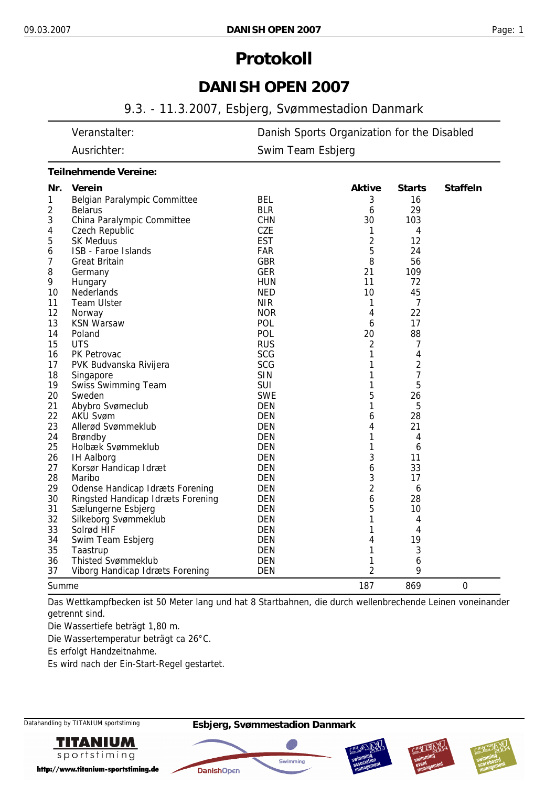# **Protokoll**

## **DANISH OPEN 2007**

## 9.3. - 11.3.2007, Esbjerg, Svømmestadion Danmark

| Veranstalter: | Danish Sports Organization for the Disabled |
|---------------|---------------------------------------------|
| Ausrichter:   | Swim Team Esbjerg                           |
|               |                                             |

#### *Teilnehmende Vereine:*

| Nr.   | Verein                                 |            | <b>Aktive</b>  | <b>Starts</b> | <b>Staffeln</b> |
|-------|----------------------------------------|------------|----------------|---------------|-----------------|
| 1     | Belgian Paralympic Committee           | <b>BEL</b> | 3              | 16            |                 |
| 2     | <b>Belarus</b>                         | <b>BLR</b> | 6              | 29            |                 |
| 3     | China Paralympic Committee             | <b>CHN</b> | 30             | 103           |                 |
| 4     | <b>Czech Republic</b>                  | <b>CZE</b> | 1              | 4             |                 |
| 5     | <b>SK Meduus</b>                       | <b>EST</b> | 2              | 12            |                 |
| 6     | ISB - Faroe Islands                    | <b>FAR</b> | 5              | 24            |                 |
| 7     | <b>Great Britain</b>                   | <b>GBR</b> | 8              | 56            |                 |
| 8     | Germany                                | <b>GER</b> | 21             | 109           |                 |
| 9     | Hungary                                | <b>HUN</b> | 11             | 72            |                 |
| 10    | <b>Nederlands</b>                      | <b>NED</b> | 10             | 45            |                 |
| 11    | <b>Team Ulster</b>                     | <b>NIR</b> | 1              | 7             |                 |
| 12    | Norway                                 | <b>NOR</b> | 4              | 22            |                 |
| 13    | <b>KSN Warsaw</b>                      | <b>POL</b> | 6              | 17            |                 |
| 14    | Poland                                 | <b>POL</b> | 20             | 88            |                 |
| 15    | <b>UTS</b>                             | <b>RUS</b> | 2              | 7             |                 |
| 16    | PK Petrovac                            | <b>SCG</b> | 1              | 4             |                 |
| 17    | PVK Budvanska Rivijera                 | <b>SCG</b> | 1              | 2             |                 |
| 18    | Singapore                              | <b>SIN</b> | 1              | 7             |                 |
| 19    | <b>Swiss Swimming Team</b>             | <b>SUI</b> | 1              | 5             |                 |
| 20    | Sweden                                 | <b>SWE</b> | 5              | 26            |                 |
| 21    | Abybro Svømeclub                       | <b>DEN</b> | 1              | 5             |                 |
| 22    | <b>AKU Svøm</b>                        | <b>DEN</b> | 6              | 28            |                 |
| 23    | Allerød Svømmeklub                     | <b>DEN</b> | 4              | 21            |                 |
| 24    | Brøndby                                | <b>DEN</b> | 1              | 4             |                 |
| 25    | Holbæk Svømmeklub                      | <b>DEN</b> | 1              | 6             |                 |
| 26    | <b>IH Aalborg</b>                      | <b>DEN</b> | 3              | 11            |                 |
| 27    | Korsør Handicap Idræt                  | <b>DEN</b> | 6              | 33            |                 |
| 28    | Maribo                                 | <b>DEN</b> | 3              | 17            |                 |
| 29    | <b>Odense Handicap Idræts Forening</b> | <b>DEN</b> | $\overline{2}$ | 6             |                 |
| 30    | Ringsted Handicap Idræts Forening      | <b>DEN</b> | 6              | 28            |                 |
| 31    | Sælungerne Esbjerg                     | <b>DEN</b> | 5              | 10            |                 |
| 32    | Silkeborg Svømmeklub                   | <b>DEN</b> | 1              | 4             |                 |
| 33    | Solrød HIF                             | <b>DEN</b> | 1              | 4             |                 |
| 34    | Swim Team Esbjerg                      | <b>DEN</b> | 4              | 19            |                 |
| 35    | Taastrup                               | <b>DEN</b> | 1              | 3             |                 |
| 36    | <b>Thisted Svømmeklub</b>              | <b>DEN</b> | 1              | 6             |                 |
| 37    | Viborg Handicap Idræts Forening        | <b>DEN</b> | 2              | 9             |                 |
| Summe |                                        |            | 187            | 869           | $\mathbf 0$     |

Das Wettkampfbecken ist 50 Meter lang und hat 8 Startbahnen, die durch wellenbrechende Leinen voneinander getrennt sind.

Die Wassertiefe beträgt 1,80 m.

Die Wassertemperatur beträgt ca 26°C.

Es erfolgt Handzeitnahme.

Es wird nach der Ein-Start-Regel gestartet.

**TITANIUM** sportstiming

http://www.titanium-sportstiming.de







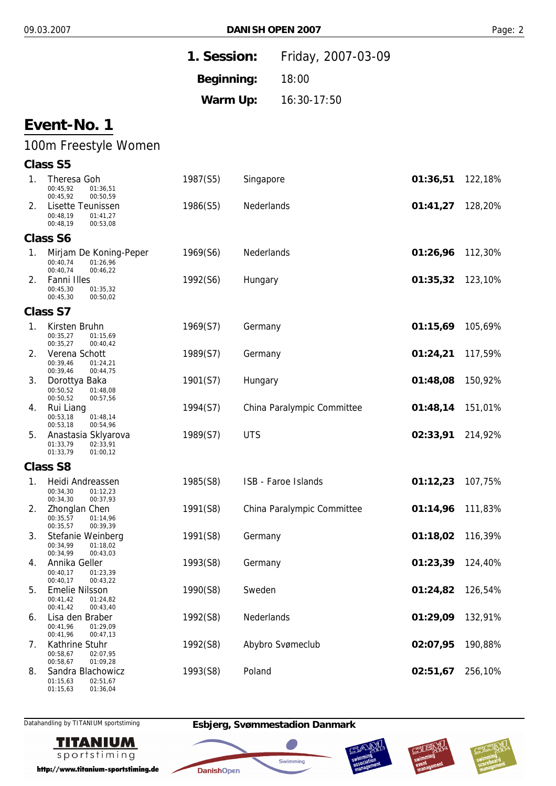|                |                                                                                       | 1. Session: |            | Friday, 2007-03-09         |          |         |
|----------------|---------------------------------------------------------------------------------------|-------------|------------|----------------------------|----------|---------|
|                |                                                                                       | Beginning:  |            | 18:00                      |          |         |
|                |                                                                                       | Warm Up:    |            | 16:30-17:50                |          |         |
|                | Event-No. 1                                                                           |             |            |                            |          |         |
|                | 100m Freestyle Women                                                                  |             |            |                            |          |         |
|                | <b>Class S5</b>                                                                       |             |            |                            |          |         |
| $\mathbf{1}$ . | Theresa Goh<br>00:45,92<br>01:36,51<br>00:45,92<br>00:50,59                           | 1987(S5)    | Singapore  |                            | 01:36,51 | 122,18% |
| 2.             | Lisette Teunissen<br>00:48,19<br>01:41,27<br>00:48,19<br>00:53,08                     | 1986(S5)    | Nederlands |                            | 01:41,27 | 128,20% |
|                | <b>Class S6</b>                                                                       |             |            |                            |          |         |
| 1.             | Mirjam De Koning-Peper<br>00:40,74<br>01:26,96                                        | 1969(S6)    | Nederlands |                            | 01:26,96 | 112,30% |
| 2.             | 00:40,74<br>00:46,22<br>Fanni Illes<br>00:45,30<br>01:35,32<br>00:45,30<br>00:50,02   | 1992(S6)    | Hungary    |                            | 01:35,32 | 123,10% |
|                | <b>Class S7</b>                                                                       |             |            |                            |          |         |
| 1.             | Kirsten Bruhn<br>00:35,27<br>01:15,69<br>00:35,27<br>00:40,42                         | 1969(S7)    | Germany    |                            | 01:15,69 | 105,69% |
| 2.             | Verena Schott<br>00:39,46<br>01:24,21<br>00:39,46<br>00:44,75                         | 1989(S7)    | Germany    |                            | 01:24,21 | 117,59% |
| 3.             | Dorottya Baka<br>00:50,52<br>01:48,08<br>00:50,52<br>00:57,56                         | 1901(S7)    | Hungary    |                            | 01:48,08 | 150,92% |
| 4.             | Rui Liang<br>00:53,18<br>01:48,14<br>00:53,18<br>00:54,96                             | 1994(S7)    |            | China Paralympic Committee | 01:48,14 | 151,01% |
| 5.             | Anastasia Sklyarova<br>01:33,79<br>02:33,91<br>01:33,79<br>01:00,12                   | 1989(S7)    | <b>UTS</b> |                            | 02:33,91 | 214,92% |
|                | <b>Class S8</b>                                                                       |             |            |                            |          |         |
| 1.             | Heidi Andreassen<br>00:34,30<br>01:12,23                                              | 1985(S8)    |            | ISB - Faroe Islands        | 01:12,23 | 107,75% |
| 2.             | 00:34,30<br>00:37,93<br>Zhonglan Chen<br>00:35,57<br>01:14,96                         | 1991(S8)    |            | China Paralympic Committee | 01:14,96 | 111,83% |
| 3.             | 00:35,57<br>00:39,39<br>Stefanie Weinberg<br>00:34,99<br>01:18,02                     | 1991(S8)    | Germany    |                            | 01:18,02 | 116,39% |
| 4.             | 00:34,99<br>00:43,03<br>Annika Geller<br>00:40,17<br>01:23,39<br>00:40,17<br>00:43,22 | 1993(S8)    | Germany    |                            | 01:23,39 | 124,40% |
| 5.             | <b>Emelie Nilsson</b><br>00:41,42<br>01:24,82<br>00:41,42                             | 1990(S8)    | Sweden     |                            | 01:24,82 | 126,54% |
| 6.             | 00:43,40<br>Lisa den Braber<br>00:41,96<br>01:29,09<br>00:41,96<br>00:47,13           | 1992(S8)    | Nederlands |                            | 01:29,09 | 132,91% |
| 7.             | Kathrine Stuhr<br>00:58,67<br>02:07,95                                                | 1992(S8)    |            | Abybro Svømeclub           | 02:07,95 | 190,88% |
| 8.             | 00:58,67<br>01:09,28<br>Sandra Blachowicz<br>01:15,63<br>02:51,67                     | 1993(S8)    | Poland     |                            | 02:51,67 | 256,10% |

Datahandling by TITANIUM sportstiming **Esbjerg, Svømmestadion Danmark**

**DanishOpen** 



01:36,04

01:15,63

http://www.titanium-sportstiming.de





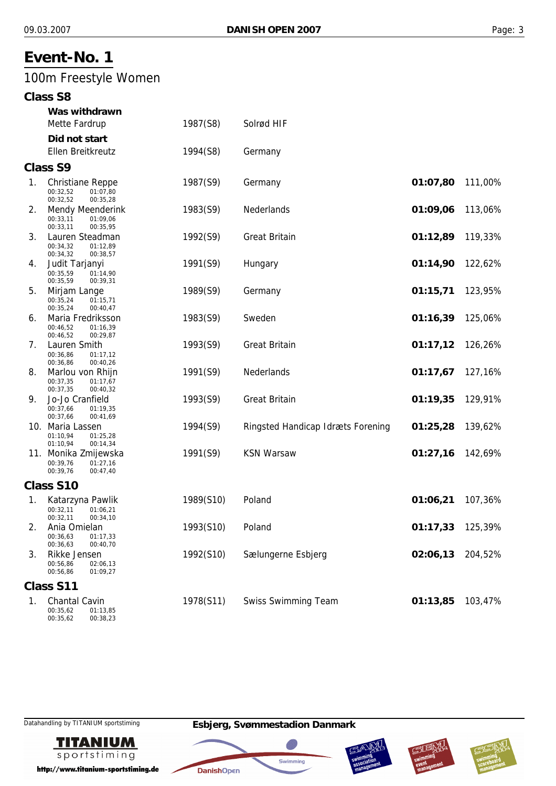# 100m Freestyle Women

|             | Was withdrawn                                                                           |           |                                   |          |         |
|-------------|-----------------------------------------------------------------------------------------|-----------|-----------------------------------|----------|---------|
|             | Mette Fardrup                                                                           | 1987(S8)  | Solrød HIF                        |          |         |
|             | Did not start<br>Ellen Breitkreutz                                                      | 1994(S8)  | Germany                           |          |         |
|             | <b>Class S9</b>                                                                         |           |                                   |          |         |
|             |                                                                                         |           |                                   |          |         |
| $1_{\cdot}$ | <b>Christiane Reppe</b><br>00:32,52<br>01:07,80<br>00:32,52<br>00:35,28                 | 1987(S9)  | Germany                           | 01:07,80 | 111,00% |
| 2.          | <b>Mendy Meenderink</b><br>00:33.11<br>01:09,06<br>00:33,11<br>00:35,95                 | 1983(S9)  | Nederlands                        | 01:09,06 | 113,06% |
| 3.          | Lauren Steadman<br>00:34,32<br>01:12,89<br>00:34,32<br>00:38,57                         | 1992(S9)  | <b>Great Britain</b>              | 01:12,89 | 119,33% |
| 4.          | Judit Tarjanyi<br>00:35,59<br>01:14,90                                                  | 1991(S9)  | Hungary                           | 01:14,90 | 122,62% |
| 5.          | 00:35,59<br>00:39,31<br>Mirjam Lange<br>01:15,71<br>00:35,24                            | 1989(S9)  | Germany                           | 01:15,71 | 123,95% |
| 6.          | 00:35,24<br>00:40,47<br>Maria Fredriksson<br>00:46,52<br>01:16,39                       | 1983(S9)  | Sweden                            | 01:16,39 | 125,06% |
| 7.          | 00:46,52<br>00:29,87<br>Lauren Smith<br>00:36,86<br>01:17,12                            | 1993(S9)  | <b>Great Britain</b>              | 01:17,12 | 126,26% |
| 8.          | 00:40,26<br>00:36,86<br>Marlou von Rhijn<br>00:37,35<br>01:17,67                        | 1991(S9)  | Nederlands                        | 01:17,67 | 127,16% |
| 9.          | 00:37,35<br>00:40,32<br>Jo-Jo Cranfield<br>00:37,66<br>01:19,35<br>00:37,66<br>00:41,69 | 1993(S9)  | <b>Great Britain</b>              | 01:19,35 | 129,91% |
|             | 10. Maria Lassen<br>01:10,94<br>01:25,28<br>01:10,94<br>00:14,34                        | 1994(S9)  | Ringsted Handicap Idræts Forening | 01:25,28 | 139,62% |
|             | 11. Monika Zmijewska<br>00:39,76<br>01:27.16<br>00:39,76<br>00:47,40                    | 1991(S9)  | <b>KSN Warsaw</b>                 | 01:27,16 | 142,69% |
|             | Class S10                                                                               |           |                                   |          |         |
| 1.          | Katarzyna Pawlik<br>00:32,11<br>01:06,21                                                | 1989(S10) | Poland                            | 01:06,21 | 107,36% |
| 2.          | 00:32,11<br>00:34,10<br>Ania Omielan<br>00:36,63<br>01:17,33                            | 1993(S10) | Poland                            | 01:17,33 | 125,39% |
| 3.          | 00:36,63<br>00:40,70<br>Rikke Jensen<br>00:56,86<br>02:06,13<br>00:56,86<br>01:09,27    | 1992(S10) | Sælungerne Esbjerg                | 02:06,13 | 204,52% |
|             | Class S11                                                                               |           |                                   |          |         |
| 1.          | <b>Chantal Cavin</b><br>00:35,62<br>01:13,85<br>00:35,62<br>00:38,23                    | 1978(S11) | <b>Swiss Swimming Team</b>        | 01:13,85 | 103,47% |

**TITANIUM** sportstiming

http://www.titanium-sportstiming.de







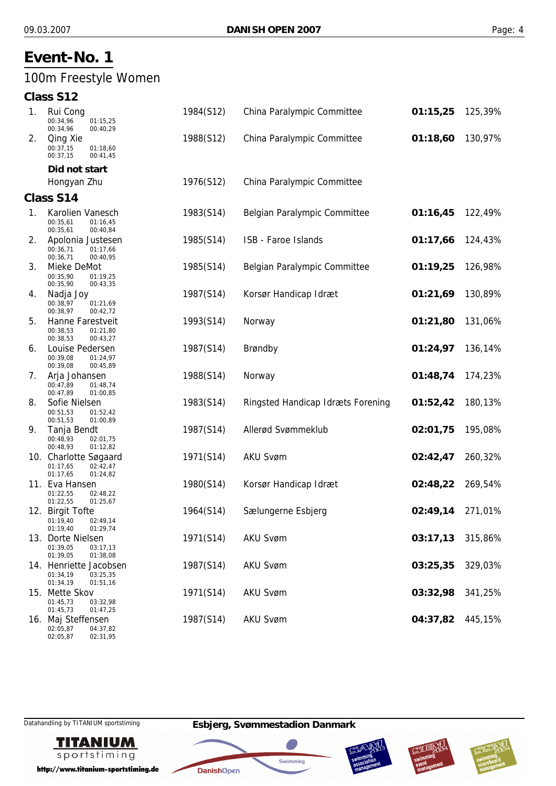## 100m Freestyle Women

## **Class S12**

| 1. | Rui Cong<br>00:34,96<br>01:15,25<br>00:34,96<br>00:40,29               | 1984(S12) | China Paralympic Committee        | 01:15,25 | 125,39% |
|----|------------------------------------------------------------------------|-----------|-----------------------------------|----------|---------|
| 2. | Qing Xie<br>00:37,15<br>01:18,60<br>00:37,15<br>00:41,45               | 1988(S12) | China Paralympic Committee        | 01:18,60 | 130,97% |
|    | Did not start                                                          |           |                                   |          |         |
|    | Hongyan Zhu                                                            | 1976(S12) | China Paralympic Committee        |          |         |
|    | Class S14                                                              |           |                                   |          |         |
| 1. | Karolien Vanesch<br>00:35,61<br>01:16,45<br>00:35,61<br>00:40,84       | 1983(S14) | Belgian Paralympic Committee      | 01:16,45 | 122,49% |
| 2. | Apolonia Justesen<br>00:36,71<br>01:17,66<br>00:36,71<br>00:40,95      | 1985(S14) | ISB - Faroe Islands               | 01:17,66 | 124,43% |
| 3. | Mieke DeMot<br>00:35,90<br>01:19,25<br>00:35,90<br>00:43,35            | 1985(S14) | Belgian Paralympic Committee      | 01:19,25 | 126,98% |
| 4. | Nadja Joy<br>00:38,97<br>01:21,69<br>00:38,97<br>00:42,72              | 1987(S14) | Korsør Handicap Idræt             | 01:21,69 | 130,89% |
| 5. | Hanne Farestveit<br>00:38,53<br>01:21,80<br>00:38,53<br>00:43,27       | 1993(S14) | Norway                            | 01:21,80 | 131,06% |
| 6. | Louise Pedersen<br>00:39.08<br>01:24,97<br>00:39,08<br>00:45,89        | 1987(S14) | Brøndby                           | 01:24,97 | 136,14% |
| 7. | Arja Johansen<br>00:47,89<br>01:48,74<br>00:47,89<br>01:00,85          | 1988(S14) | Norway                            | 01:48,74 | 174,23% |
| 8. | Sofie Nielsen<br>00:51,53<br>01:52,42<br>00:51,53<br>01:00,89          | 1983(S14) | Ringsted Handicap Idræts Forening | 01:52,42 | 180,13% |
| 9. | Tanja Bendt<br>00:48,93<br>02:01,75<br>00:48,93<br>01:12,82            | 1987(S14) | Allerød Svømmeklub                | 02:01,75 | 195,08% |
|    | 10. Charlotte Søgaard<br>01:17,65<br>02:42,47<br>01:17,65<br>01:24,82  | 1971(S14) | AKU Svøm                          | 02:42,47 | 260,32% |
|    | 11. Eva Hansen<br>01:22,55<br>02:48,22<br>01:22,55<br>01:25,67         | 1980(S14) | Korsør Handicap Idræt             | 02:48,22 | 269,54% |
|    | 12. Birgit Tofte<br>02:49,14<br>01:19,40<br>01:19,40<br>01:29,74       | 1964(S14) | Sælungerne Esbjerg                | 02:49,14 | 271,01% |
|    | 13. Dorte Nielsen<br>01:39,05<br>03:17,13<br>01:39,05<br>01:38,08      | 1971(S14) | <b>AKU Svøm</b>                   | 03:17,13 | 315,86% |
|    | 14. Henriette Jacobsen<br>01:34,19<br>03:25,35<br>01:34,19<br>01:51,16 | 1987(S14) | <b>AKU Svøm</b>                   | 03:25,35 | 329,03% |
|    | 15. Mette Skov<br>01:45,73<br>03:32,98<br>01:45,73<br>01:47,25         | 1971(S14) | AKU Svøm                          | 03:32,98 | 341,25% |
|    | 16. Maj Steffensen                                                     | 1987(S14) | <b>AKU Svøm</b>                   | 04:37,82 | 445,15% |

02:05,87 02:05,87 04:37,82 02:31,95

Datahandling by TITANIUM sportstiming **Esbjerg, Svømmestadion Danmark**



http://www.titanium-sportstiming.de







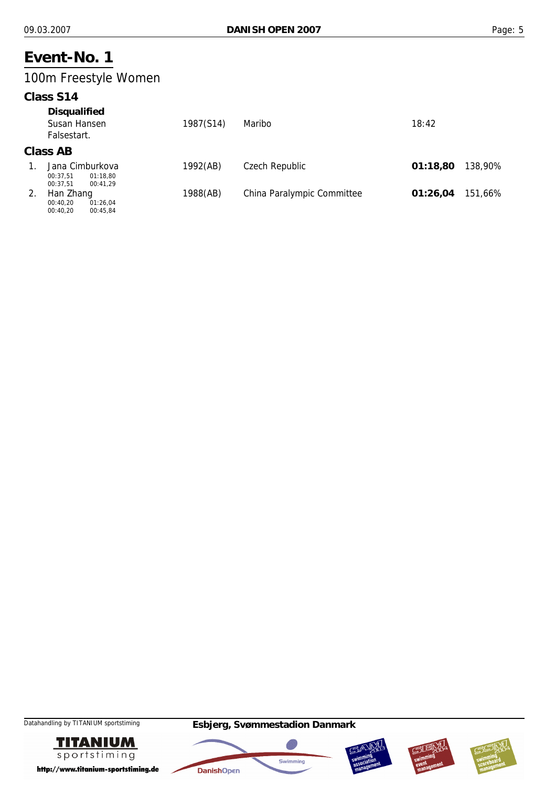## 100m Freestyle Women

#### **Class S14**

| <b>Disqualified</b><br>Susan Hansen<br>Falsestart.              | 1987(S14) | Maribo                     | 18:42    |         |
|-----------------------------------------------------------------|-----------|----------------------------|----------|---------|
| Class AB                                                        |           |                            |          |         |
| Jana Cimburkova<br>01:18.80<br>00:37.51<br>00:37.51<br>00:41.29 | 1992(AB)  | Czech Republic             | 01:18,80 | 138,90% |
| Han Zhang                                                       | 1988(AB)  | China Paralympic Committee | 01:26,04 | 151.66% |

 $00:40.20$ 00:40,20 01:26,04 00:45,84









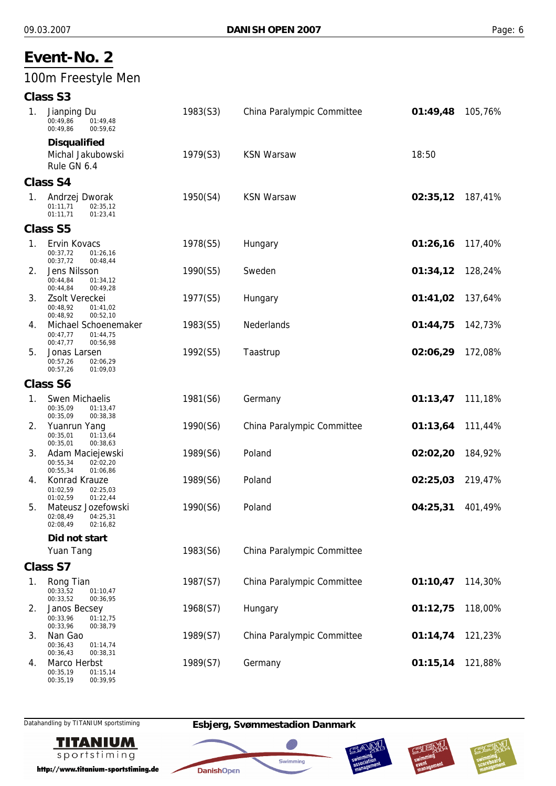## 100m Freestyle Men

## **Class S3**

| 1.             | Jianping Du<br>00:49,86<br>01:49,48<br>00:49,86<br>00:59,62                          | 1983(S3) | China Paralympic Committee | 01:49,48 | 105,76% |
|----------------|--------------------------------------------------------------------------------------|----------|----------------------------|----------|---------|
|                | <b>Disqualified</b>                                                                  |          |                            |          |         |
|                | Michal Jakubowski<br>Rule GN 6.4                                                     | 1979(S3) | <b>KSN Warsaw</b>          | 18:50    |         |
|                | <b>Class S4</b>                                                                      |          |                            |          |         |
| $\mathbf{1}$ . | Andrzej Dworak<br>02:35,12<br>01:11,71<br>01:11,71<br>01:23,41                       | 1950(S4) | <b>KSN Warsaw</b>          | 02:35,12 | 187,41% |
|                | <b>Class S5</b>                                                                      |          |                            |          |         |
| 1.             | Ervin Kovacs<br>00:37,72<br>01:26,16<br>00:37,72<br>00:48,44                         | 1978(S5) | Hungary                    | 01:26,16 | 117,40% |
| 2.             | Jens Nilsson<br>00:44,84<br>01:34,12<br>00:44,84<br>00:49,28                         | 1990(S5) | Sweden                     | 01:34,12 | 128,24% |
| 3.             | Zsolt Vereckei<br>00:48.92<br>01:41,02<br>00:48,92<br>00:52,10                       | 1977(S5) | Hungary                    | 01:41,02 | 137,64% |
| 4.             | Michael Schoenemaker<br>00:47,77<br>01:44,75<br>00:47,77<br>00:56,98                 | 1983(S5) | Nederlands                 | 01:44,75 | 142,73% |
| 5.             | Jonas Larsen<br>00:57,26<br>02:06,29<br>00:57,26<br>01:09,03                         | 1992(S5) | Taastrup                   | 02:06,29 | 172,08% |
|                | <b>Class S6</b>                                                                      |          |                            |          |         |
| 1.             | Swen Michaelis<br>00:35.09<br>01:13,47                                               | 1981(S6) | Germany                    | 01:13,47 | 111,18% |
| 2.             | 00:35,09<br>00:38,38<br>Yuanrun Yang<br>00:35,01<br>01:13,64<br>00:35,01<br>00:38,63 | 1990(S6) | China Paralympic Committee | 01:13,64 | 111,44% |
| 3.             | Adam Maciejewski<br>00:55,34<br>02:02.20<br>00:55,34<br>01:06,86                     | 1989(S6) | Poland                     | 02:02,20 | 184,92% |
| 4.             | Konrad Krauze<br>01:02,59<br>02:25,03<br>01:02,59<br>01:22,44                        | 1989(S6) | Poland                     | 02:25,03 | 219,47% |
| 5.             | Mateusz Jozefowski<br>02:08,49<br>04:25,31<br>02:08,49<br>02:16,82                   | 1990(S6) | Poland                     | 04:25,31 | 401,49% |
|                | Did not start                                                                        |          |                            |          |         |
|                | Yuan Tang                                                                            | 1983(S6) | China Paralympic Committee |          |         |
|                | Class S7                                                                             |          |                            |          |         |
| 1.             | Rong Tian<br>00:33,52<br>01:10,47<br>00:33.52<br>00:36,95                            | 1987(S7) | China Paralympic Committee | 01:10,47 | 114,30% |
| 2.             | Janos Becsey<br>00:33,96<br>01:12,75<br>00:33,96<br>00:38,79                         | 1968(S7) | Hungary                    | 01:12,75 | 118,00% |
| 3.             | Nan Gao<br>00:36,43<br>01:14,74<br>00:36,43<br>00:38,31                              | 1989(S7) | China Paralympic Committee | 01:14,74 | 121,23% |
| 4.             | Marco Herbst<br>00:35,19<br>01:15,14                                                 | 1989(S7) | Germany                    | 01:15,14 | 121,88% |

00:35,19



00:39,95

http://www.titanium-sportstiming.de

## Datahandling by TITANIUM sportstiming **Esbjerg, Svømmestadion Danmark**

**DanishOpen** 

Swimming





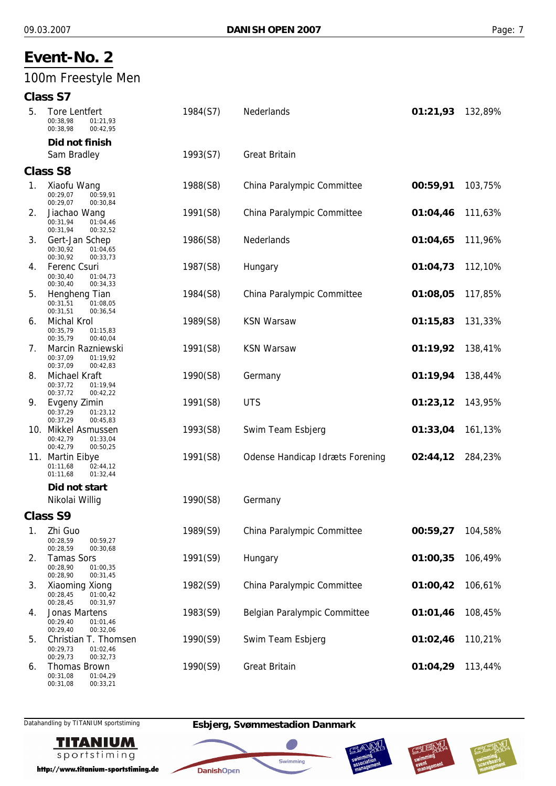## 100m Freestyle Men

#### **Class S7**

| 5. | <b>Tore Lentfert</b><br>00:38.98<br>01:21,93<br>00:38,98<br>00:42,95          | 1984(S7) | Nederlands                             | 01:21,93 | 132,89% |
|----|-------------------------------------------------------------------------------|----------|----------------------------------------|----------|---------|
|    | Did not finish                                                                |          |                                        |          |         |
|    | Sam Bradley                                                                   | 1993(S7) | <b>Great Britain</b>                   |          |         |
|    | <b>Class S8</b>                                                               |          |                                        |          |         |
| 1. | Xiaofu Wang<br>00:29,07<br>00:59,91<br>00:29,07<br>00:30,84                   | 1988(S8) | China Paralympic Committee             | 00:59,91 | 103,75% |
| 2. | Jiachao Wang<br>00:31,94<br>01:04,46<br>00:31,94<br>00:32,52                  | 1991(S8) | China Paralympic Committee             | 01:04,46 | 111,63% |
| 3. | Gert-Jan Schep<br>00:30,92<br>01:04,65<br>00:30,92<br>00:33,73                | 1986(S8) | Nederlands                             | 01:04,65 | 111,96% |
| 4. | Ferenc Csuri<br>00:30,40<br>01:04,73<br>00:30,40<br>00:34,33                  | 1987(S8) | Hungary                                | 01:04,73 | 112,10% |
| 5. | Hengheng Tian<br>00:31,51<br>01:08,05<br>00:31,51<br>00:36,54                 | 1984(S8) | China Paralympic Committee             | 01:08,05 | 117,85% |
| 6. | Michal Krol<br>00:35,79<br>01:15,83<br>00:35,79<br>00:40,04                   | 1989(S8) | <b>KSN Warsaw</b>                      | 01:15,83 | 131,33% |
| 7. | Marcin Razniewski<br>00:37,09<br>01:19,92<br>00:37,09<br>00:42,83             | 1991(S8) | <b>KSN Warsaw</b>                      | 01:19,92 | 138,41% |
| 8. | Michael Kraft<br>00:37,72<br>01:19,94<br>00:37,72<br>00:42,22                 | 1990(S8) | Germany                                | 01:19,94 | 138,44% |
| 9. | Evgeny Zimin<br>00:37,29<br>01:23,12<br>00:37,29<br>00:45,83                  | 1991(S8) | <b>UTS</b>                             | 01:23,12 | 143,95% |
|    | 10. Mikkel Asmussen<br>00:42,79<br>01:33,04<br>00:42,79<br>00:50,25           | 1993(S8) | Swim Team Esbjerg                      | 01:33,04 | 161,13% |
|    | 11. Martin Eibye<br>01:11,68<br>02:44,12<br>01:32,44<br>01:11,68              | 1991(S8) | <b>Odense Handicap Idræts Forening</b> | 02:44,12 | 284,23% |
|    | Did not start<br>Nikolai Willig                                               | 1990(S8) | Germany                                |          |         |
|    | <b>Class S9</b>                                                               |          |                                        |          |         |
| 1. | Zhi Guo<br>00:28,59<br>00:59,27<br>00:28,59                                   | 1989(S9) | China Paralympic Committee             | 00:59,27 | 104,58% |
| 2. | 00:30,68<br><b>Tamas Sors</b><br>00:28,90<br>01:00,35<br>00:28,90<br>00:31,45 | 1991(S9) | Hungary                                | 01:00,35 | 106,49% |
| 3. | Xiaoming Xiong<br>00:28,45<br>01:00,42<br>00:28,45<br>00:31,97                | 1982(S9) | China Paralympic Committee             | 01:00,42 | 106,61% |
| 4. | Jonas Martens<br>00:29,40<br>01:01,46<br>00:29,40<br>00:32,06                 | 1983(S9) | Belgian Paralympic Committee           | 01:01,46 | 108,45% |
| 5. | Christian T. Thomsen<br>00:29,73<br>01:02,46<br>00:29,73<br>00:32,73          | 1990(S9) | Swim Team Esbjerg                      | 01:02,46 | 110,21% |
| 6. | <b>Thomas Brown</b><br>00:31.08<br>01:04.29                                   | 1990(S9) | <b>Great Britain</b>                   | 01:04,29 | 113,44% |

Datahandling by TITANIUM sportstiming **Esbjerg, Svømmestadion Danmark**

**DanishOpen** 



00:33,21

00:31,08

http://www.titanium-sportstiming.de





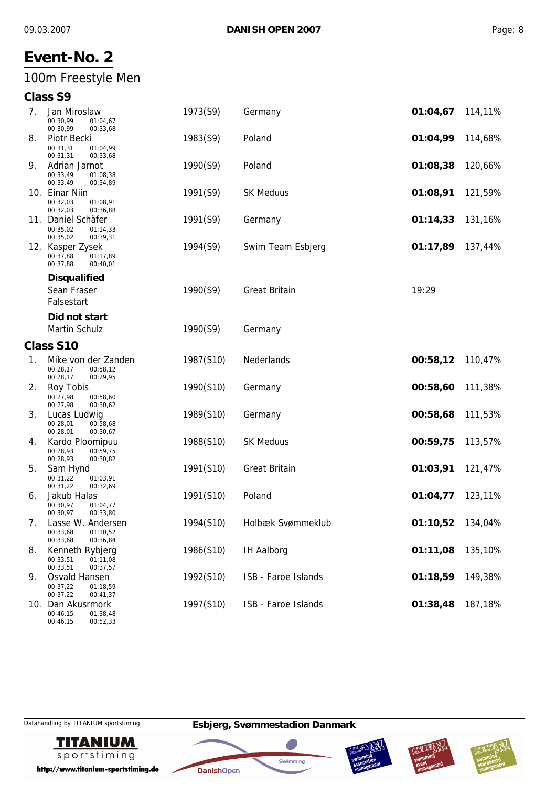## 100m Freestyle Men

#### **Class S9**

| 7. | Jan Miroslaw<br>00:30,99<br>01:04,67<br>00:30,99<br>00:33,68        | 1973(S9)  | Germany              | 01:04,67 | 114,11% |
|----|---------------------------------------------------------------------|-----------|----------------------|----------|---------|
| 8. | Piotr Becki<br>00:31,31<br>01:04,99<br>00:31,31<br>00:33,68         | 1983(S9)  | Poland               | 01:04,99 | 114,68% |
| 9. | Adrian Jarnot<br>00:33,49<br>01:08,38<br>00:33,49<br>00:34,89       | 1990(S9)  | Poland               | 01:08,38 | 120,66% |
|    | 10. Einar Niin<br>00:32,03<br>01:08,91<br>00:32,03<br>00:36,88      | 1991(S9)  | <b>SK Meduus</b>     | 01:08,91 | 121,59% |
|    | 11. Daniel Schäfer<br>00:35,02<br>01:14,33<br>00:35,02<br>00:39,31  | 1991(S9)  | Germany              | 01:14,33 | 131,16% |
|    | 12. Kasper Zysek<br>00:37,88<br>01:17,89<br>00:37,88<br>00:40,01    | 1994(S9)  | Swim Team Esbjerg    | 01:17,89 | 137,44% |
|    | <b>Disqualified</b>                                                 |           |                      |          |         |
|    | Sean Fraser<br>Falsestart                                           | 1990(S9)  | <b>Great Britain</b> | 19:29    |         |
|    | Did not start                                                       |           |                      |          |         |
|    | Martin Schulz                                                       | 1990(S9)  | Germany              |          |         |
|    | Class S10                                                           |           |                      |          |         |
| 1. | Mike von der Zanden<br>00:28.17<br>00:58,12<br>00:28,17<br>00:29,95 | 1987(S10) | Nederlands           | 00:58,12 | 110,47% |
| 2. | Roy Tobis<br>00:27,98<br>00:58,60<br>00:27,98<br>00:30,62           | 1990(S10) | Germany              | 00:58,60 | 111,38% |
| 3. | Lucas Ludwig<br>00:28,01<br>00:58,68<br>00:28,01<br>00:30,67        | 1989(S10) | Germany              | 00:58,68 | 111,53% |
| 4. | Kardo Ploomipuu<br>00:28,93<br>00:59,75<br>00:28,93<br>00:30,82     | 1988(S10) | <b>SK Meduus</b>     | 00:59,75 | 113,57% |
| 5. | Sam Hynd<br>00:31,22<br>01:03,91<br>00:31,22<br>00:32,69            | 1991(S10) | <b>Great Britain</b> | 01:03,91 | 121,47% |
| 6. | Jakub Halas<br>00:30,97<br>01:04,77<br>00:30,97<br>00:33,80         | 1991(S10) | Poland               | 01:04,77 | 123,11% |
| 7. | Lasse W. Andersen<br>00:33,68<br>01:10,52<br>00:33,68<br>00:36,84   | 1994(S10) | Holbæk Svømmeklub    | 01:10,52 | 134,04% |
| 8. | Kenneth Rybjerg<br>00:33,51<br>01:11,08<br>00:33,51<br>00:37,57     | 1986(S10) | <b>IH Aalborg</b>    | 01:11,08 | 135,10% |
| 9. | Osvald Hansen<br>00:37,22<br>01:18,59<br>00:37,22<br>00:41,37       | 1992(S10) | ISB - Faroe Islands  | 01:18,59 | 149,38% |
|    | 10. Dan Akusrmork<br>00:46,15<br>01:38,48                           | 1997(S10) | ISB - Faroe Islands  | 01:38,48 | 187,18% |

00:46,15



http://www.titanium-sportstiming.de

00:52,33







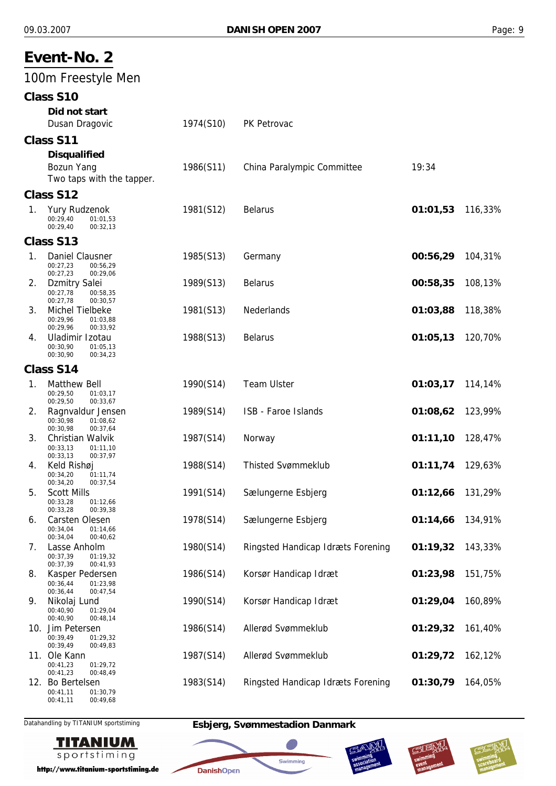|                | Event-No. 2                                                                   |           |                                   |          |         |
|----------------|-------------------------------------------------------------------------------|-----------|-----------------------------------|----------|---------|
|                | 100m Freestyle Men                                                            |           |                                   |          |         |
|                | Class S10<br>Did not start<br>Dusan Dragovic                                  | 1974(S10) | PK Petrovac                       |          |         |
|                | Class S11                                                                     |           |                                   |          |         |
|                | <b>Disqualified</b><br>Bozun Yang<br>Two taps with the tapper.                | 1986(S11) | China Paralympic Committee        | 19:34    |         |
|                | Class S12                                                                     |           |                                   |          |         |
| 1.             | Yury Rudzenok<br>00:29,40<br>01:01,53<br>00:29,40<br>00:32,13                 | 1981(S12) | <b>Belarus</b>                    | 01:01,53 | 116,33% |
|                | Class S13                                                                     |           |                                   |          |         |
| $\mathbf{1}$ . | Daniel Clausner<br>00:27,23<br>00:56,29<br>00:27,23<br>00:29,06               | 1985(S13) | Germany                           | 00:56,29 | 104,31% |
| 2.             | <b>Dzmitry Salei</b><br>00:27,78<br>00:58,35<br>00:27,78<br>00:30,57          | 1989(S13) | <b>Belarus</b>                    | 00:58,35 | 108,13% |
| 3.             | Michel Tielbeke<br>00:29,96<br>01:03,88<br>00:29,96<br>00:33,92               | 1981(S13) | Nederlands                        | 01:03,88 | 118,38% |
| 4.             | Uladimir Izotau<br>00:30,90<br>01:05,13<br>00:30,90<br>00:34,23               | 1988(S13) | <b>Belarus</b>                    | 01:05,13 | 120,70% |
|                | Class S14                                                                     |           |                                   |          |         |
| 1.             | <b>Matthew Bell</b><br>00:29,50<br>01:03,17<br>00:29,50                       | 1990(S14) | <b>Team Ulster</b>                | 01:03,17 | 114,14% |
| 2.             | 00:33,67<br>Ragnvaldur Jensen<br>00:30,98<br>01:08,62<br>00:30,98<br>00:37,64 | 1989(S14) | ISB - Faroe Islands               | 01:08,62 | 123,99% |
| 3.             | Christian Walvik<br>00:33,13<br>01:11,10<br>00:33,13<br>00:37,97              | 1987(S14) | Norway                            | 01:11,10 | 128,47% |
| 4.             | Keld Rishøj<br>00:34,20<br>01:11,74<br>00:34,20<br>00:37,54                   | 1988(S14) | <b>Thisted Svømmeklub</b>         | 01:11,74 | 129,63% |
| 5.             | <b>Scott Mills</b><br>00:33,28<br>01:12,66<br>00:33,28<br>00:39,38            | 1991(S14) | Sælungerne Esbjerg                | 01:12,66 | 131,29% |
| 6.             | Carsten Olesen<br>00:34,04<br>01:14,66<br>00:34,04<br>00:40,62                | 1978(S14) | Sælungerne Esbjerg                | 01:14,66 | 134,91% |
| 7.             | Lasse Anholm<br>00:37,39<br>01:19.32<br>00:37,39<br>00:41,93                  | 1980(S14) | Ringsted Handicap Idræts Forening | 01:19,32 | 143,33% |
| 8.             | Kasper Pedersen<br>00:36,44<br>01:23,98<br>00:36,44<br>00:47,54               | 1986(S14) | Korsør Handicap Idræt             | 01:23,98 | 151,75% |
| 9.             | Nikolaj Lund<br>00:40,90<br>01:29,04<br>00:40,90<br>00:48,14                  | 1990(S14) | Korsør Handicap Idræt             | 01:29,04 | 160,89% |
|                | 10. Jim Petersen<br>00:39,49<br>01:29,32<br>00:39,49<br>00:49,83              | 1986(S14) | Allerød Svømmeklub                | 01:29,32 | 161,40% |
|                | 11. Ole Kann<br>00:41,23<br>01:29,72<br>00:41,23<br>00:48,49                  | 1987(S14) | Allerød Svømmeklub                | 01:29,72 | 162,12% |
|                | 12. Bo Bertelsen<br>00:41,11<br>01:30,79<br>00:49,68<br>00:41,11              | 1983(S14) | Ringsted Handicap Idræts Forening | 01:30,79 | 164,05% |

Datahandling by TITANIUM sportstiming **Esbjerg, Svømmestadion Danmark**

**DanishOpen** 

绷

Swimming





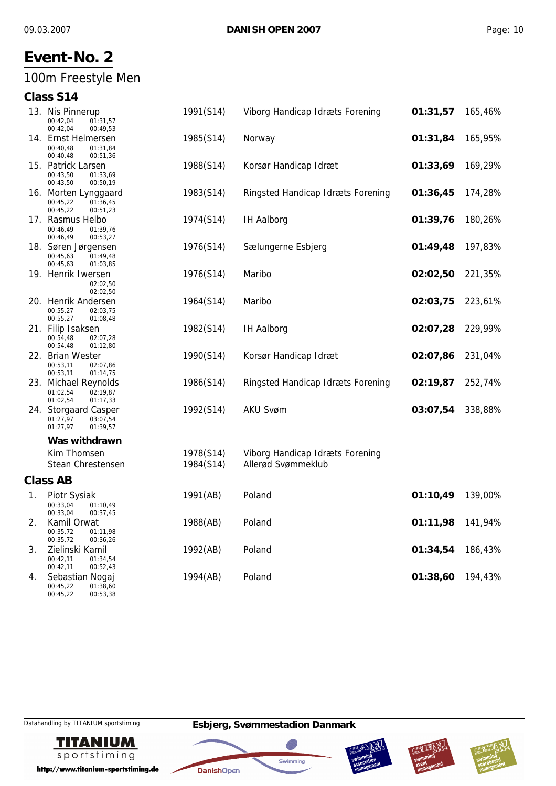## 100m Freestyle Men

## **Class S14**

|    | 13. Nis Pinnerup<br>00:42,04<br>01:31,57<br>00:42,04<br>00:49,53     | 1991(S14) | Viborg Handicap Idræts Forening   | 01:31,57 | 165,46% |
|----|----------------------------------------------------------------------|-----------|-----------------------------------|----------|---------|
|    | 14. Ernst Helmersen<br>00:40,48<br>01:31,84<br>00:40,48<br>00:51,36  | 1985(S14) | Norway                            | 01:31,84 | 165,95% |
|    | 15. Patrick Larsen<br>00:43,50<br>01:33,69<br>00:43,50<br>00:50,19   | 1988(S14) | Korsør Handicap Idræt             | 01:33,69 | 169,29% |
|    | 16. Morten Lynggaard<br>00:45,22<br>01:36,45<br>00:45,22<br>00:51,23 | 1983(S14) | Ringsted Handicap Idræts Forening | 01:36,45 | 174,28% |
|    | 17. Rasmus Helbo<br>00:46.49<br>01:39,76<br>00:46,49<br>00:53,27     | 1974(S14) | <b>IH Aalborg</b>                 | 01:39,76 | 180,26% |
|    | 18. Søren Jørgensen<br>00:45,63<br>01:49,48<br>00:45,63<br>01:03,85  | 1976(S14) | Sælungerne Esbjerg                | 01:49,48 | 197,83% |
|    | 19. Henrik Iwersen<br>02:02,50<br>02:02,50                           | 1976(S14) | Maribo                            | 02:02,50 | 221,35% |
|    | 20. Henrik Andersen<br>00:55,27<br>02:03,75<br>00:55,27<br>01:08,48  | 1964(S14) | Maribo                            | 02:03,75 | 223,61% |
|    | 21. Filip Isaksen<br>00:54,48<br>02:07,28<br>00:54,48<br>01:12,80    | 1982(S14) | <b>IH Aalborg</b>                 | 02:07,28 | 229,99% |
|    | 22. Brian Wester<br>00:53,11<br>02:07,86<br>00:53,11<br>01:14,75     | 1990(S14) | Korsør Handicap Idræt             | 02:07,86 | 231,04% |
|    | 23. Michael Reynolds<br>01:02,54<br>02:19,87<br>01:02,54<br>01:17,33 | 1986(S14) | Ringsted Handicap Idræts Forening | 02:19,87 | 252,74% |
|    | 24. Storgaard Casper<br>01:27,97<br>03:07,54<br>01:27,97<br>01:39,57 | 1992(S14) | <b>AKU Svøm</b>                   | 03:07,54 | 338,88% |
|    | Was withdrawn                                                        |           |                                   |          |         |
|    | Kim Thomsen                                                          | 1978(S14) | Viborg Handicap Idræts Forening   |          |         |
|    | <b>Stean Chrestensen</b>                                             | 1984(S14) | Allerød Svømmeklub                |          |         |
|    | <b>Class AB</b>                                                      |           |                                   |          |         |
| 1. | Piotr Sysiak<br>00:33,04<br>01:10,49<br>00:33,04<br>00:37,45         | 1991(AB)  | Poland                            | 01:10,49 | 139,00% |
| 2. | Kamil Orwat<br>00:35,72<br>01:11,98<br>00:35,72<br>00:36,26          | 1988(AB)  | Poland                            | 01:11,98 | 141,94% |
| 3. | Zielinski Kamil<br>00:42,11<br>01:34,54<br>00:42,11<br>00:52,43      | 1992(AB)  | Poland                            | 01:34,54 | 186,43% |
| 4. | Sebastian Nogaj<br>00.45.22<br>01.38.60                              | 1994(AB)  | Poland                            | 01:38,60 | 194,43% |

00:45,22 00:45,22 01:38,60 00:53,38

Datahandling by TITANIUM sportstiming **Esbjerg, Svømmestadion Danmark**



http://www.titanium-sportstiming.de







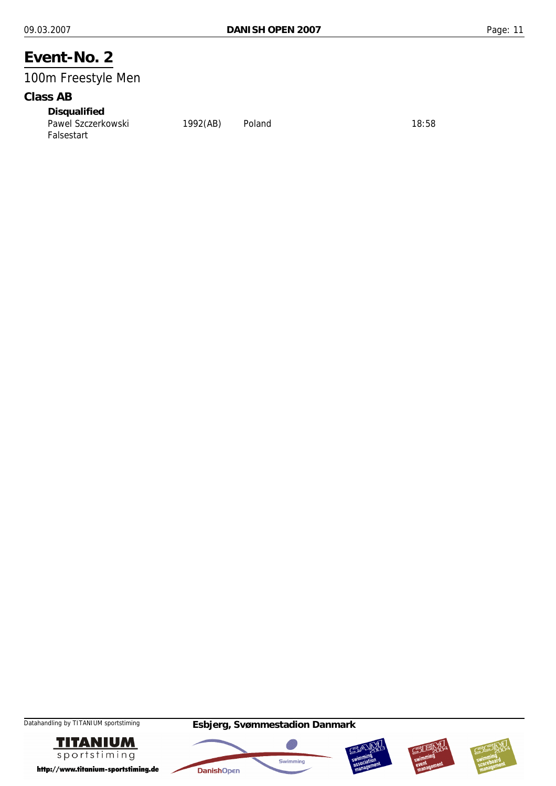## 100m Freestyle Men

#### **Class AB**

*Disqualified* Pawel Szczerkowski 1992(AB) Poland 18:58 Falsestart









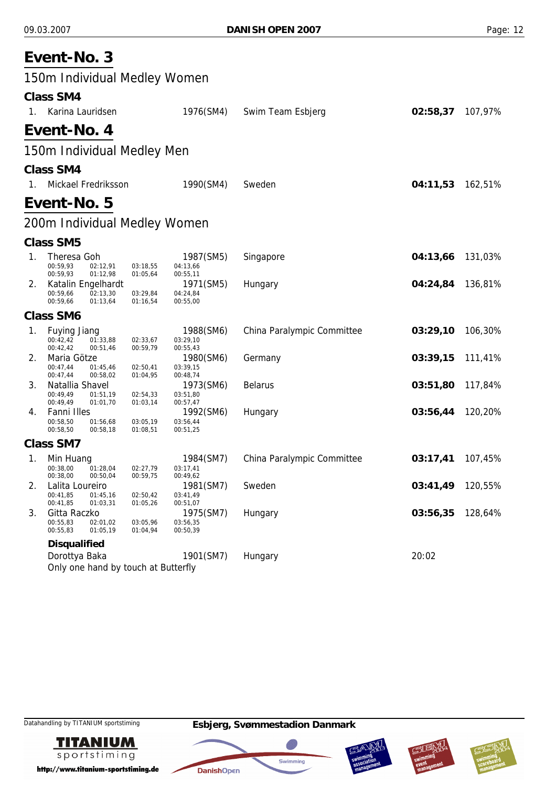|    | Event-No. 3                                                                 |                      |                                   |                            |          |         |
|----|-----------------------------------------------------------------------------|----------------------|-----------------------------------|----------------------------|----------|---------|
|    | 150m Individual Medley Women                                                |                      |                                   |                            |          |         |
|    | <b>Class SM4</b>                                                            |                      |                                   |                            |          |         |
| 1. | Karina Lauridsen                                                            |                      | 1976(SM4)                         | Swim Team Esbjerg          | 02:58,37 | 107,97% |
|    | Event-No. 4                                                                 |                      |                                   |                            |          |         |
|    | 150m Individual Medley Men                                                  |                      |                                   |                            |          |         |
|    | <b>Class SM4</b>                                                            |                      |                                   |                            |          |         |
| 1. | Mickael Fredriksson                                                         |                      | 1990(SM4)                         | Sweden                     | 04:11,53 | 162,51% |
|    | Event-No. 5                                                                 |                      |                                   |                            |          |         |
|    | 200m Individual Medley Women                                                |                      |                                   |                            |          |         |
|    | <b>Class SM5</b>                                                            |                      |                                   |                            |          |         |
| 1. | <b>Theresa Goh</b><br>00:59,93<br>02:12,91<br>00:59,93<br>01:12,98          | 03:18,55<br>01:05,64 | 1987(SM5)<br>04:13,66<br>00:55,11 | Singapore                  | 04:13,66 | 131,03% |
| 2. | Katalin Engelhardt<br>00:59,66<br>02:13,30<br>00:59,66<br>01:13,64          | 03:29,84<br>01:16,54 | 1971(SM5)<br>04:24,84<br>00:55,00 | Hungary                    | 04:24,84 | 136,81% |
|    | <b>Class SM6</b>                                                            |                      |                                   |                            |          |         |
| 1. | <b>Fuying Jiang</b><br>00:42,42<br>01:33,88<br>00:42,42<br>00:51,46         | 02:33,67<br>00:59,79 | 1988(SM6)<br>03:29,10<br>00:55,43 | China Paralympic Committee | 03:29,10 | 106,30% |
| 2. | Maria Götze<br>00:47,44<br>01:45,46<br>00:47,44<br>00:58,02                 | 02:50,41<br>01:04,95 | 1980(SM6)<br>03:39,15<br>00:48,74 | Germany                    | 03:39,15 | 111,41% |
| 3. | Natallia Shavel<br>00:49,49<br>01:51,19<br>00:49,49<br>01:01,70             | 02:54,33<br>01:03,14 | 1973(SM6)<br>03:51,80<br>00:57,47 | <b>Belarus</b>             | 03:51,80 | 117,84% |
| 4. | Fanni Illes<br>00:58,50<br>01:56,68<br>00:58,50<br>00:58,18                 | 03:05,19<br>01:08,51 | 1992(SM6)<br>03:56,44<br>00:51,25 | Hungary                    | 03:56,44 | 120,20% |
|    | <b>Class SM7</b>                                                            |                      |                                   |                            |          |         |
| 1. | Min Huang<br>01:28.04<br>00:38,00<br>00:38,00<br>00:50,04                   | 02:27,79<br>00:59,75 | 1984(SM7)<br>03:17,41<br>00:49,62 | China Paralympic Committee | 03:17,41 | 107,45% |
| 2. | Lalita Loureiro<br>00:41,85<br>01:45,16<br>00:41,85<br>01:03,31             | 02:50,42<br>01:05,26 | 1981(SM7)<br>03:41,49<br>00:51,07 | Sweden                     | 03:41,49 | 120,55% |
| 3. | Gitta Raczko<br>00:55,83<br>02:01.02<br>00:55,83<br>01:05,19                | 03:05,96<br>01:04,94 | 1975(SM7)<br>03:56,35<br>00:50,39 | Hungary                    | 03:56,35 | 128,64% |
|    | <b>Disqualified</b><br>Dorottya Baka<br>Only one hand by touch at Butterfly |                      | 1901(SM7)                         | Hungary                    | 20:02    |         |









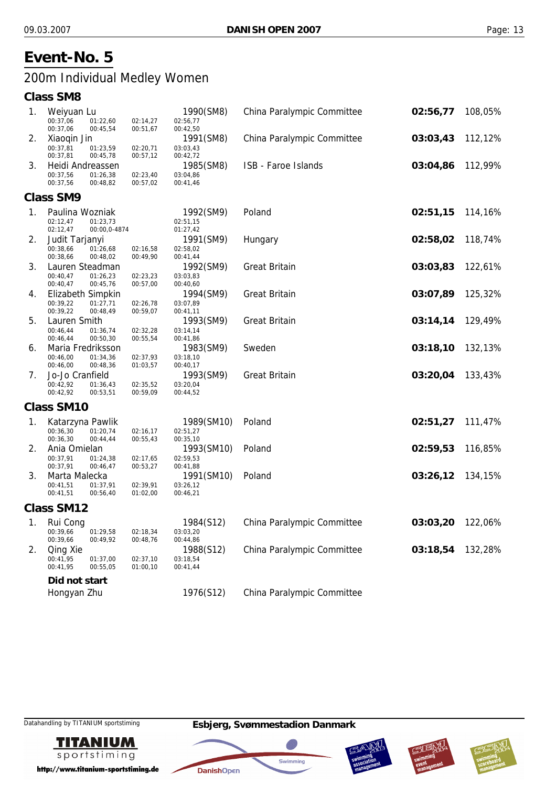## 200m Individual Medley Women

#### **Class SM8**

| 1. | Weiyuan Lu                |                      |                      | 1990(SM8)              | China Paralympic Committee | 02:56,77 | 108,05% |
|----|---------------------------|----------------------|----------------------|------------------------|----------------------------|----------|---------|
|    | 00:37,06                  | 01:22,60             | 02:14,27             | 02:56,77               |                            |          |         |
|    | 00:37,06                  | 00:45,54             | 00:51,67             | 00:42,50               |                            |          |         |
| 2. | Xiaogin Jin               |                      |                      | 1991(SM8)              | China Paralympic Committee | 03:03,43 | 112,12% |
|    | 00:37,81<br>00:37,81      | 01:23,59<br>00:45,78 | 02:20,71<br>00:57,12 | 03:03,43<br>00:42,72   |                            |          |         |
| 3. | Heidi Andreassen          |                      |                      | 1985(SM8)              | ISB - Faroe Islands        | 03:04,86 | 112,99% |
|    | 00:37,56                  | 01:26,38             | 02:23,40             | 03:04,86               |                            |          |         |
|    | 00:37,56                  | 00:48,82             | 00:57,02             | 00:41,46               |                            |          |         |
|    | <b>Class SM9</b>          |                      |                      |                        |                            |          |         |
| 1. | Paulina Wozniak           |                      |                      | 1992(SM9)              | Poland                     | 02:51,15 | 114,16% |
|    | 02:12,47                  | 01:23,73             |                      | 02:51,15               |                            |          |         |
|    | 02:12,47                  | 00:00,0-4874         |                      | 01:27,42               |                            |          |         |
| 2. | Judit Tarjanyi            |                      |                      | 1991(SM9)              | Hungary                    | 02:58,02 | 118,74% |
|    | 00:38,66                  | 01:26,68             | 02:16,58             | 02:58,02               |                            |          |         |
|    | 00:38,66                  | 00:48,02             | 00:49,90             | 00:41,44               |                            |          |         |
| 3. | Lauren Steadman           |                      |                      | 1992(SM9)              | <b>Great Britain</b>       | 03:03,83 | 122,61% |
|    | 00:40,47<br>00:40,47      | 01:26,23<br>00:45,76 | 02:23,23<br>00:57,00 | 03:03,83<br>00:40,60   |                            |          |         |
| 4. | Elizabeth Simpkin         |                      |                      | 1994(SM9)              | <b>Great Britain</b>       | 03:07,89 | 125,32% |
|    | 00:39,22                  | 01:27,71             | 02:26,78             | 03:07,89               |                            |          |         |
|    | 00:39,22                  | 00:48,49             | 00:59,07             | 00:41,11               |                            |          |         |
| 5. | Lauren Smith              |                      |                      | 1993(SM9)              | <b>Great Britain</b>       | 03:14,14 | 129,49% |
|    | 00:46,44                  | 01:36,74             | 02:32,28             | 03:14,14               |                            |          |         |
|    | 00:46,44                  | 00:50,30             | 00:55,54             | 00:41,86               |                            |          |         |
| 6. | Maria Fredriksson         |                      |                      | 1983(SM9)              | Sweden                     | 03:18,10 | 132,13% |
|    | 00:46,00<br>00:46,00      | 01:34,36<br>00:48,36 | 02:37,93<br>01:03,57 | 03:18,10<br>00:40,17   |                            |          |         |
| 7. | Jo-Jo Cranfield           |                      |                      | 1993(SM9)              | <b>Great Britain</b>       | 03:20,04 | 133,43% |
|    | 00:42,92                  | 01:36,43             | 02:35,52             | 03:20,04               |                            |          |         |
|    | 00:42,92                  | 00:53,51             | 00:59,09             | 00:44,52               |                            |          |         |
|    | <b>Class SM10</b>         |                      |                      |                        |                            |          |         |
| 1. | Katarzyna Pawlik          |                      |                      | 1989(SM10)             | Poland                     | 02:51,27 | 111,47% |
|    | 00:36,30                  | 01:20,74             | 02:16,17             | 02:51,27               |                            |          |         |
|    | 00:36,30                  | 00:44,44             | 00:55,43             | 00:35,10               |                            |          |         |
| 2. | Ania Omielan              |                      |                      | 1993(SM10)             | Poland                     | 02:59,53 | 116,85% |
|    | 00:37,91                  | 01:24,38             | 02:17,65             | 02:59,53               |                            |          |         |
| 3. | 00:37,91<br>Marta Malecka | 00:46,47             | 00:53,27             | 00:41,88               | Poland                     | 03:26,12 |         |
|    | 00:41,51                  | 01:37,91             | 02:39,91             | 1991(SM10)<br>03:26,12 |                            |          | 134,15% |
|    | 00:41,51                  | 00:56,40             | 01:02,00             | 00:46,21               |                            |          |         |
|    | <b>Class SM12</b>         |                      |                      |                        |                            |          |         |
|    | 1. Rui Cong               |                      |                      | 1984(S12)              | China Paralympic Committee | 03:03,20 | 122,06% |
|    | 00:39,66                  | 01:29,58             | 02:18,34             | 03:03,20               |                            |          |         |
|    | 00:39,66                  | 00:49,92             | 00:48,76             | 00:44,86               |                            |          |         |
| 2. | Qing Xie                  |                      |                      | 1988(S12)              | China Paralympic Committee | 03:18,54 | 132,28% |
|    | 00:41,95                  | 01:37,00             | 02:37,10             | 03:18,54               |                            |          |         |
|    | 00:41,95                  | 00:55,05             | 01:00,10             | 00:41,44               |                            |          |         |
|    | Did not start             |                      |                      |                        |                            |          |         |
|    | Hongyan Zhu               |                      |                      | 1976(S12)              | China Paralympic Committee |          |         |
|    |                           |                      |                      |                        |                            |          |         |

**TITANIUM** sportstiming

http://www.titanium-sportstiming.de







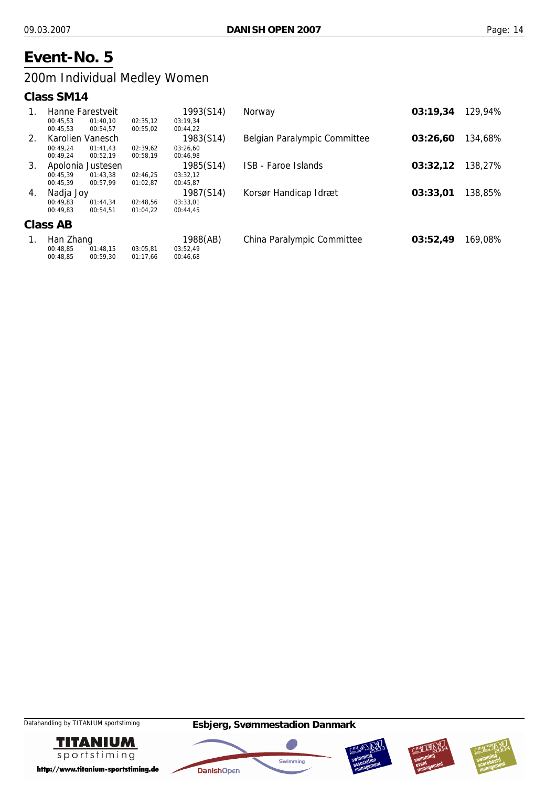## 200m Individual Medley Women

#### **Class SM14**

| 1.      |           | Hanne Farestveit  |          | 1993(S14) | Norway                       | 03:19,34 | 129,94% |
|---------|-----------|-------------------|----------|-----------|------------------------------|----------|---------|
|         | 00:45.53  | 01:40.10          | 02:35,12 | 03:19,34  |                              |          |         |
|         | 00:45,53  | 00:54,57          | 00:55,02 | 00:44,22  |                              |          |         |
| $2_{1}$ |           | Karolien Vanesch  |          | 1983(S14) | Belgian Paralympic Committee | 03:26.60 | 134,68% |
|         | 00:49.24  | 01:41.43          | 02:39,62 | 03:26.60  |                              |          |         |
|         | 00:49.24  | 00:52.19          | 00:58,19 | 00:46,98  |                              |          |         |
| 3.      |           | Apolonia Justesen |          | 1985(S14) | <b>ISB - Faroe Islands</b>   | 03:32,12 | 138,27% |
|         | 00:45.39  | 01:43.38          | 02:46,25 | 03:32,12  |                              |          |         |
|         | 00:45.39  | 00:57.99          | 01:02,87 | 00:45,87  |                              |          |         |
| 4.      | Nadja Joy |                   |          | 1987(S14) | Korsør Handicap Idræt        | 03:33.01 | 138,85% |
|         | 00:49.83  | 01:44.34          | 02:48.56 | 03:33,01  |                              |          |         |
|         | 00:49,83  | 00:54.51          | 01:04.22 | 00:44,45  |                              |          |         |
|         | Class AB  |                   |          |           |                              |          |         |
| 1.      | Han Zhang |                   |          | 1988(AB)  | China Paralympic Committee   | 03:52,49 | 169,08% |
|         | 00:48.85  | 01:48,15          | 03:05,81 | 03:52,49  |                              |          |         |
|         | 00:48,85  | 00:59,30          | 01:17,66 | 00:46,68  |                              |          |         |









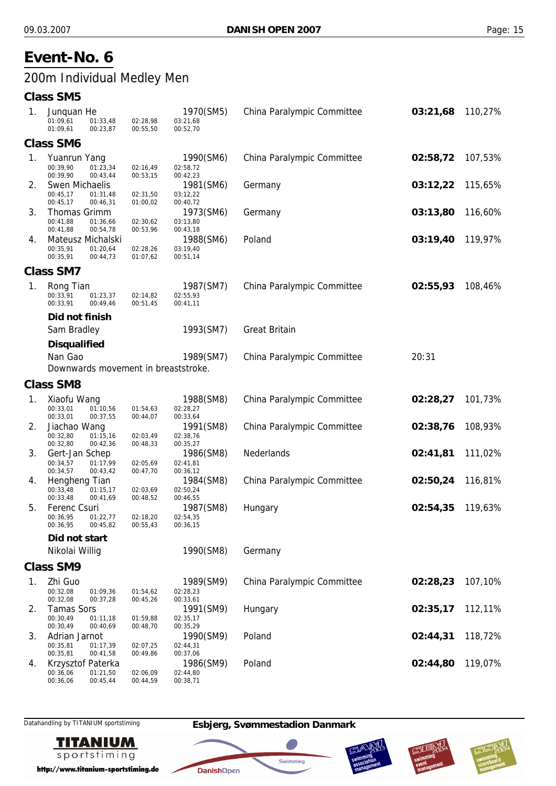## 200m Individual Medley Men

#### **Class SM5**

| 1.             | Junquan He<br>01:09,61<br>01:33,48<br>01:09,61<br>00:23,87 | 02:28,98<br>00:55,50 | 1970(SM5)<br>03:21,68<br>00:52,70 | China Paralympic Committee | 03:21,68 | 110,27% |
|----------------|------------------------------------------------------------|----------------------|-----------------------------------|----------------------------|----------|---------|
|                | <b>Class SM6</b>                                           |                      |                                   |                            |          |         |
| $\mathbf{1}$ . | Yuanrun Yang                                               |                      | 1990(SM6)                         | China Paralympic Committee | 02:58,72 | 107,53% |
|                | 00:39,90<br>01:23,34                                       | 02:16,49             | 02:58,72                          |                            |          |         |
|                | 00:39,90<br>00:43,44                                       | 00:53,15             | 00:42,23                          |                            |          |         |
| 2.             | Swen Michaelis<br>00:45,17<br>01:31,48                     | 02:31,50             | 1981(SM6)<br>03:12,22             | Germany                    | 03:12,22 | 115,65% |
|                | 00:45,17<br>00:46,31                                       | 01:00,02             | 00:40,72                          |                            |          |         |
| 3.             | Thomas Grimm                                               |                      | 1973(SM6)                         | Germany                    | 03:13,80 | 116,60% |
|                | 00:41,88<br>01:36,66<br>00:41,88<br>00:54,78               | 02:30,62<br>00:53,96 | 03:13,80<br>00:43,18              |                            |          |         |
| 4.             | Mateusz Michalski                                          |                      | 1988(SM6)                         | Poland                     | 03:19,40 | 119,97% |
|                | 00:35,91<br>01:20,64                                       | 02:28,26             | 03:19,40                          |                            |          |         |
|                | 00:35,91<br>00:44,73                                       | 01:07,62             | 00:51,14                          |                            |          |         |
|                | <b>Class SM7</b>                                           |                      |                                   |                            |          |         |
| 1 <sub>1</sub> | Rong Tian                                                  |                      | 1987(SM7)                         | China Paralympic Committee | 02:55,93 | 108,46% |
|                | 00:33,91<br>01:23,37<br>00:33,91<br>00:49,46               | 02:14,82<br>00:51,45 | 02:55,93<br>00:41,11              |                            |          |         |
|                | Did not finish                                             |                      |                                   |                            |          |         |
|                | Sam Bradley                                                |                      | 1993(SM7)                         | <b>Great Britain</b>       |          |         |
|                |                                                            |                      |                                   |                            |          |         |
|                | <b>Disqualified</b>                                        |                      |                                   |                            |          |         |
|                | Nan Gao                                                    |                      | 1989(SM7)                         | China Paralympic Committee | 20:31    |         |
|                | Downwards movement in breaststroke.                        |                      |                                   |                            |          |         |
|                | <b>Class SM8</b>                                           |                      |                                   |                            |          |         |
| 1.             | Xiaofu Wang                                                |                      | 1988(SM8)                         | China Paralympic Committee | 02:28,27 | 101,73% |
|                | 00:33,01<br>01:10,56<br>00:33,01<br>00:37,55               | 01:54,63<br>00:44,07 | 02:28,27<br>00:33,64              |                            |          |         |
| 2.             | Jiachao Wang                                               |                      | 1991(SM8)                         | China Paralympic Committee | 02:38,76 | 108,93% |
|                | 00:32,80<br>01:15,16                                       | 02:03,49             | 02:38,76                          |                            |          |         |
| 3.             | 00:32,80<br>00:42,36                                       | 00:48,33             | 00:35,27<br>1986(SM8)             | Nederlands                 | 02:41,81 | 111,02% |
|                | Gert-Jan Schep<br>00:34,57<br>01:17,99                     | 02:05,69             | 02:41,81                          |                            |          |         |
|                | 00:34,57<br>00:43,42                                       | 00:47,70             | 00:36,12                          |                            |          |         |
| 4.             | Hengheng Tian<br>00:33,48<br>01:15,17                      | 02:03,69             | 1984(SM8)<br>02:50,24             | China Paralympic Committee | 02:50,24 | 116,81% |
|                | 00:33,48<br>00:41,69                                       | 00:48,52             | 00:46,55                          |                            |          |         |
| 5.             | Ferenc Csuri                                               |                      | 1987(SM8)                         | Hungary                    | 02:54,35 | 119,63% |
|                | 00:36,95<br>01:22,77<br>00:36.95<br>00:45.82               | 02:18,20<br>00:55,43 | 02:54,35<br>00:36,15              |                            |          |         |
|                | Did not start                                              |                      |                                   |                            |          |         |
|                | Nikolai Willig                                             |                      | 1990(SM8)                         | Germany                    |          |         |
|                |                                                            |                      |                                   |                            |          |         |
|                | <b>Class SM9</b>                                           |                      |                                   |                            |          |         |
| 1.             | Zhi Guo<br>00:32,08<br>01:09,36                            | 01:54,62             | 1989(SM9)<br>02:28,23             | China Paralympic Committee | 02:28,23 | 107,10% |
|                | 00:32,08<br>00:37,28                                       | 00:45,26             | 00:33,61                          |                            |          |         |
| 2.             | <b>Tamas Sors</b>                                          |                      | 1991(SM9)                         | Hungary                    | 02:35,17 | 112,11% |
|                | 00:30,49<br>01:11,18<br>00:30,49<br>00:40,69               | 01:59,88<br>00:48,70 | 02:35,17<br>00:35,29              |                            |          |         |
| 3.             | Adrian Jarnot                                              |                      | 1990(SM9)                         | Poland                     | 02:44,31 | 118,72% |
|                | 00:35,81<br>01:17,39                                       | 02:07,25             | 02:44,31                          |                            |          |         |
|                | 00:35,81<br>00:41,58                                       | 00:49,86             | 00:37,06                          |                            |          |         |
| 4.             | Krzysztof Paterka<br>00:36,06<br>01:21,50                  | 02:06,09             | 1986(SM9)<br>02:44,80             | Poland                     | 02:44,80 | 119,07% |
|                | 00:36,06<br>00:45,44                                       | 00:44,59             | 00:38,71                          |                            |          |         |



http://www.titanium-sportstiming.de



**DanishOpen** 

40

Swimming





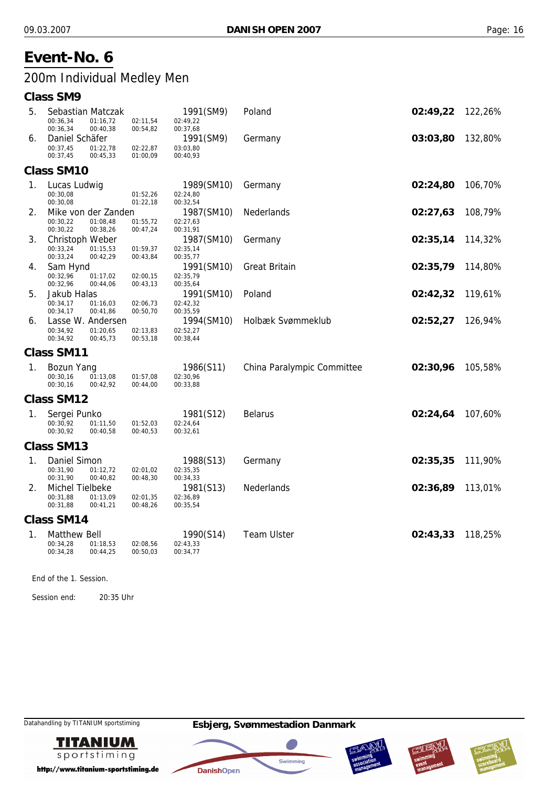## 200m Individual Medley Men

#### **Class SM9**

| 5. | Sebastian Matczak<br>00:36.34<br>01:16,72                           | 02:11,54             | 1991(SM9)<br>02:49,22              | Poland                     | 02:49,22 | 122,26% |
|----|---------------------------------------------------------------------|----------------------|------------------------------------|----------------------------|----------|---------|
| 6. | 00:40,38<br>00:36,34<br>Daniel Schäfer                              | 00:54,82             | 00:37,68<br>1991(SM9)              | Germany                    | 03:03,80 | 132,80% |
|    | 00:37,45<br>01:22,78<br>00:37,45<br>00:45,33                        | 02:22,87<br>01:00,09 | 03:03,80<br>00:40,93               |                            |          |         |
|    | <b>Class SM10</b>                                                   |                      |                                    |                            |          |         |
| 1. | Lucas Ludwig<br>00:30,08<br>00:30,08                                | 01:52,26<br>01:22,18 | 1989(SM10)<br>02:24,80<br>00:32,54 | Germany                    | 02:24,80 | 106,70% |
| 2. | Mike von der Zanden<br>00:30,22<br>01:08,48<br>00:30,22<br>00:38,26 | 01:55,72<br>00:47,24 | 1987(SM10)<br>02:27,63<br>00:31,91 | <b>Nederlands</b>          | 02:27,63 | 108,79% |
| 3. | Christoph Weber<br>00:33,24<br>01:15,53<br>00:33,24<br>00:42,29     | 01:59,37<br>00:43,84 | 1987(SM10)<br>02:35,14<br>00:35,77 | Germany                    | 02:35,14 | 114,32% |
| 4. | Sam Hynd<br>00:32,96<br>01:17,02<br>00:32,96<br>00:44,06            | 02:00,15<br>00:43,13 | 1991(SM10)<br>02:35,79<br>00:35,64 | <b>Great Britain</b>       | 02:35,79 | 114,80% |
| 5. | Jakub Halas<br>00:34,17<br>01:16,03<br>00:34,17<br>00:41,86         | 02:06,73<br>00:50,70 | 1991(SM10)<br>02:42,32<br>00:35,59 | Poland                     | 02:42,32 | 119,61% |
| 6. | Lasse W. Andersen<br>00:34,92<br>01:20,65<br>00:34,92<br>00:45,73   | 02:13,83<br>00:53,18 | 1994(SM10)<br>02:52,27<br>00:38,44 | Holbæk Svømmeklub          | 02:52,27 | 126,94% |
|    | <b>Class SM11</b>                                                   |                      |                                    |                            |          |         |
| 1. | Bozun Yang<br>00:30,16<br>01:13,08<br>00:30,16<br>00:42,92          | 01:57,08<br>00:44,00 | 1986(S11)<br>02:30,96<br>00:33,88  | China Paralympic Committee | 02:30,96 | 105,58% |
|    | <b>Class SM12</b>                                                   |                      |                                    |                            |          |         |
| 1. | Sergei Punko<br>00:30.92<br>01:11,50<br>00:30,92<br>00:40,58        | 01:52,03<br>00:40,53 | 1981(S12)<br>02:24,64<br>00:32,61  | <b>Belarus</b>             | 02:24,64 | 107,60% |
|    | <b>Class SM13</b>                                                   |                      |                                    |                            |          |         |
| 1. | Daniel Simon<br>00:31.90<br>01:12,72<br>00:40,82<br>00:31,90        | 02:01,02<br>00:48,30 | 1988(S13)<br>02:35,35<br>00:34,33  | Germany                    | 02:35,35 | 111,90% |
| 2. | Michel Tielbeke<br>00:31,88<br>01:13,09<br>00:31,88<br>00:41,21     | 02:01,35<br>00:48,26 | 1981(S13)<br>02:36,89<br>00:35,54  | <b>Nederlands</b>          | 02:36,89 | 113,01% |
|    | <b>Class SM14</b>                                                   |                      |                                    |                            |          |         |
| 1. | <b>Matthew Bell</b><br>00:34,28<br>01:18,53<br>00:34,28<br>00:44,25 | 02:08,56<br>00:50,03 | 1990(S14)<br>02:43,33<br>00:34,77  | <b>Team Ulster</b>         | 02:43,33 | 118,25% |

End of the 1. Session.

Session end: 20:35 Uhr



http://www.titanium-sportstiming.de







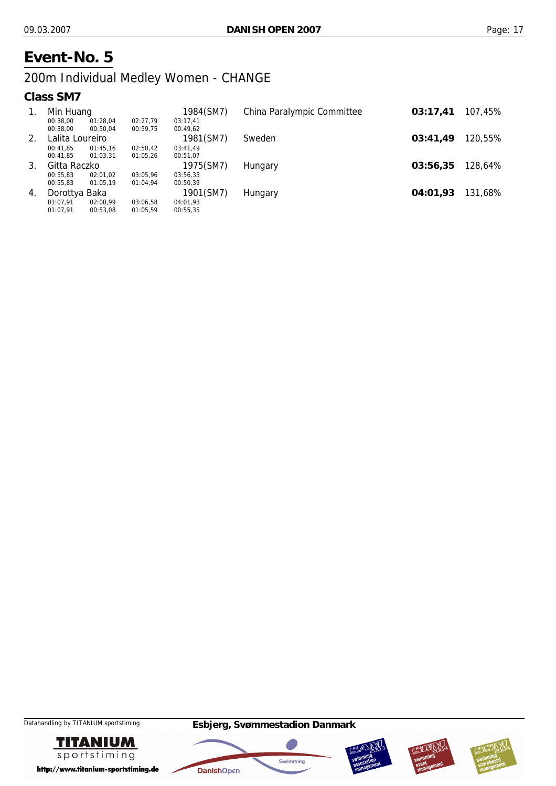## 200m Individual Medley Women - CHANGE

#### **Class SM7**

| $\mathbf{1}$ . | Min Huang       |          |          | 1984(SM7) | China Paralympic Committee | 03:17.41 | 107,45% |
|----------------|-----------------|----------|----------|-----------|----------------------------|----------|---------|
|                | 00:38.00        | 01:28,04 | 02:27.79 | 03:17.41  |                            |          |         |
|                | 00:38.00        | 00:50,04 | 00:59,75 | 00:49.62  |                            |          |         |
| 2.             | Lalita Loureiro |          |          | 1981(SM7) | Sweden                     | 03:41.49 | 120,55% |
|                | 00:41.85        | 01:45.16 | 02:50.42 | 03:41.49  |                            |          |         |
|                | 00:41.85        | 01:03.31 | 01:05,26 | 00:51.07  |                            |          |         |
| 3.             | Gitta Raczko    |          |          | 1975(SM7) | Hungary                    | 03:56,35 | 128,64% |
|                | 00:55.83        | 02:01.02 | 03:05,96 | 03:56,35  |                            |          |         |
|                | 00:55.83        | 01:05.19 | 01:04.94 | 00:50.39  |                            |          |         |
| 4.             | Dorottya Baka   |          |          | 1901(SM7) | Hungary                    | 04:01.93 | 131,68% |
|                | 01:07.91        | 02:00.99 | 03:06,58 | 04:01.93  |                            |          |         |
|                | 01:07.91        | 00:53.08 | 01:05,59 | 00:55,35  |                            |          |         |









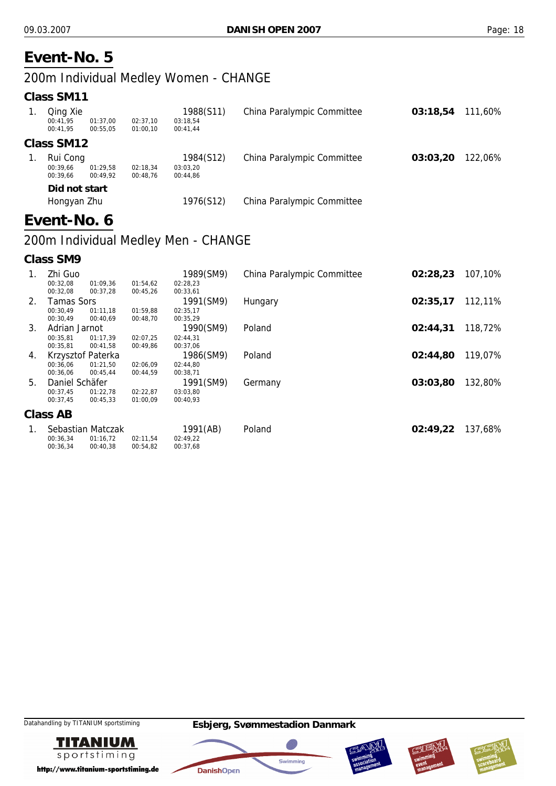### 200m Individual Medley Women - CHANGE

#### **Class SM11**

| Qing Xie<br>00:41.95<br>00:41.95 | 01:37.00<br>00:55.05 | 02:37.10<br>01:00.10 | 1988(S11)<br>03:18.54<br>00:41.44 | China Paralympic Committee | 03:18.54 | 111.60% |
|----------------------------------|----------------------|----------------------|-----------------------------------|----------------------------|----------|---------|
| Class SM12                       |                      |                      |                                   |                            |          |         |
| Rui Cong                         |                      |                      | 1984(S12)                         | China Paralympic Committee | 03:03.20 | 122.06% |
| 00:39.66                         | 01:29.58             | 02:18.34             | 03:03.20                          |                            |          |         |
| 00:39.66                         | 00:49.92             | 00:48.76             | 00:44.86                          |                            |          |         |
| Did not start                    |                      |                      |                                   |                            |          |         |
| Hongyan Zhu                      |                      |                      | 1976(S12)                         | China Paralympic Committee |          |         |

## **Event-No. 6**

## 200m Individual Medley Men - CHANGE

**Class SM9**

 $00:36.34$ 

00:40,38

00:54,82

 $00:37.68$ 

| 1. | Zhi Guo           |                   |          | 1989(SM9) | China Paralympic Committee | 02:28,23 | 107,10% |
|----|-------------------|-------------------|----------|-----------|----------------------------|----------|---------|
|    | 00:32,08          | 01:09,36          | 01:54,62 | 02:28,23  |                            |          |         |
|    | 00:32,08          | 00:37,28          | 00:45,26 | 00:33,61  |                            |          |         |
| 2. | <b>Tamas Sors</b> |                   |          | 1991(SM9) | Hungary                    | 02:35,17 | 112,11% |
|    | 00:30,49          | 01:11,18          | 01:59,88 | 02:35,17  |                            |          |         |
|    | 00:30,49          | 00:40,69          | 00:48,70 | 00:35,29  |                            |          |         |
| 3. | Adrian Jarnot     |                   |          | 1990(SM9) | Poland                     | 02:44.31 | 118,72% |
|    | 00:35.81          | 01:17.39          | 02:07.25 | 02:44.31  |                            |          |         |
|    | 00:35,81          | 00:41,58          | 00:49,86 | 00:37,06  |                            |          |         |
| 4. |                   | Krzysztof Paterka |          | 1986(SM9) | Poland                     | 02:44.80 | 119,07% |
|    | 00:36.06          | 01:21.50          | 02:06,09 | 02:44,80  |                            |          |         |
|    | 00:36,06          | 00:45,44          | 00:44,59 | 00:38,71  |                            |          |         |
| 5. | Daniel Schäfer    |                   |          | 1991(SM9) | Germany                    | 03:03,80 | 132,80% |
|    | 00:37,45          | 01:22,78          | 02:22,87 | 03:03,80  |                            |          |         |
|    | 00:37,45          | 00:45,33          | 01:00,09 | 00:40,93  |                            |          |         |
|    | Class AB          |                   |          |           |                            |          |         |
| 1. |                   | Sebastian Matczak |          | 1991(AB)  | Poland                     | 02:49,22 | 137,68% |
|    | 00:36,34          | 01:16,72          | 02:11,54 | 02:49,22  |                            |          |         |









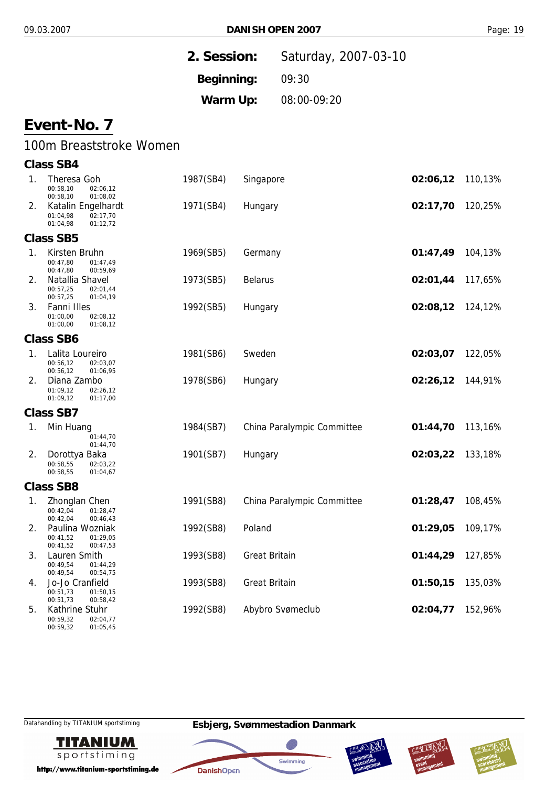|    |                                                                    | 2. Session: |                      | Saturday, 2007-03-10       |          |         |
|----|--------------------------------------------------------------------|-------------|----------------------|----------------------------|----------|---------|
|    |                                                                    | Beginning:  |                      | 09:30                      |          |         |
|    |                                                                    | Warm Up:    |                      | 08:00-09:20                |          |         |
|    | Event-No. 7                                                        |             |                      |                            |          |         |
|    | 100m Breaststroke Women                                            |             |                      |                            |          |         |
|    | <b>Class SB4</b>                                                   |             |                      |                            |          |         |
| 1. | Theresa Goh<br>00:58,10<br>02:06,12<br>00:58,10<br>01:08,02        | 1987(SB4)   | Singapore            |                            | 02:06,12 | 110,13% |
| 2. | Katalin Engelhardt<br>02:17,70<br>01:04,98<br>01:04,98<br>01:12,72 | 1971(SB4)   | Hungary              |                            | 02:17,70 | 120,25% |
|    | <b>Class SB5</b>                                                   |             |                      |                            |          |         |
| 1. | Kirsten Bruhn<br>00:47,80<br>01:47,49<br>00:47,80<br>00:59,69      | 1969(SB5)   | Germany              |                            | 01:47,49 | 104,13% |
| 2. | Natallia Shavel<br>00:57,25<br>02:01,44<br>00:57,25<br>01:04,19    | 1973(SB5)   | <b>Belarus</b>       |                            | 02:01,44 | 117,65% |
| 3. | Fanni Illes<br>01:00,00<br>02:08,12<br>01:00,00<br>01:08,12        | 1992(SB5)   | Hungary              |                            | 02:08,12 | 124,12% |
|    | <b>Class SB6</b>                                                   |             |                      |                            |          |         |
| 1. | Lalita Loureiro<br>00:56,12<br>02:03,07<br>00:56,12<br>01:06,95    | 1981(SB6)   | Sweden               |                            | 02:03,07 | 122,05% |
| 2. | Diana Zambo<br>01:09,12<br>02:26,12<br>01:09,12<br>01:17,00        | 1978(SB6)   | Hungary              |                            | 02:26,12 | 144,91% |
|    | <b>Class SB7</b>                                                   |             |                      |                            |          |         |
| 1. | Min Huang<br>01:44,70<br>01:44,70                                  | 1984(SB7)   |                      | China Paralympic Committee | 01:44,70 | 113,16% |
| 2. | Dorottya Baka<br>00:58,55<br>02:03,22<br>00:58,55<br>01:04,67      | 1901(SB7)   | Hungary              |                            | 02:03,22 | 133,18% |
|    | <b>Class SB8</b>                                                   |             |                      |                            |          |         |
| 1. | Zhonglan Chen<br>00:42,04<br>01:28,47<br>00:42,04<br>00:46,43      | 1991(SB8)   |                      | China Paralympic Committee | 01:28,47 | 108,45% |
| 2. | Paulina Wozniak<br>00:41,52<br>01:29,05<br>00:41,52<br>00:47,53    | 1992(SB8)   | Poland               |                            | 01:29,05 | 109,17% |
| 3. | Lauren Smith<br>00:49.54<br>01:44,29<br>00:49,54<br>00:54,75       | 1993(SB8)   | <b>Great Britain</b> |                            | 01:44,29 | 127,85% |
| 4. | Jo-Jo Cranfield<br>00:51,73<br>01:50,15<br>00:51,73<br>00:58,42    | 1993(SB8)   | <b>Great Britain</b> |                            | 01:50,15 | 135,03% |
| 5. | Kathrine Stuhr                                                     | 1992(SB8)   |                      | Abybro Svømeclub           | 02:04,77 | 152,96% |

00:59,32 00:59,32 02:04,77 01:05,45

Datahandling by TITANIUM sportstiming **Esbjerg, Svømmestadion Danmark**



http://www.titanium-sportstiming.de







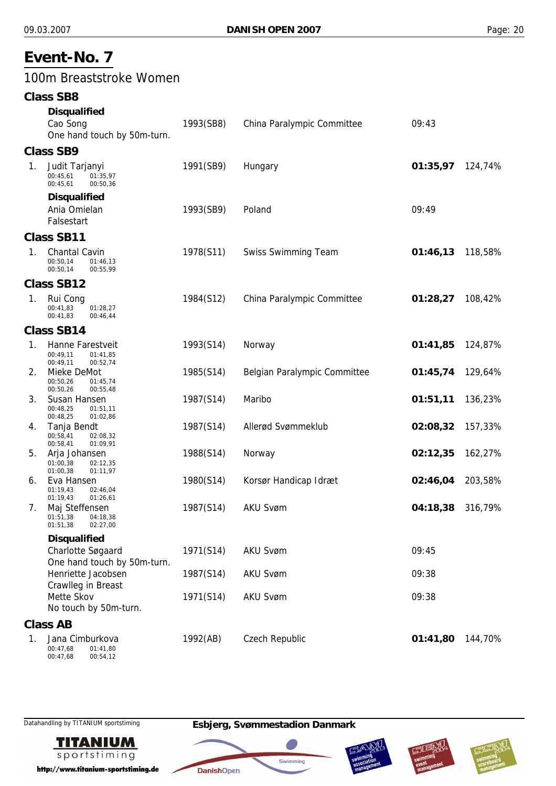## 100m Breaststroke Women

|             | <b>Class SB8</b>                                                 |           |                              |                  |         |
|-------------|------------------------------------------------------------------|-----------|------------------------------|------------------|---------|
|             | <b>Disqualified</b>                                              |           |                              |                  |         |
|             | Cao Song<br>One hand touch by 50m-turn.                          | 1993(SB8) | China Paralympic Committee   | 09:43            |         |
|             | <b>Class SB9</b>                                                 |           |                              |                  |         |
| 1.          | Judit Tarjanyi<br>00:45,61<br>01:35,97<br>00:45,61<br>00:50,36   | 1991(SB9) | Hungary                      | 01:35,97         | 124,74% |
|             | <b>Disqualified</b><br>Ania Omielan<br>Falsestart                | 1993(SB9) | Poland                       | 09:49            |         |
|             | <b>Class SB11</b>                                                |           |                              |                  |         |
| $1_{\cdot}$ | Chantal Cavin<br>00:50,14<br>01:46,13<br>00:50,14<br>00:55,99    | 1978(S11) | <b>Swiss Swimming Team</b>   | 01:46,13 118,58% |         |
|             | <b>Class SB12</b>                                                |           |                              |                  |         |
| 1.          | Rui Cong<br>00:41.83<br>01:28,27<br>00:41,83<br>00:46,44         | 1984(S12) | China Paralympic Committee   | 01:28,27         | 108,42% |
|             | <b>Class SB14</b>                                                |           |                              |                  |         |
| 1.          | Hanne Farestveit<br>00:49,11<br>01:41,85<br>00:49,11<br>00:52,74 | 1993(S14) | Norway                       | 01:41,85         | 124,87% |
| 2.          | Mieke DeMot<br>00:50,26<br>01:45,74<br>00:50,26<br>00:55,48      | 1985(S14) | Belgian Paralympic Committee | 01:45,74         | 129,64% |
| 3.          | Susan Hansen<br>00:48,25<br>01:51,11<br>00:48,25<br>01:02,86     | 1987(S14) | Maribo                       | 01:51,11         | 136,23% |
| 4.          | Tanja Bendt<br>00:58,41<br>02:08,32<br>00:58,41<br>01:09,91      | 1987(S14) | Allerød Svømmeklub           | 02:08,32         | 157,33% |
| 5.          | Arja Johansen<br>01:00.38<br>02:12,35<br>01:00,38<br>01:11,97    | 1988(S14) | Norway                       | 02:12,35         | 162,27% |
| 6.          | Eva Hansen<br>01:19,43<br>02:46,04<br>01:19,43<br>01:26,61       | 1980(S14) | Korsør Handicap Idræt        | 02:46,04         | 203,58% |
| 7.          | Maj Steffensen<br>01:51,38<br>04:18,38<br>01:51,38<br>02:27,00   | 1987(S14) | <b>AKU Svøm</b>              | 04:18,38 316,79% |         |
|             | <b>Disqualified</b>                                              |           |                              |                  |         |
|             | Charlotte Søgaard<br>One hand touch by 50m-turn.                 | 1971(S14) | <b>AKU Svøm</b>              | 09:45            |         |
|             | Henriette Jacobsen<br>Crawlleg in Breast                         | 1987(S14) | <b>AKU Svøm</b>              | 09:38            |         |
|             | Mette Skov<br>No touch by 50m-turn.                              | 1971(S14) | <b>AKU Svøm</b>              | 09:38            |         |
|             | <b>Class AB</b>                                                  |           |                              |                  |         |
| 1.          | Jana Cimburkova<br>00:47,68<br>01:41,80<br>00:47,68<br>00:54,12  | 1992(AB)  | Czech Republic               | 01:41,80         | 144,70% |



http://www.titanium-sportstiming.de







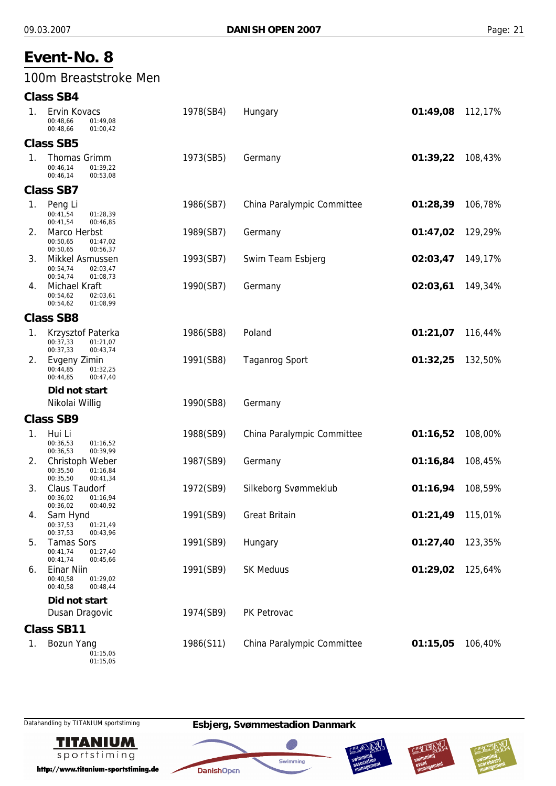## 100m Breaststroke Men

#### **Class SB4**

| 1. | Ervin Kovacs<br>00:48.66<br>01:49,08<br>00:48,66<br>01:00,42           | 1978(SB4) | Hungary                    | 01:49,08 | 112,17% |
|----|------------------------------------------------------------------------|-----------|----------------------------|----------|---------|
|    | <b>Class SB5</b>                                                       |           |                            |          |         |
| 1. | Thomas Grimm<br>00:46,14<br>01:39,22<br>00:46,14<br>00:53,08           | 1973(SB5) | Germany                    | 01:39,22 | 108,43% |
|    | <b>Class SB7</b>                                                       |           |                            |          |         |
| 1. | Peng Li<br>00:41,54<br>01:28,39<br>00:41,54<br>00:46,85                | 1986(SB7) | China Paralympic Committee | 01:28,39 | 106,78% |
| 2. | Marco Herbst<br>00:50,65<br>01:47,02<br>00:50,65<br>00:56,37           | 1989(SB7) | Germany                    | 01:47,02 | 129,29% |
| 3. | Mikkel Asmussen<br>00:54,74<br>02:03,47<br>00:54,74<br>01:08,73        | 1993(SB7) | Swim Team Esbjerg          | 02:03,47 | 149,17% |
| 4. | Michael Kraft<br>00:54,62<br>02:03,61<br>00:54,62<br>01:08,99          | 1990(SB7) | Germany                    | 02:03,61 | 149,34% |
|    | <b>Class SB8</b>                                                       |           |                            |          |         |
| 1. | Krzysztof Paterka<br>00:37,33<br>01:21,07<br>00:37,33<br>00:43,74      | 1986(SB8) | Poland                     | 01:21,07 | 116,44% |
| 2. | Evgeny Zimin<br>00:44,85<br>01:32,25<br>00:44,85<br>00:47,40           | 1991(SB8) | <b>Taganrog Sport</b>      | 01:32,25 | 132,50% |
|    | Did not start                                                          |           |                            |          |         |
|    | Nikolai Willig                                                         | 1990(SB8) | Germany                    |          |         |
|    | <b>Class SB9</b>                                                       |           |                            |          |         |
| 1. | Hui Li<br>00:36,53<br>01:16,52<br>00:36,53<br>00:39,99                 | 1988(SB9) | China Paralympic Committee | 01:16,52 | 108,00% |
| 2. | Christoph Weber<br>00:35,50<br>01:16,84<br>00:35,50<br>00:41,34        | 1987(SB9) | Germany                    | 01:16,84 | 108,45% |
| 3. | Claus Taudorf<br>00:36,02<br>01:16,94<br>00:36,02<br>00:40,92          | 1972(SB9) | Silkeborg Svømmeklub       | 01:16,94 | 108,59% |
| 4. | Sam Hynd<br>01:21,49<br>00:37,53<br>00:37,53<br>00:43,96               | 1991(SB9) | <b>Great Britain</b>       | 01:21,49 | 115,01% |
| 5. | <b>Tamas Sors</b><br>00:41,74<br>01:27,40                              | 1991(SB9) | Hungary                    | 01:27,40 | 123,35% |
|    | 00:45,66                                                               |           |                            |          |         |
| 6. | 00:41,74<br>Einar Niin<br>00:40,58<br>01:29,02<br>00:40,58<br>00:48,44 | 1991(SB9) | <b>SK Meduus</b>           | 01:29,02 | 125,64% |
|    | Did not start                                                          |           |                            |          |         |
|    | Dusan Dragovic                                                         | 1974(SB9) | PK Petrovac                |          |         |
| 1. | <b>Class SB11</b><br><b>Bozun Yang</b>                                 | 1986(S11) | China Paralympic Committee | 01:15,05 | 106,40% |



http://www.titanium-sportstiming.de

01:15,05







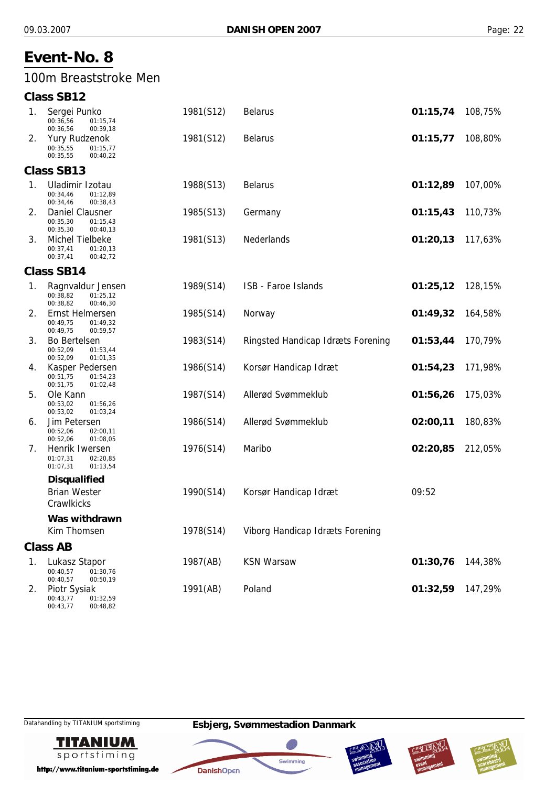## 100m Breaststroke Men

| <b>Class SB12</b> |
|-------------------|
|                   |

| 1. | Sergei Punko<br>00:36,56<br>01:15,74<br>00:36,56<br>00:39,18         | 1981(S12) | <b>Belarus</b>                    | 01:15,74 | 108,75% |
|----|----------------------------------------------------------------------|-----------|-----------------------------------|----------|---------|
| 2. | <b>Yury Rudzenok</b><br>00:35,55<br>01:15,77<br>00:35,55<br>00:40,22 | 1981(S12) | <b>Belarus</b>                    | 01:15,77 | 108,80% |
|    | <b>Class SB13</b>                                                    |           |                                   |          |         |
| 1. | Uladimir Izotau<br>00:34,46<br>01:12,89<br>00:34,46<br>00:38,43      | 1988(S13) | <b>Belarus</b>                    | 01:12,89 | 107,00% |
| 2. | Daniel Clausner<br>00:35,30<br>01:15,43<br>00:35,30<br>00:40,13      | 1985(S13) | Germany                           | 01:15,43 | 110,73% |
| 3. | Michel Tielbeke<br>00:37,41<br>01:20,13<br>00:37,41<br>00:42,72      | 1981(S13) | Nederlands                        | 01:20,13 | 117,63% |
|    | <b>Class SB14</b>                                                    |           |                                   |          |         |
| 1. | Ragnvaldur Jensen<br>00:38.82<br>01:25,12<br>00:38,82<br>00:46,30    | 1989(S14) | ISB - Faroe Islands               | 01:25,12 | 128,15% |
| 2. | Ernst Helmersen<br>00:49,75<br>01:49,32<br>00:49,75<br>00:59,57      | 1985(S14) | Norway                            | 01:49,32 | 164,58% |
| 3. | <b>Bo Bertelsen</b><br>00:52,09<br>01:53,44<br>00:52,09<br>01:01,35  | 1983(S14) | Ringsted Handicap Idræts Forening | 01:53,44 | 170,79% |
| 4. | Kasper Pedersen<br>00:51,75<br>01:54,23<br>00:51,75<br>01:02,48      | 1986(S14) | Korsør Handicap Idræt             | 01:54,23 | 171,98% |
| 5. | Ole Kann<br>00:53,02<br>01:56,26<br>00:53,02<br>01:03,24             | 1987(S14) | Allerød Svømmeklub                | 01:56,26 | 175,03% |
| 6. | Jim Petersen<br>00:52,06<br>02:00,11<br>00:52,06<br>01:08,05         | 1986(S14) | Allerød Svømmeklub                | 02:00,11 | 180,83% |
| 7. | Henrik Iwersen<br>01:07,31<br>02:20,85<br>01:07,31<br>01:13,54       | 1976(S14) | Maribo                            | 02:20,85 | 212,05% |
|    | <b>Disqualified</b>                                                  |           |                                   |          |         |
|    | <b>Brian Wester</b><br>Crawlkicks                                    | 1990(S14) | Korsør Handicap Idræt             | 09:52    |         |
|    | Was withdrawn                                                        |           |                                   |          |         |
|    | Kim Thomsen                                                          | 1978(S14) | Viborg Handicap Idræts Forening   |          |         |
|    | <b>Class AB</b>                                                      |           |                                   |          |         |
| 1. | Lukasz Stapor<br>00:40,57<br>01:30,76<br>00:40,57<br>00:50,19        | 1987(AB)  | <b>KSN Warsaw</b>                 | 01:30,76 | 144,38% |
| 2. | Piotr Sysiak<br>00:43,77<br>01:32,59                                 | 1991(AB)  | Poland                            | 01:32,59 | 147,29% |

00:43,77



http://www.titanium-sportstiming.de

00:48,82







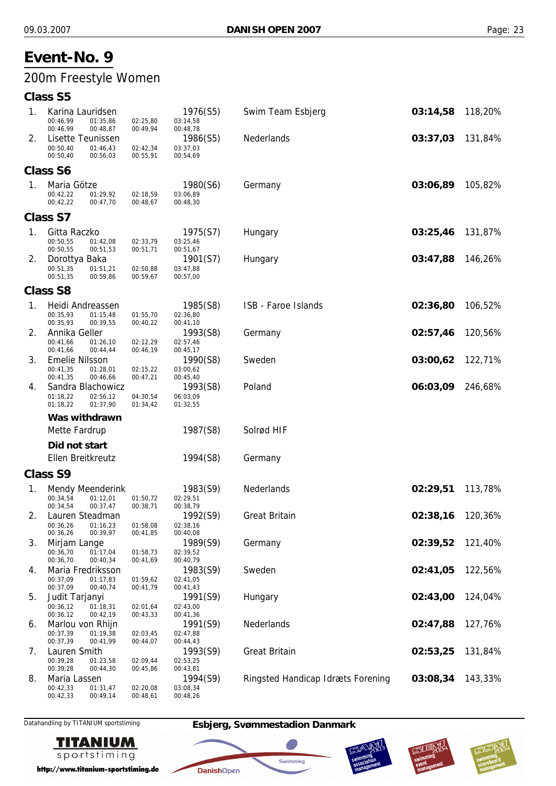# 200m Freestyle Women

## **Class S5**

| 1. | Karina Lauridsen<br>00:46,99<br>01:35,86<br>00:46,99<br>00:48,87      | 02:25,80<br>00:49,94 | 1976(S5)<br>03:14,58<br>00:48,78 | Swim Team Esbjerg                 | 03:14,58 | 118,20% |
|----|-----------------------------------------------------------------------|----------------------|----------------------------------|-----------------------------------|----------|---------|
| 2. | Lisette Teunissen<br>00:50,40<br>01:46,43<br>00:50,40<br>00:56,03     | 02:42,34<br>00:55,91 | 1986(S5)<br>03:37,03<br>00:54,69 | Nederlands                        | 03:37,03 | 131,84% |
|    | <b>Class S6</b>                                                       |                      |                                  |                                   |          |         |
| 1. | Maria Götze<br>00:42,22<br>01:29,92<br>00:42,22<br>00:47,70           | 02:18,59<br>00:48,67 | 1980(S6)<br>03:06,89<br>00:48,30 | Germany                           | 03:06,89 | 105,82% |
|    | <b>Class S7</b>                                                       |                      |                                  |                                   |          |         |
| 1. | Gitta Raczko<br>00:50,55<br>01:42,08<br>00:50,55<br>00:51,53          | 02:33,79<br>00:51,71 | 1975(S7)<br>03:25,46<br>00:51,67 | Hungary                           | 03:25,46 | 131,87% |
| 2. | Dorottya Baka<br>00:51,35<br>01:51,21<br>00:51,35<br>00:59,86         | 02:50,88<br>00:59,67 | 1901(S7)<br>03:47,88<br>00:57,00 | Hungary                           | 03:47,88 | 146,26% |
|    | <b>Class S8</b>                                                       |                      |                                  |                                   |          |         |
| 1. | Heidi Andreassen<br>00:35,93<br>01:15,48<br>00:35,93<br>00:39,55      | 01:55,70<br>00:40,22 | 1985(S8)<br>02:36,80<br>00:41,10 | ISB - Faroe Islands               | 02:36,80 | 106,52% |
| 2. | Annika Geller<br>00:41,66<br>01:26,10<br>00:41,66<br>00:44,44         | 02:12,29<br>00:46,19 | 1993(S8)<br>02:57,46<br>00:45,17 | Germany                           | 02:57,46 | 120,56% |
| 3. | <b>Emelie Nilsson</b><br>00:41,35<br>01:28,01<br>00:41,35<br>00:46,66 | 02:15,22<br>00:47,21 | 1990(S8)<br>03:00,62<br>00:45,40 | Sweden                            | 03:00,62 | 122,71% |
| 4. | Sandra Blachowicz<br>01:18,22<br>02:56,12<br>01:18,22<br>01:37,90     | 04:30,54<br>01:34,42 | 1993(S8)<br>06:03,09<br>01:32,55 | Poland                            | 06:03,09 | 246,68% |
|    | Was withdrawn                                                         |                      |                                  |                                   |          |         |
|    | Mette Fardrup                                                         |                      | 1987(S8)                         | Solrød HIF                        |          |         |
|    | Did not start                                                         |                      |                                  |                                   |          |         |
|    | Ellen Breitkreutz                                                     |                      | 1994(S8)                         | Germany                           |          |         |
|    | <b>Class S9</b>                                                       |                      |                                  |                                   |          |         |
| 1. | Mendy Meenderink<br>00:34,54<br>01:12,01<br>00:34,54<br>00:37,47      | 01:50,72<br>00:38,71 | 1983(S9)<br>02:29,51<br>00:38,79 | Nederlands                        | 02:29,51 | 113,78% |
| 2. | Lauren Steadman<br>00:36,26<br>01:16,23<br>00:36,26<br>00:39,97       | 01:58,08<br>00:41,85 | 1992(S9)<br>02:38,16<br>00:40,08 | <b>Great Britain</b>              | 02:38,16 | 120,36% |
| 3. | Mirjam Lange<br>00:36,70<br>01:17,04<br>00:36,70<br>00:40,34          | 01:58,73<br>00:41,69 | 1989(S9)<br>02:39,52<br>00:40,79 | Germany                           | 02:39,52 | 121,40% |
| 4. | Maria Fredriksson<br>00:37,09<br>01:17,83<br>00:37,09<br>00:40,74     | 01:59,62<br>00:41,79 | 1983(S9)<br>02:41,05<br>00:41,43 | Sweden                            | 02:41,05 | 122,56% |
| 5. | Judit Tarjanyi<br>00:36,12<br>01:18,31<br>00:36,12<br>00:42,19        | 02:01.64<br>00:43,33 | 1991(S9)<br>02:43,00<br>00:41,36 | Hungary                           | 02:43,00 | 124,04% |
| 6. | Marlou von Rhijn<br>00:37,39<br>01:19,38<br>00:37,39<br>00:41,99      | 02:03,45<br>00:44,07 | 1991(S9)<br>02:47,88<br>00:44,43 | Nederlands                        | 02:47,88 | 127,76% |
| 7. | Lauren Smith<br>00:39,28<br>01:23,58<br>00:39,28<br>00:44,30          | 02:09,44<br>00:45,86 | 1993(S9)<br>02:53,25<br>00:43,81 | <b>Great Britain</b>              | 02:53,25 | 131,84% |
| 8. | Maria Lassen<br>00:42,33<br>01:31,47<br>00:42,33<br>00:49,14          | 02:20,08<br>00:48,61 | 1994(S9)<br>03:08,34<br>00:48,26 | Ringsted Handicap Idræts Forening | 03:08,34 | 143,33% |
|    |                                                                       |                      |                                  |                                   |          |         |

Datahandling by TITANIUM sportstiming **Esbjerg, Svømmestadion Danmark**



http://www.titanium-sportstiming.de



40

Swimming

**DanishOpen** 



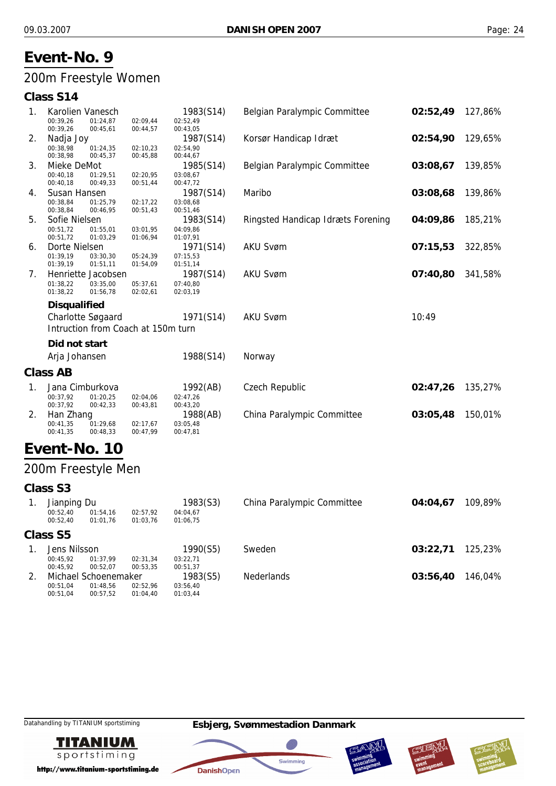## 200m Freestyle Women

### **Class S14**

| 1.             | Karolien Vanesch<br>00:39,26 | 01:24,87 | 02:09,44                           | 1983(S14)<br>02:52,49 | Belgian Paralympic Committee      | 02:52,49 | 127,86% |
|----------------|------------------------------|----------|------------------------------------|-----------------------|-----------------------------------|----------|---------|
|                | 00:39,26                     | 00:45,61 | 00:44,57                           | 00:43,05              |                                   |          |         |
| 2.             | Nadja Joy                    |          |                                    | 1987(S14)             | Korsør Handicap Idræt             | 02:54,90 | 129,65% |
|                | 00:38,98                     | 01:24,35 | 02:10,23                           | 02:54,90              |                                   |          |         |
|                | 00:38,98                     | 00:45,37 | 00:45,88                           | 00:44,67              |                                   |          |         |
| 3.             | Mieke DeMot                  |          |                                    | 1985(S14)             | Belgian Paralympic Committee      | 03:08,67 | 139,85% |
|                | 00:40,18                     | 01:29,51 | 02:20,95                           | 03:08,67              |                                   |          |         |
|                | 00:40,18                     | 00:49,33 | 00:51,44                           | 00:47,72              |                                   |          |         |
| 4.             | Susan Hansen                 |          |                                    | 1987(S14)             | Maribo                            | 03:08,68 | 139,86% |
|                | 00:38,84                     | 01:25,79 | 02:17,22                           | 03:08,68              |                                   |          |         |
|                | 00:38,84                     | 00:46,95 | 00:51,43                           | 00:51,46              |                                   |          |         |
| 5.             | Sofie Nielsen                |          |                                    | 1983(S14)             | Ringsted Handicap Idræts Forening | 04:09,86 | 185,21% |
|                | 00:51,72                     | 01:55,01 | 03:01,95                           | 04:09,86              |                                   |          |         |
|                | 00:51,72                     | 01:03,29 | 01:06,94                           | 01:07,91              |                                   |          |         |
| 6.             | Dorte Nielsen                |          |                                    | 1971(S14)             | <b>AKU Svøm</b>                   | 07:15,53 | 322,85% |
|                | 01:39,19                     | 03:30,30 | 05:24,39                           | 07:15,53              |                                   |          |         |
|                | 01:39,19                     | 01:51,11 | 01:54,09                           | 01:51,14              |                                   |          |         |
| 7.             | Henriette Jacobsen           |          |                                    | 1987(S14)             | <b>AKU Svøm</b>                   | 07:40,80 | 341,58% |
|                | 01:38,22                     | 03:35,00 | 05:37,61                           | 07:40,80              |                                   |          |         |
|                | 01:38,22                     | 01:56,78 | 02:02,61                           | 02:03,19              |                                   |          |         |
|                | <b>Disqualified</b>          |          |                                    |                       |                                   |          |         |
|                | Charlotte Søgaard            |          |                                    | 1971(S14)             | <b>AKU Svøm</b>                   | 10:49    |         |
|                |                              |          | Intruction from Coach at 150m turn |                       |                                   |          |         |
|                | Did not start                |          |                                    |                       |                                   |          |         |
|                | Arja Johansen                |          |                                    | 1988(S14)             | Norway                            |          |         |
|                |                              |          |                                    |                       |                                   |          |         |
|                | Class AB                     |          |                                    |                       |                                   |          |         |
| $\mathbf{1}$ . | Jana Cimburkova              |          |                                    | 1992(AB)              | Czech Republic                    | 02:47,26 | 135,27% |
|                | 00:37,92                     | 01:20,25 | 02:04,06                           | 02:47,26              |                                   |          |         |
|                | 00:37,92                     | 00:42,33 | 00:43,81                           | 00:43,20              |                                   |          |         |
| 2.             | Han Zhang                    |          |                                    | 1988(AB)              | China Paralympic Committee        | 03:05,48 | 150,01% |
|                | 00:41,35                     | 01:29,68 | 02:17,67                           | 03:05,48              |                                   |          |         |
|                | 00:41,35                     | 00:48,33 | 00:47,99                           | 00:47,81              |                                   |          |         |
|                | Fvent-No-                    | 10       |                                    |                       |                                   |          |         |

## **Event-No. 10**

## 200m Freestyle Men

#### **Class S3**

| Jianping Du<br>00:52.40<br>00:52.40 | 01:54.16<br>01:01.76 | 02:57,92<br>01:03.76 | 1983(S3)<br>04:04.67<br>01:06.75 | China Paralympic Committee | 04:04.67 | 109,89% |
|-------------------------------------|----------------------|----------------------|----------------------------------|----------------------------|----------|---------|
| Class S5                            |                      |                      |                                  |                            |          |         |
| Jens Nilsson                        |                      |                      | 1990(S5)                         | Sweden                     | 03:22.71 | 125,23% |
| 00:45.92                            | 01:37.99             | 02:31.34             | 03:22.71                         |                            |          |         |
| 00:45.92                            | 00:52.07             | 00:53.35             | 00:51,37                         |                            |          |         |
|                                     | Michael Schoenemaker |                      | 1983(S5)                         | <b>Nederlands</b>          | 03:56,40 | 146,04% |
| 00:51.04                            | 01:48.56             | 02:52,96             | 03:56,40                         |                            |          |         |
| 00:51.04                            | 00:57.52             | 01:04.40             | 01:03,44                         |                            |          |         |

**TITANIUM** sportstiming

http://www.titanium-sportstiming.de







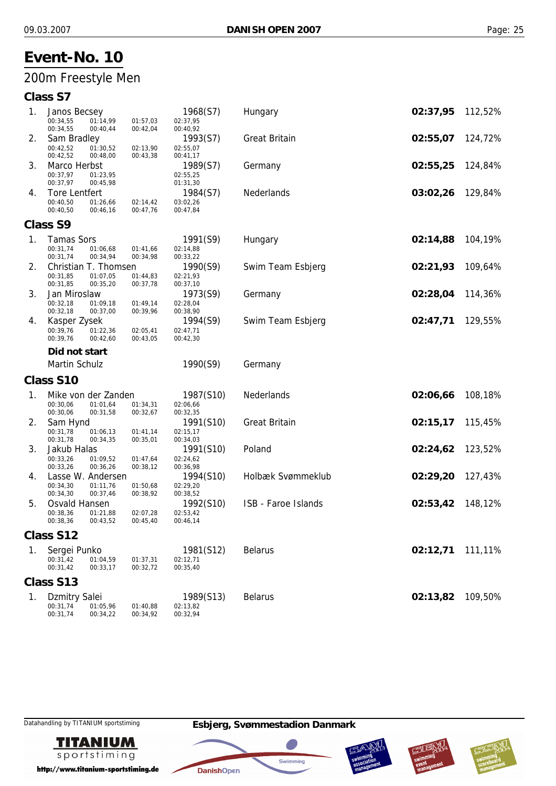## 200m Freestyle Men

## **Class S7**

| 1. | Janos Becsey                                 |                      | 1968(S7)              | Hungary              | 02:37,95 | 112,52% |
|----|----------------------------------------------|----------------------|-----------------------|----------------------|----------|---------|
|    | 00:34,55<br>01:14,99<br>00:34,55<br>00:40,44 | 01:57,03<br>00:42,04 | 02:37,95<br>00:40,92  |                      |          |         |
| 2. | Sam Bradley                                  |                      | 1993(S7)              | <b>Great Britain</b> | 02:55,07 | 124,72% |
|    | 00:42,52<br>01:30,52                         | 02:13,90             | 02:55,07              |                      |          |         |
| 3. | 00:42,52<br>00:48,00<br>Marco Herbst         | 00:43,38             | 00:41,17<br>1989(S7)  | Germany              | 02:55,25 | 124,84% |
|    | 00:37,97<br>01:23,95                         |                      | 02:55,25              |                      |          |         |
|    | 00:37,97<br>00:45,98                         |                      | 01:31,30              |                      |          |         |
| 4. | <b>Tore Lentfert</b>                         |                      | 1984(S7)              | Nederlands           | 03:02,26 | 129,84% |
|    | 00:40,50<br>01:26,66<br>00:40,50<br>00:46,16 | 02:14,42<br>00:47,76 | 03:02,26<br>00:47,84  |                      |          |         |
|    | Class S9                                     |                      |                       |                      |          |         |
| 1. | <b>Tamas Sors</b>                            |                      | 1991(S9)              | Hungary              | 02:14,88 | 104,19% |
|    | 00:31,74<br>01:06,68                         | 01:41,66             | 02:14,88              |                      |          |         |
|    | 00:31,74<br>00:34,94                         | 00:34,98             | 00:33,22              |                      |          |         |
| 2. | Christian T. Thomsen<br>00:31,85<br>01:07,05 | 01:44,83             | 1990(S9)<br>02:21,93  | Swim Team Esbjerg    | 02:21,93 | 109,64% |
|    | 00:31,85<br>00:35,20                         | 00:37,78             | 00:37,10              |                      |          |         |
| 3. | Jan Miroslaw                                 |                      | 1973(S9)              | Germany              | 02:28,04 | 114,36% |
|    | 00:32,18<br>01:09,18                         | 01:49,14             | 02:28,04              |                      |          |         |
| 4. | 00:32,18<br>00:37,00                         | 00:39,96             | 00:38,90              | Swim Team Esbjerg    | 02:47,71 | 129,55% |
|    | Kasper Zysek<br>00:39,76<br>01:22,36         | 02:05,41             | 1994(S9)<br>02:47,71  |                      |          |         |
|    | 00:39,76<br>00:42,60                         | 00:43,05             | 00:42,30              |                      |          |         |
|    | Did not start                                |                      |                       |                      |          |         |
|    | <b>Martin Schulz</b>                         |                      | 1990(S9)              | Germany              |          |         |
|    | <b>Class S10</b>                             |                      |                       |                      |          |         |
| 1. | Mike von der Zanden                          |                      | 1987(S10)             | Nederlands           | 02:06,66 | 108,18% |
|    | 00:30,06<br>01:01,64                         | 01:34,31             | 02:06,66              |                      |          |         |
|    | 00:30,06<br>00:31,58                         | 00:32,67             | 00:32,35              |                      |          |         |
| 2. | Sam Hynd<br>00:31,78<br>01:06,13             | 01:41,14             | 1991(S10)<br>02:15,17 | <b>Great Britain</b> | 02:15,17 | 115,45% |
|    | 00:31,78<br>00:34,35                         | 00:35,01             | 00:34,03              |                      |          |         |
| 3. | Jakub Halas                                  |                      | 1991(S10)             | Poland               | 02:24,62 | 123,52% |
|    | 00:33,26<br>01:09,52                         | 01:47,64             | 02:24,62              |                      |          |         |
| 4. | 00:33,26<br>00:36,26<br>Lasse W. Andersen    | 00:38,12             | 00:36,98<br>1994(S10) | Holbæk Svømmeklub    | 02:29,20 | 127,43% |
|    | 00:34,30<br>01:11,76                         | 01:50,68             | 02:29,20              |                      |          |         |
|    | 00:34,30<br>00:37,46                         | 00:38,92             | 00:38,52              |                      |          |         |
| 5. | Osvald Hansen                                |                      | 1992(S10)             | ISB - Faroe Islands  | 02:53,42 | 148,12% |
|    | 00:38,36<br>01:21,88<br>00:38,36<br>00:43,52 | 02:07,28<br>00:45,40 | 02:53,42<br>00:46,14  |                      |          |         |
|    | Class S12                                    |                      |                       |                      |          |         |
| 1. | Sergei Punko                                 |                      | 1981(S12)             | <b>Belarus</b>       | 02:12,71 | 111,11% |
|    | 00:31,42<br>01:04,59                         | 01:37,31             | 02:12,71              |                      |          |         |
|    | 00:31,42<br>00:33,17                         | 00:32,72             | 00:35,40              |                      |          |         |
|    | Class S13                                    |                      |                       |                      |          |         |
| 1. | <b>Dzmitry Salei</b>                         |                      | 1989(S13)             | <b>Belarus</b>       | 02:13,82 | 109,50% |
|    | 00:31,74<br>01:05,96<br>00:31,74<br>00:34,22 | 01:40,88<br>00:34,92 | 02:13,82<br>00:32,94  |                      |          |         |
|    |                                              |                      |                       |                      |          |         |

**TITANIUM** sportstiming

http://www.titanium-sportstiming.de







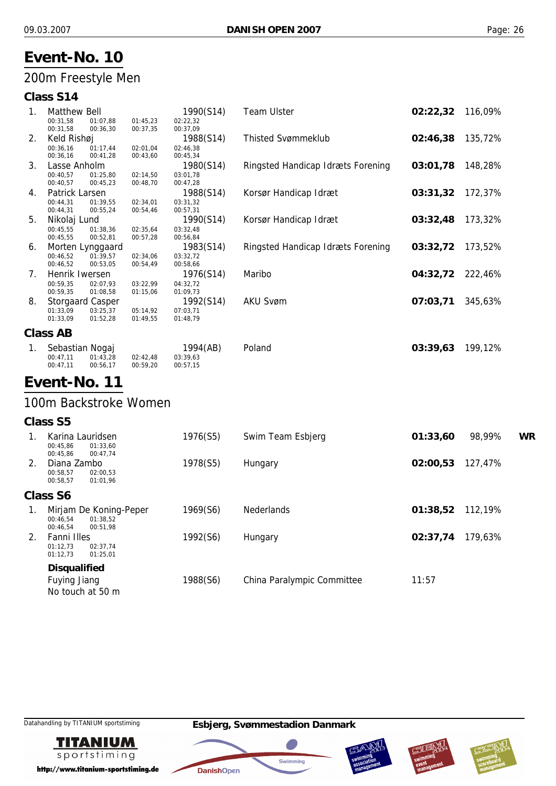## 200m Freestyle Men

## **Class S14**

|          |          |                                                                                                                                                      | 1990(S14)        | <b>Team Ulster</b>                | 02:22,32 | 116,09%  |
|----------|----------|------------------------------------------------------------------------------------------------------------------------------------------------------|------------------|-----------------------------------|----------|----------|
| 00:31,58 | 01:07,88 | 01:45,23                                                                                                                                             | 02:22,32         |                                   |          |          |
| 00:31,58 | 00:36,30 | 00:37,35                                                                                                                                             | 00:37,09         |                                   |          |          |
|          |          |                                                                                                                                                      | 1988(S14)        | <b>Thisted Svømmeklub</b>         | 02:46,38 | 135,72%  |
| 00:36.16 | 01:17.44 | 02:01.04                                                                                                                                             | 02:46,38         |                                   |          |          |
| 00:36,16 | 00:41,28 | 00:43,60                                                                                                                                             | 00:45,34         |                                   |          |          |
|          |          |                                                                                                                                                      | 1980(S14)        | Ringsted Handicap Idræts Forening | 03:01,78 | 148,28%  |
| 00:40,57 | 01:25.80 | 02:14,50                                                                                                                                             | 03:01.78         |                                   |          |          |
| 00:40,57 | 00:45,23 | 00:48,70                                                                                                                                             | 00:47,28         |                                   |          |          |
|          |          |                                                                                                                                                      | 1988(S14)        | Korsør Handicap Idræt             | 03:31,32 | 172,37%  |
| 00:44,31 | 01:39,55 | 02:34,01                                                                                                                                             | 03:31,32         |                                   |          |          |
| 00:44,31 | 00:55,24 | 00:54,46                                                                                                                                             | 00:57,31         |                                   |          |          |
|          |          |                                                                                                                                                      | 1990(S14)        | Korsør Handicap Idræt             | 03:32,48 | 173,32%  |
| 00:45,55 | 01:38,36 | 02:35,64                                                                                                                                             | 03:32,48         |                                   |          |          |
| 00:45,55 | 00:52,81 | 00:57,28                                                                                                                                             | 00:56,84         |                                   |          |          |
|          |          |                                                                                                                                                      | 1983(S14)        | Ringsted Handicap Idræts Forening | 03:32,72 | 173,52%  |
| 00:46,52 | 01:39,57 | 02:34,06                                                                                                                                             | 03:32,72         |                                   |          |          |
| 00:46,52 | 00:53,05 | 00:54,49                                                                                                                                             | 00:58,66         |                                   |          |          |
|          |          |                                                                                                                                                      | 1976(S14)        | Maribo                            | 04:32,72 | 222,46%  |
| 00:59,35 | 02:07,93 | 03:22,99                                                                                                                                             | 04:32,72         |                                   |          |          |
| 00:59,35 | 01:08,58 | 01:15,06                                                                                                                                             | 01:09,73         |                                   |          |          |
|          |          |                                                                                                                                                      | 1992(S14)        | <b>AKU Svøm</b>                   | 07:03,71 | 345,63%  |
| 01:33,09 | 03:25,37 | 05:14,92                                                                                                                                             | 07:03,71         |                                   |          |          |
| 01:33,09 | 01:52,28 | 01:49,55                                                                                                                                             | 01:48,79         |                                   |          |          |
| Class AB |          |                                                                                                                                                      |                  |                                   |          |          |
|          |          |                                                                                                                                                      |                  |                                   |          | 199,12%  |
| 00:47,11 | 01:43.28 | 02:42,48                                                                                                                                             | 03:39,63         |                                   |          |          |
|          |          | <b>Matthew Bell</b><br>Keld Rishøj<br>Lasse Anholm<br>Patrick Larsen<br>Nikolaj Lund<br>Henrik Iwersen<br><b>Storgaard Casper</b><br>Sebastian Nogaj | Morten Lynggaard | 1994(AB)                          | Poland   | 03:39,63 |

## **Event-No. 11**

00:47,11

## 100m Backstroke Women

00:56,17

00:59,20

00:57,15

#### **Class S5**

|                                 | Karina Lauridsen<br>00:45,86<br>01:33,60<br>00:45,86<br>00:47,74       | 1976(S5) | Swim Team Esbjerg          | 01:33,60 | 98,99%  | WR |
|---------------------------------|------------------------------------------------------------------------|----------|----------------------------|----------|---------|----|
| $2_{\scriptscriptstyle{\perp}}$ | Diana Zambo<br>00:58,57<br>02:00,53<br>00:58,57<br>01:01,96            | 1978(S5) | Hungary                    | 02:00,53 | 127,47% |    |
|                                 | Class S6                                                               |          |                            |          |         |    |
| 1.                              | Mirjam De Koning-Peper<br>01:38.52<br>00:46.54<br>00:46,54<br>00:51.98 | 1969(S6) | <b>Nederlands</b>          | 01:38,52 | 112,19% |    |
| 2.                              | Fanni Illes<br>01:12,73<br>02:37,74<br>01:12,73<br>01:25,01            | 1992(S6) | Hungary                    | 02:37.74 | 179,63% |    |
|                                 | <b>Disqualified</b><br><b>Fuying Jiang</b><br>No touch at 50 m         | 1988(S6) | China Paralympic Committee | 11:57    |         |    |

**TITANIUM** sportstiming

http://www.titanium-sportstiming.de







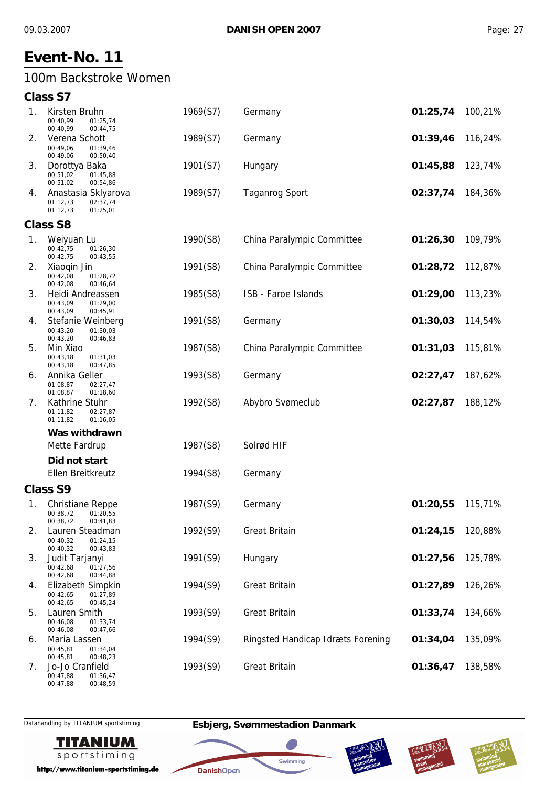## 100m Backstroke Women

#### **Class S7**

| 1. | Kirsten Bruhn<br>00:40.99<br>01:25,74<br>00:40,99<br>00:44,75               | 1969(S7) | Germany                           | 01:25,74 | 100,21% |
|----|-----------------------------------------------------------------------------|----------|-----------------------------------|----------|---------|
| 2. | Verena Schott<br>00:49,06<br>01:39,46<br>00:49,06<br>00:50,40               | 1989(S7) | Germany                           | 01:39,46 | 116,24% |
| 3. | Dorottya Baka<br>00:51,02<br>01:45,88<br>00:51,02<br>00:54,86               | 1901(S7) | Hungary                           | 01:45,88 | 123,74% |
| 4. | Anastasia Sklyarova<br>01:12,73<br>02:37,74<br>01:12,73<br>01:25,01         | 1989(S7) | <b>Taganrog Sport</b>             | 02:37,74 | 184,36% |
|    | <b>Class S8</b>                                                             |          |                                   |          |         |
| 1. | Weiyuan Lu<br>00:42,75<br>01:26,30<br>00:42,75<br>00:43,55                  | 1990(S8) | China Paralympic Committee        | 01:26,30 | 109,79% |
| 2. | Xiaogin Jin<br>00:42,08<br>01:28,72<br>00:42,08<br>00:46,64                 | 1991(S8) | China Paralympic Committee        | 01:28,72 | 112,87% |
| 3. | Heidi Andreassen<br>00:43,09<br>01:29,00<br>00:43,09<br>00:45,91            | 1985(S8) | ISB - Faroe Islands               | 01:29,00 | 113,23% |
| 4. | Stefanie Weinberg<br>00:43,20<br>01:30,03<br>00:43,20<br>00:46,83           | 1991(S8) | Germany                           | 01:30,03 | 114,54% |
| 5. | Min Xiao<br>00:43,18<br>01:31,03<br>00:43,18<br>00:47,85                    | 1987(S8) | China Paralympic Committee        | 01:31,03 | 115,81% |
| 6. | Annika Geller<br>01:08,87<br>02:27,47<br>01:08,87<br>01:18,60               | 1993(S8) | Germany                           | 02:27,47 | 187,62% |
| 7. | Kathrine Stuhr<br>01:11,82<br>02:27,87<br>01:11,82<br>01:16,05              | 1992(S8) | Abybro Svømeclub                  | 02:27,87 | 188,12% |
|    | Was withdrawn                                                               |          |                                   |          |         |
|    | Mette Fardrup                                                               | 1987(S8) | Solrød HIF                        |          |         |
|    | Did not start<br>Ellen Breitkreutz                                          | 1994(S8) |                                   |          |         |
|    | <b>Class S9</b>                                                             |          | Germany                           |          |         |
| 1. | <b>Christiane Reppe</b><br>00:38,72<br>01:20,55<br>00:41,83                 | 1987(S9) | Germany                           | 01:20,55 | 115,71% |
| 2. | 00:38,72<br>Lauren Steadman<br>00:40,32<br>01:24,15<br>00:40,32<br>00:43,83 | 1992(S9) | <b>Great Britain</b>              | 01:24,15 | 120,88% |
| 3. | Judit Tarjanyi<br>00:42,68<br>01:27,56<br>00:42,68<br>00:44,88              | 1991(S9) | Hungary                           | 01:27,56 | 125,78% |
| 4. | Elizabeth Simpkin<br>00:42,65<br>01:27,89<br>00:42,65<br>00:45,24           | 1994(S9) | <b>Great Britain</b>              | 01:27,89 | 126,26% |
| 5. | Lauren Smith<br>00:46,08<br>01:33,74<br>00:46,08<br>00:47,66                | 1993(S9) | <b>Great Britain</b>              | 01:33,74 | 134,66% |
| 6. | Maria Lassen<br>00:45,81<br>01:34,04<br>00:45,81<br>00:48,23                | 1994(S9) | Ringsted Handicap Idræts Forening | 01:34,04 | 135,09% |
| 7. | Jo-Jo Cranfield<br>00:47,88<br>01:36,47                                     | 1993(S9) | <b>Great Britain</b>              | 01:36,47 | 138,58% |

Datahandling by TITANIUM sportstiming **Esbjerg, Svømmestadion Danmark**

**DanishOpen** 

4



00:48,59

00:47,88

http://www.titanium-sportstiming.de





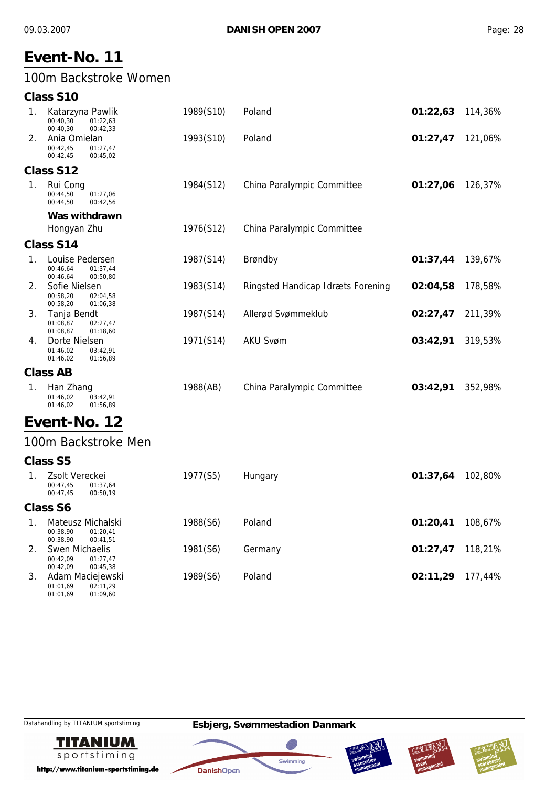## 100m Backstroke Women

|    | <b>Class S10</b>                                                      |           |                                   |          |         |
|----|-----------------------------------------------------------------------|-----------|-----------------------------------|----------|---------|
| 1. | Katarzyna Pawlik<br>00:40,30<br>01:22,63<br>00:40,30<br>00:42,33      | 1989(S10) | Poland                            | 01:22,63 | 114,36% |
| 2. | Ania Omielan<br>00:42,45<br>01:27,47<br>00:42,45<br>00:45,02          | 1993(S10) | Poland                            | 01:27,47 | 121,06% |
|    | Class S12                                                             |           |                                   |          |         |
| 1. | Rui Cong<br>00:44,50<br>01:27,06<br>00:44,50<br>00:42,56              | 1984(S12) | China Paralympic Committee        | 01:27,06 | 126,37% |
|    | Was withdrawn                                                         |           |                                   |          |         |
|    | Hongyan Zhu                                                           | 1976(S12) | China Paralympic Committee        |          |         |
|    | Class S14                                                             |           |                                   |          |         |
| 1. | Louise Pedersen<br>00:46,64<br>01:37,44<br>00:46,64<br>00:50,80       | 1987(S14) | Brøndby                           | 01:37,44 | 139,67% |
| 2. | Sofie Nielsen<br>00:58,20<br>02:04,58<br>00:58,20<br>01:06,38         | 1983(S14) | Ringsted Handicap Idræts Forening | 02:04,58 | 178,58% |
| 3. | Tanja Bendt<br>01:08,87<br>02:27,47<br>01:08,87<br>01:18,60           | 1987(S14) | Allerød Svømmeklub                | 02:27,47 | 211,39% |
| 4. | Dorte Nielsen<br>01:46,02<br>03:42,91<br>01:46,02<br>01:56,89         | 1971(S14) | <b>AKU Svøm</b>                   | 03:42,91 | 319,53% |
|    | <b>Class AB</b>                                                       |           |                                   |          |         |
| 1. | Han Zhang<br>01:46,02<br>03:42,91<br>01:56,89<br>01:46,02             | 1988(AB)  | China Paralympic Committee        | 03:42,91 | 352,98% |
|    | Event-No. 12                                                          |           |                                   |          |         |
|    | 100m Backstroke Men                                                   |           |                                   |          |         |
|    | <b>Class S5</b>                                                       |           |                                   |          |         |
| 1. | Zsolt Vereckei<br>00:47,45<br>01:37,64<br>00:47,45<br>00:50,19        | 1977(S5)  | Hungary                           | 01:37,64 | 102,80% |
|    | <b>Class S6</b>                                                       |           |                                   |          |         |
| 1. | Mateusz Michalski<br>00:38,90<br>01:20,41<br>00:38,90<br>00:41,51     | 1988(S6)  | Poland                            | 01:20,41 | 108,67% |
| 2. | <b>Swen Michaelis</b><br>00:42,09<br>01:27,47<br>00:42,09<br>00:45,38 | 1981(S6)  | Germany                           | 01:27,47 | 118,21% |
| 3. | Adam Maciejewski                                                      | 1989(S6)  | Poland                            | 02:11,29 | 177,44% |

01:01,69 01:01,69 02:11,29 01:09,60

Datahandling by TITANIUM sportstiming **Esbjerg, Svømmestadion Danmark**



http://www.titanium-sportstiming.de







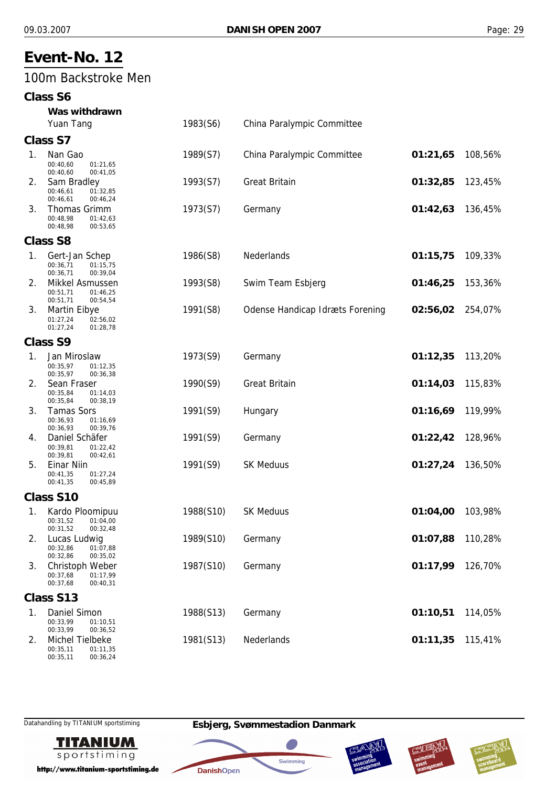#### 100m Backstroke Men

#### **Class S6**

|    | Was withdrawn                                                       |           |                                        |          |         |
|----|---------------------------------------------------------------------|-----------|----------------------------------------|----------|---------|
|    | Yuan Tang                                                           | 1983(S6)  | China Paralympic Committee             |          |         |
|    | <b>Class S7</b>                                                     |           |                                        |          |         |
| 1. | Nan Gao<br>00:40,60<br>01:21,65<br>00:40,60<br>00:41,05             | 1989(S7)  | China Paralympic Committee             | 01:21,65 | 108,56% |
| 2. | Sam Bradley<br>00:46,61<br>01:32,85<br>00:46,61<br>00:46,24         | 1993(S7)  | <b>Great Britain</b>                   | 01:32,85 | 123,45% |
| 3. | Thomas Grimm<br>00:48.98<br>01:42,63<br>00:48,98<br>00:53,65        | 1973(S7)  | Germany                                | 01:42,63 | 136,45% |
|    | <b>Class S8</b>                                                     |           |                                        |          |         |
| 1. | Gert-Jan Schep<br>00:36,71<br>01:15,75<br>00:36,71<br>00:39,04      | 1986(S8)  | Nederlands                             | 01:15,75 | 109,33% |
| 2. | Mikkel Asmussen<br>01:46,25<br>00:51,71<br>00:51,71<br>00:54,54     | 1993(S8)  | Swim Team Esbjerg                      | 01:46,25 | 153,36% |
| 3. | <b>Martin Eibye</b><br>01:27,24<br>02:56,02<br>01:27,24<br>01:28,78 | 1991(S8)  | <b>Odense Handicap Idræts Forening</b> | 02:56,02 | 254,07% |
|    | <b>Class S9</b>                                                     |           |                                        |          |         |
| 1. | Jan Miroslaw<br>00:35,97<br>01:12,35<br>00:35,97<br>00:36,38        | 1973(S9)  | Germany                                | 01:12,35 | 113,20% |
| 2. | Sean Fraser<br>00:35,84<br>01:14,03<br>00:35,84<br>00:38,19         | 1990(S9)  | <b>Great Britain</b>                   | 01:14,03 | 115,83% |
| 3. | <b>Tamas Sors</b><br>00:36,93<br>01:16,69<br>00:36,93<br>00:39,76   | 1991(S9)  | Hungary                                | 01:16,69 | 119,99% |
| 4. | Daniel Schäfer<br>00:39,81<br>01:22,42<br>00:39,81<br>00:42,61      | 1991(S9)  | Germany                                | 01:22,42 | 128,96% |
| 5. | Einar Niin<br>00:41,35<br>01:27,24<br>00:41,35<br>00:45,89          | 1991(S9)  | <b>SK Meduus</b>                       | 01:27,24 | 136,50% |
|    | <b>Class S10</b>                                                    |           |                                        |          |         |
| 1. | Kardo Ploomipuu<br>00:31,52<br>01:04,00<br>00:31,52<br>00:32,48     | 1988(S10) | <b>SK Meduus</b>                       | 01:04,00 | 103,98% |
| 2. | Lucas Ludwig<br>01:07,88<br>00:32,86<br>00:32,86<br>00:35,02        | 1989(S10) | Germany                                | 01:07,88 | 110,28% |
| 3. | Christoph Weber<br>00:37,68<br>01:17,99<br>00:37,68<br>00:40,31     | 1987(S10) | Germany                                | 01:17,99 | 126,70% |
|    | Class S13                                                           |           |                                        |          |         |
| 1. | Daniel Simon<br>00:33,99<br>01:10,51<br>00:33,99<br>00:36,52        | 1988(S13) | Germany                                | 01:10,51 | 114,05% |
| 2. | Michel Tielbeke<br>01:11,35<br>00:35,11<br>00:35,11<br>00:36,24     | 1981(S13) | Nederlands                             | 01:11,35 | 115,41% |



http://www.titanium-sportstiming.de







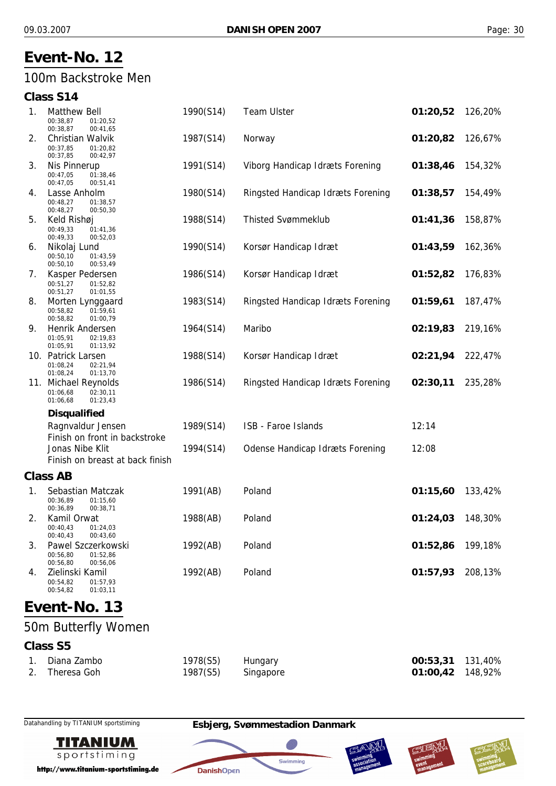#### 100m Backstroke Men

#### **Class S14**

| 1. | <b>Matthew Bell</b><br>00:38,87<br>01:20,52<br>00:38,87<br>00:41,65  | 1990(S14) | <b>Team Ulster</b>                     | 01:20,52 | 126,20% |
|----|----------------------------------------------------------------------|-----------|----------------------------------------|----------|---------|
| 2. | Christian Walvik<br>00:37,85<br>01:20,82<br>00:37,85<br>00:42,97     | 1987(S14) | Norway                                 | 01:20,82 | 126,67% |
| 3. | Nis Pinnerup<br>00:47,05<br>01:38,46<br>00:47,05<br>00:51,41         | 1991(S14) | Viborg Handicap Idræts Forening        | 01:38,46 | 154,32% |
| 4. | Lasse Anholm<br>00:48,27<br>01:38,57<br>00:48,27<br>00:50,30         | 1980(S14) | Ringsted Handicap Idræts Forening      | 01:38,57 | 154,49% |
| 5. | Keld Rishøj<br>00:49,33<br>01:41,36<br>00:49,33<br>00:52,03          | 1988(S14) | <b>Thisted Svømmeklub</b>              | 01:41,36 | 158,87% |
| 6. | Nikolaj Lund<br>00:50,10<br>01:43,59<br>00:50,10<br>00:53,49         | 1990(S14) | Korsør Handicap Idræt                  | 01:43,59 | 162,36% |
| 7. | Kasper Pedersen<br>00:51,27<br>01:52,82<br>00:51,27<br>01:01,55      | 1986(S14) | Korsør Handicap Idræt                  | 01:52,82 | 176,83% |
| 8. | Morten Lynggaard<br>00:58,82<br>01:59,61<br>00:58,82<br>01:00,79     | 1983(S14) | Ringsted Handicap Idræts Forening      | 01:59,61 | 187,47% |
| 9. | Henrik Andersen<br>01:05,91<br>02:19,83<br>01:05,91<br>01:13,92      | 1964(S14) | Maribo                                 | 02:19,83 | 219,16% |
|    | 10. Patrick Larsen<br>01:08,24<br>02:21,94<br>01:08,24<br>01:13,70   | 1988(S14) | Korsør Handicap Idræt                  | 02:21,94 | 222,47% |
|    | 11. Michael Reynolds<br>01:06,68<br>02:30,11<br>01:06,68<br>01:23,43 | 1986(S14) | Ringsted Handicap Idræts Forening      | 02:30,11 | 235,28% |
|    | <b>Disqualified</b>                                                  |           |                                        |          |         |
|    | Ragnvaldur Jensen<br>Finish on front in backstroke                   | 1989(S14) | ISB - Faroe Islands                    | 12:14    |         |
|    | Jonas Nibe Klit<br>Finish on breast at back finish                   | 1994(S14) | <b>Odense Handicap Idræts Forening</b> | 12:08    |         |
|    | <b>Class AB</b>                                                      |           |                                        |          |         |
| 1. | Sebastian Matczak<br>00:36,89<br>01:15,60<br>00:36,89<br>00:38,71    | 1991(AB)  | Poland                                 | 01:15,60 | 133,42% |
| 2. | Kamil Orwat<br>00:40,43<br>01:24,03<br>00:40,43<br>00:43,60          | 1988(AB)  | Poland                                 | 01:24,03 | 148,30% |
| 3. | Pawel Szczerkowski<br>00:56,80<br>01:52,86<br>00:56,80<br>00:56,06   | 1992(AB)  | Poland                                 | 01:52,86 | 199,18% |
| 4. | Zielinski Kamil<br>00:54,82<br>01:57,93<br>00:54,82<br>01:03,11      | 1992(AB)  | Poland                                 | 01:57,93 | 208,13% |
|    | $\sim$ $+$ $N1$<br>- 12                                              |           |                                        |          |         |

# **Event-No. 13**

# 50m Butterfly Women

#### **Class S5**

| 1. Diana Zambo | 1978(S5) Hungary   | 00:53,31 131,40% |  |
|----------------|--------------------|------------------|--|
| 2. Theresa Goh | 1987(S5) Singapore | 01:00,42 148,92% |  |



http://www.titanium-sportstiming.de



**DanishOpen** 

Swimming





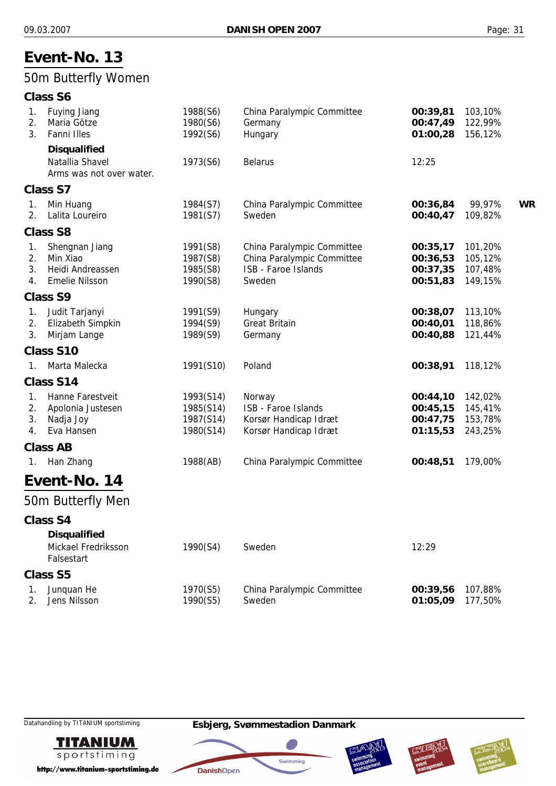## 50m Butterfly Women

#### **Class S6**

| 1.<br>2.<br>3.       | <b>Fuying Jiang</b><br>Maria Götze<br>Fanni Illes                       | 1988(S6)<br>1980(S6)<br>1992(S6)                 | China Paralympic Committee<br>Germany<br>Hungary                                          | 00:39,81<br>00:47,49<br>01:00,28             | 103,10%<br>122,99%<br>156,12%            |           |
|----------------------|-------------------------------------------------------------------------|--------------------------------------------------|-------------------------------------------------------------------------------------------|----------------------------------------------|------------------------------------------|-----------|
|                      | <b>Disqualified</b><br>Natallia Shavel<br>Arms was not over water.      | 1973(S6)                                         | <b>Belarus</b>                                                                            | 12:25                                        |                                          |           |
|                      | <b>Class S7</b>                                                         |                                                  |                                                                                           |                                              |                                          |           |
| 1.<br>2.             | Min Huang<br>Lalita Loureiro                                            | 1984(S7)<br>1981(S7)                             | China Paralympic Committee<br>Sweden                                                      | 00:36,84<br>00:40,47                         | 99,97%<br>109,82%                        | <b>WR</b> |
|                      | <b>Class S8</b>                                                         |                                                  |                                                                                           |                                              |                                          |           |
| 1.<br>2.<br>3.<br>4. | Shengnan Jiang<br>Min Xiao<br>Heidi Andreassen<br><b>Emelie Nilsson</b> | 1991(S8)<br>1987(S8)<br>1985(S8)<br>1990(S8)     | China Paralympic Committee<br>China Paralympic Committee<br>ISB - Faroe Islands<br>Sweden | 00:35,17<br>00:36,53<br>00:37,35<br>00:51,83 | 101,20%<br>105,12%<br>107,48%<br>149,15% |           |
|                      | <b>Class S9</b>                                                         |                                                  |                                                                                           |                                              |                                          |           |
| 1.<br>2.<br>3.       | Judit Tarjanyi<br>Elizabeth Simpkin<br>Mirjam Lange                     | 1991(S9)<br>1994(S9)<br>1989(S9)                 | Hungary<br><b>Great Britain</b><br>Germany                                                | 00:38,07<br>00:40,01<br>00:40,88             | 113,10%<br>118,86%<br>121,44%            |           |
|                      | <b>Class S10</b>                                                        |                                                  |                                                                                           |                                              |                                          |           |
| $\mathbf{1}$ .       | Marta Malecka                                                           | 1991(S10)                                        | Poland                                                                                    | 00:38,91                                     | 118,12%                                  |           |
|                      | Class S14                                                               |                                                  |                                                                                           |                                              |                                          |           |
| 1.<br>2.<br>3.<br>4. | Hanne Farestveit<br>Apolonia Justesen<br>Nadja Joy<br>Eva Hansen        | 1993(S14)<br>1985(S14)<br>1987(S14)<br>1980(S14) | Norway<br>ISB - Faroe Islands<br>Korsør Handicap Idræt<br>Korsør Handicap Idræt           | 00:44,10<br>00:45,15<br>00:47,75<br>01:15,53 | 142,02%<br>145,41%<br>153,78%<br>243,25% |           |
|                      | <b>Class AB</b>                                                         |                                                  |                                                                                           |                                              |                                          |           |
| 1.                   | Han Zhang                                                               | 1988(AB)                                         | China Paralympic Committee                                                                | 00:48,51                                     | 179,00%                                  |           |
|                      | Event-No. 14                                                            |                                                  |                                                                                           |                                              |                                          |           |
|                      | 50m Butterfly Men                                                       |                                                  |                                                                                           |                                              |                                          |           |
|                      | Class S4                                                                |                                                  |                                                                                           |                                              |                                          |           |
|                      | <b>Disqualified</b><br>Mickael Fredriksson<br>Falsestart                | 1990(S4)                                         | Sweden                                                                                    | 12:29                                        |                                          |           |
|                      | <b>Class S5</b>                                                         |                                                  |                                                                                           |                                              |                                          |           |
| 1.<br>2.             | Junquan He<br>Jens Nilsson                                              | 1970(S5)<br>1990(S5)                             | China Paralympic Committee<br>Sweden                                                      | 00:39,56<br>01:05,09                         | 107,88%<br>177,50%                       |           |

**TITANIUM** sportstiming

http://www.titanium-sportstiming.de







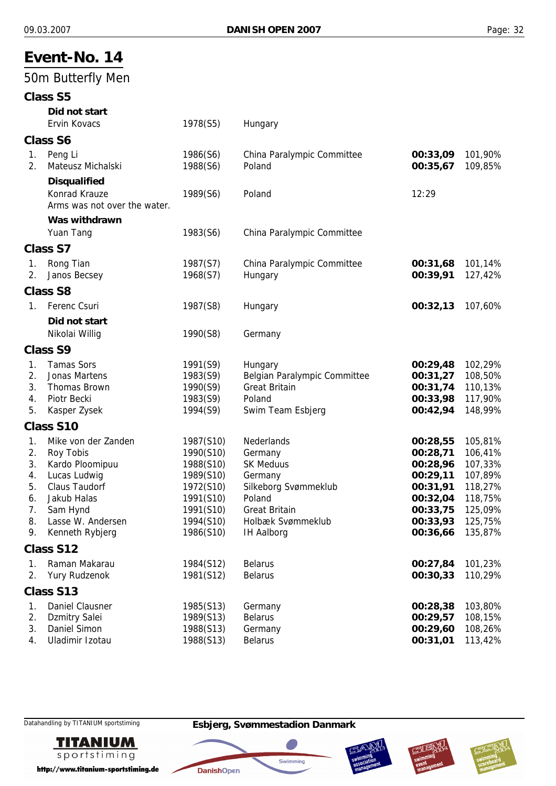#### **Event-No. 14** 50m Butterfly Men **Class S5** *Did not start* Ervin Kovacs 1978(S5) Hungary **Class S6** 1. Peng Li 1986(S6) China Paralympic Committee **00:33,09** 101,90% 2. Mateusz Michalski 1988(S6) Poland **00:35,67** 109,85% *Disqualified* Konrad Krauze **1989(S6)** Poland 12:29 Arms was not over the water. *Was withdrawn* Yuan Tang 1983(S6) China Paralympic Committee **Class S7** 1. Rong Tian 1987(S7) China Paralympic Committee **00:31,68** 101,14% 2. Janos Becsey 1968(S7) Hungary **00:39,91** 127,42% **Class S8** 1. Ferenc Csuri 1987(S8) Hungary **00:32,13** 107,60% *Did not start* Nikolai Willig 1990(S8) Germany **Class S9** 1. Tamas Sors 1991(S9) Hungary **00:29,48** 102,29% 2. Jonas Martens 1983(S9) Belgian Paralympic Committee **00:31,27** 108,50% 3. Thomas Brown 1990(S9) Great Britain **00:31,74** 110,13% 4. Piotr Becki 1983(S9) Poland **00:33,98** 117,90% 5. Kasper Zysek 1994(S9) Swim Team Esbjerg **00:42,94** 148,99% **Class S10** 1. Mike von der Zanden 1987(S10) Nederlands **00:28,55** 105,81% 2. Roy Tobis 1990(S10) Germany **00:28,71** 106,41% 3. Kardo Ploomipuu 1988(S10) SK Meduus **00:28,96** 107,33% 4. Lucas Ludwig 1989(S10) Germany **00:29,11** 107,89% 5. Claus Taudorf 1972(S10) Silkeborg Svømmeklub **00:31,91** 118,27% 6. Jakub Halas 1991(S10) Poland **00:32,04** 118,75% 7. Sam Hynd 1991(S10) Great Britain **00:33,75** 125,09% 8. Lasse W. Andersen 1994(S10) Holbæk Svømmeklub **00:33,93** 125,75% 9. Kenneth Rybjerg 1986(S10) IH Aalborg **00:36,66** 135,87% **Class S12** 1. Raman Makarau 1984(S12) Belarus **00:27,84** 101,23% 2. Yury Rudzenok 1981(S12) Belarus **00:30,33** 110,29% **Class S13** 1. Daniel Clausner 1985(S13) Germany **00:28,38** 103,80% 2. Dzmitry Salei 1989(S13) Belarus **00:29,57** 108,15% 3. Daniel Simon 1988(S13) Germany **00:29,60** 108,26%

4. Uladimir Izotau 1988(S13) Belarus **00:31,01** 113,42%

Datahandling by TITANIUM sportstiming **Esbjerg, Svømmestadion Danmark**



http://www.titanium-sportstiming.de







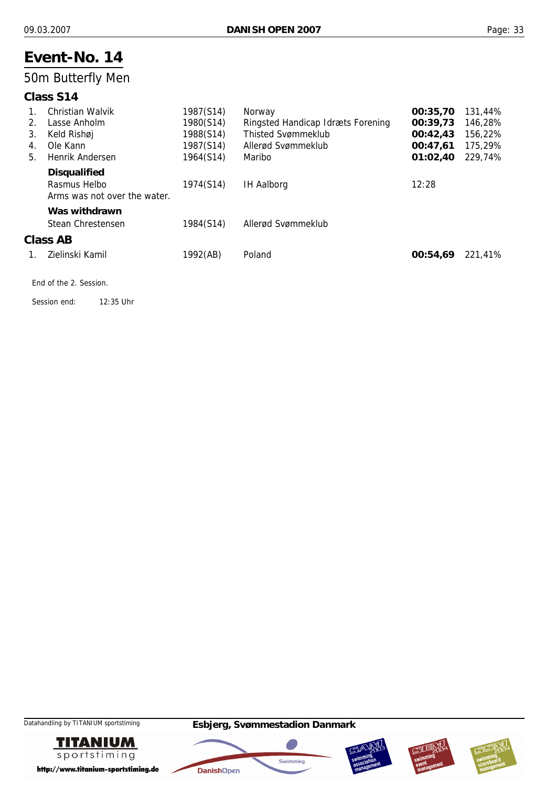## 50m Butterfly Men

#### **Class S14**

|         | <b>Christian Walvik</b>      | 1987(S14) | Norway                            | 00:35,70 | 131,44% |
|---------|------------------------------|-----------|-----------------------------------|----------|---------|
| $2_{-}$ | Lasse Anholm                 | 1980(S14) | Ringsted Handicap Idræts Forening | 00:39,73 | 146,28% |
| 3.      | Keld Rishøj                  | 1988(S14) | <b>Thisted Svømmeklub</b>         | 00:42.43 | 156,22% |
| 4.      | Ole Kann                     | 1987(S14) | Allerød Svømmeklub                | 00:47,61 | 175,29% |
| 5.      | Henrik Andersen              | 1964(S14) | Maribo                            | 01:02,40 | 229,74% |
|         | <b>Disqualified</b>          |           |                                   |          |         |
|         | Rasmus Helbo                 | 1974(S14) | <b>IH Aalborg</b>                 | 12:28    |         |
|         | Arms was not over the water. |           |                                   |          |         |
|         | Was withdrawn                |           |                                   |          |         |
|         | Stean Chrestensen            | 1984(S14) | Allerød Svømmeklub                |          |         |
|         | Class AB                     |           |                                   |          |         |
| 1.      | Zielinski Kamil              | 1992(AB)  | Poland                            | 00:54.69 | 221,41% |
|         |                              |           |                                   |          |         |

End of the 2. Session.

Session end: 12:35 Uhr









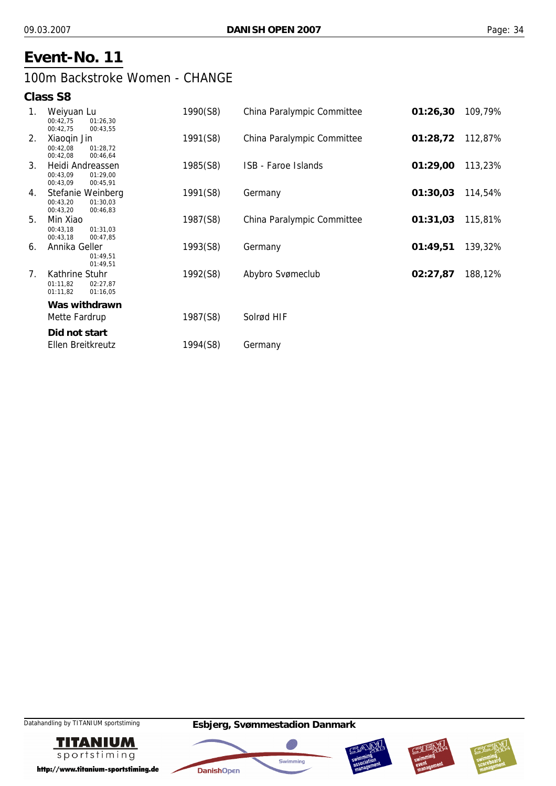## 100m Backstroke Women - CHANGE

#### **Class S8**

| 1. | Weiyuan Lu<br>00:42,75<br>01:26,30<br>00:42,75<br>00:43,55        | 1990(S8) | China Paralympic Committee | 01:26,30 | 109,79% |
|----|-------------------------------------------------------------------|----------|----------------------------|----------|---------|
| 2. | Xiaoqin Jin<br>00:42,08<br>01:28.72<br>00:42,08<br>00:46,64       | 1991(S8) | China Paralympic Committee | 01:28,72 | 112,87% |
| 3. | Heidi Andreassen<br>00:43,09<br>01:29.00<br>00:43,09<br>00:45,91  | 1985(S8) | ISB - Faroe Islands        | 01:29,00 | 113,23% |
| 4. | Stefanie Weinberg<br>00:43.20<br>01:30.03<br>00:43,20<br>00:46,83 | 1991(S8) | Germany                    | 01:30,03 | 114,54% |
| 5. | Min Xiao<br>00:43,18<br>01:31,03<br>00:43,18<br>00:47,85          | 1987(S8) | China Paralympic Committee | 01:31,03 | 115,81% |
| 6. | Annika Geller<br>01:49.51<br>01:49,51                             | 1993(S8) | Germany                    | 01:49,51 | 139,32% |
| 7. | Kathrine Stuhr<br>01:11.82<br>02:27.87<br>01:11,82<br>01:16,05    | 1992(S8) | Abybro Svømeclub           | 02:27,87 | 188,12% |
|    | Was withdrawn                                                     |          |                            |          |         |
|    | Mette Fardrup                                                     | 1987(S8) | Solrød HIF                 |          |         |
|    | Did not start                                                     |          |                            |          |         |
|    | Ellen Breitkreutz                                                 | 1994(S8) | Germany                    |          |         |









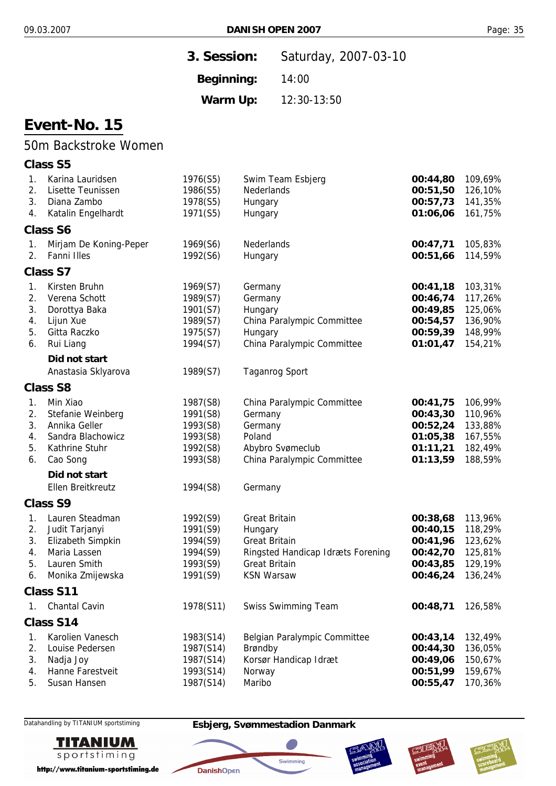| 3. Session: | Saturday, 2007-03-10 |
|-------------|----------------------|
| Beginning:  | 14:00                |
| Warm Up:    | 12:30-13:50          |

## 50m Backstroke Women

#### **Class S5**

| 1. | Karina Lauridsen       | 1976(S5)  | Swim Team Esbjerg                 | 00:44,80 | 109,69% |
|----|------------------------|-----------|-----------------------------------|----------|---------|
| 2. | Lisette Teunissen      | 1986(S5)  | Nederlands                        | 00:51,50 | 126,10% |
| 3. | Diana Zambo            | 1978(S5)  | Hungary                           | 00:57,73 | 141,35% |
| 4. | Katalin Engelhardt     | 1971(S5)  | Hungary                           | 01:06,06 | 161,75% |
|    | <b>Class S6</b>        |           |                                   |          |         |
| 1. | Mirjam De Koning-Peper | 1969(S6)  | Nederlands                        | 00:47,71 | 105,83% |
| 2. | Fanni Illes            | 1992(S6)  | Hungary                           | 00:51,66 | 114,59% |
|    | <b>Class S7</b>        |           |                                   |          |         |
| 1. | Kirsten Bruhn          | 1969(S7)  | Germany                           | 00:41,18 | 103,31% |
| 2. | Verena Schott          | 1989(S7)  | Germany                           | 00:46,74 | 117,26% |
| 3. | Dorottya Baka          | 1901(S7)  | Hungary                           | 00:49,85 | 125,06% |
| 4. | Lijun Xue              | 1989(S7)  | China Paralympic Committee        | 00:54,57 | 136,90% |
| 5. | Gitta Raczko           | 1975(S7)  | Hungary                           | 00:59,39 | 148,99% |
| 6. | Rui Liang              | 1994(S7)  | China Paralympic Committee        | 01:01,47 | 154,21% |
|    | Did not start          |           |                                   |          |         |
|    | Anastasia Sklyarova    | 1989(S7)  | <b>Taganrog Sport</b>             |          |         |
|    | <b>Class S8</b>        |           |                                   |          |         |
| 1. | Min Xiao               | 1987(S8)  | China Paralympic Committee        | 00:41,75 | 106,99% |
| 2. | Stefanie Weinberg      | 1991(S8)  | Germany                           | 00:43,30 | 110,96% |
| 3. | Annika Geller          | 1993(S8)  | Germany                           | 00:52,24 | 133,88% |
| 4. | Sandra Blachowicz      | 1993(S8)  | Poland                            | 01:05,38 | 167,55% |
| 5. | Kathrine Stuhr         | 1992(S8)  | Abybro Svømeclub                  | 01:11,21 | 182,49% |
| 6. | Cao Song               | 1993(S8)  | China Paralympic Committee        | 01:13,59 | 188,59% |
|    | Did not start          |           |                                   |          |         |
|    | Ellen Breitkreutz      | 1994(S8)  | Germany                           |          |         |
|    | <b>Class S9</b>        |           |                                   |          |         |
| 1. | Lauren Steadman        | 1992(S9)  | <b>Great Britain</b>              | 00:38,68 | 113,96% |
| 2. | Judit Tarjanyi         | 1991(S9)  | Hungary                           | 00:40,15 | 118,29% |
| 3. | Elizabeth Simpkin      | 1994(S9)  | <b>Great Britain</b>              | 00:41,96 | 123,62% |
| 4. | Maria Lassen           | 1994(S9)  | Ringsted Handicap Idræts Forening | 00:42,70 | 125,81% |
| 5. | Lauren Smith           | 1993(S9)  | <b>Great Britain</b>              | 00:43,85 | 129,19% |
| 6. | Monika Zmijewska       | 1991(S9)  | <b>KSN Warsaw</b>                 | 00:46,24 | 136,24% |
|    | Class S11              |           |                                   |          |         |
| 1. | <b>Chantal Cavin</b>   | 1978(S11) | <b>Swiss Swimming Team</b>        | 00:48,71 | 126,58% |
|    | Class S14              |           |                                   |          |         |
| 1. | Karolien Vanesch       | 1983(S14) | Belgian Paralympic Committee      | 00:43,14 | 132,49% |
| 2. | Louise Pedersen        | 1987(S14) | Brøndby                           | 00:44,30 | 136,05% |
| 3. | Nadja Joy              | 1987(S14) | Korsør Handicap Idræt             | 00:49,06 | 150,67% |
| 4. | Hanne Farestveit       | 1993(S14) | Norway                            | 00:51,99 | 159,67% |
| 5. | Susan Hansen           | 1987(S14) | Maribo                            | 00:55,47 | 170,36% |



http://www.titanium-sportstiming.de

#### Datahandling by TITANIUM sportstiming **Esbjerg, Svømmestadion Danmark**

**DanishOpen** 

40



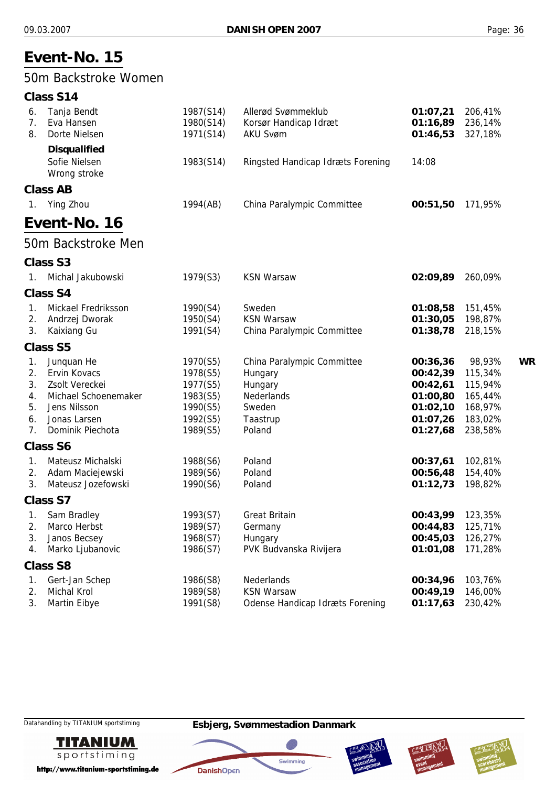## 50m Backstroke Women

#### **Class S14**

| 6.<br>7.       | Tanja Bendt<br>Eva Hansen     | 1987(S14)<br>1980(S14) | Allerød Svømmeklub<br>Korsør Handicap Idræt | 01:07,21<br>01:16,89 | 206,41%<br>236,14% |           |
|----------------|-------------------------------|------------------------|---------------------------------------------|----------------------|--------------------|-----------|
| 8.             | Dorte Nielsen                 | 1971(S14)              | <b>AKU Svøm</b>                             | 01:46,53             | 327,18%            |           |
|                |                               |                        |                                             |                      |                    |           |
|                | <b>Disqualified</b>           |                        |                                             |                      |                    |           |
|                | Sofie Nielsen<br>Wrong stroke | 1983(S14)              | Ringsted Handicap Idræts Forening           | 14:08                |                    |           |
|                |                               |                        |                                             |                      |                    |           |
|                | <b>Class AB</b>               |                        |                                             |                      |                    |           |
| $\mathbf{1}$ . | Ying Zhou                     | 1994(AB)               | China Paralympic Committee                  | 00:51,50             | 171,95%            |           |
|                | Event-No. 16                  |                        |                                             |                      |                    |           |
|                | 50m Backstroke Men            |                        |                                             |                      |                    |           |
|                | <b>Class S3</b>               |                        |                                             |                      |                    |           |
| $1_{\cdot}$    | Michal Jakubowski             | 1979(S3)               | <b>KSN Warsaw</b>                           | 02:09,89             | 260,09%            |           |
|                | <b>Class S4</b>               |                        |                                             |                      |                    |           |
| 1.             | Mickael Fredriksson           | 1990(S4)               | Sweden                                      | 01:08,58             | 151,45%            |           |
| 2.             | Andrzej Dworak                | 1950(S4)               | <b>KSN Warsaw</b>                           | 01:30,05             | 198,87%            |           |
| 3.             | Kaixiang Gu                   | 1991(S4)               | China Paralympic Committee                  | 01:38,78             | 218,15%            |           |
|                | <b>Class S5</b>               |                        |                                             |                      |                    |           |
| 1.             | Junquan He                    | 1970(S5)               | China Paralympic Committee                  | 00:36,36             | 98,93%             | <b>WR</b> |
| 2.             | <b>Ervin Kovacs</b>           | 1978(S5)               | Hungary                                     | 00:42,39             | 115,34%            |           |
| 3.             | Zsolt Vereckei                | 1977(S5)               | Hungary                                     | 00:42,61             | 115,94%            |           |
| 4.             | Michael Schoenemaker          | 1983(S5)               | Nederlands                                  | 01:00,80             | 165,44%            |           |
| 5.             | Jens Nilsson                  | 1990(S5)               | Sweden                                      | 01:02,10             | 168,97%            |           |
| 6.             | Jonas Larsen                  | 1992(S5)               | Taastrup                                    | 01:07,26             | 183,02%            |           |
| 7.             | Dominik Piechota              | 1989(S5)               | Poland                                      | 01:27,68             | 238,58%            |           |
|                | <b>Class S6</b>               |                        |                                             |                      |                    |           |
| 1.             | Mateusz Michalski             | 1988(S6)               | Poland                                      | 00:37,61             | 102,81%            |           |
| 2.             | Adam Maciejewski              | 1989(S6)               | Poland                                      | 00:56,48             | 154,40%            |           |
| 3.             | Mateusz Jozefowski            | 1990(S6)               | Poland                                      | 01:12,73             | 198,82%            |           |
|                | Class S7                      |                        |                                             |                      |                    |           |
| 1.             | Sam Bradley                   | 1993(S7)               | <b>Great Britain</b>                        | 00:43,99             | 123,35%            |           |
| 2.             | Marco Herbst                  | 1989(S7)               | Germany                                     | 00:44,83             | 125,71%            |           |
| 3.             | Janos Becsey                  | 1968(S7)               | Hungary                                     | 00:45,03             | 126,27%            |           |
| 4.             | Marko Ljubanovic              | 1986(S7)               | PVK Budvanska Rivijera                      | 01:01,08             | 171,28%            |           |
|                | <b>Class S8</b>               |                        |                                             |                      |                    |           |
| 1.             | Gert-Jan Schep                | 1986(S8)               | Nederlands                                  | 00:34,96             | 103,76%            |           |
| 2.             | Michal Krol                   | 1989(S8)               | <b>KSN Warsaw</b>                           | 00:49,19             | 146,00%            |           |
| 3.             | Martin Eibye                  | 1991(S8)               | <b>Odense Handicap Idræts Forening</b>      | 01:17,63             | 230,42%            |           |



http://www.titanium-sportstiming.de







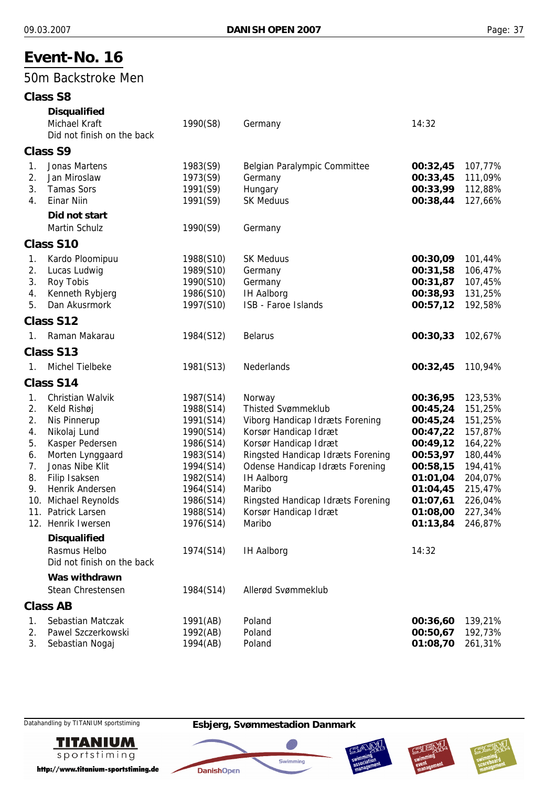### 50m Backstroke Men

|                                                    | <b>Class S8</b>                                                                                                                                                                                                                                                                                        |                                                                                                                                                                       |                                                                                                                                                                                                                                                                                                                                     |                                                                                                                                                       |                                                                                                                                  |
|----------------------------------------------------|--------------------------------------------------------------------------------------------------------------------------------------------------------------------------------------------------------------------------------------------------------------------------------------------------------|-----------------------------------------------------------------------------------------------------------------------------------------------------------------------|-------------------------------------------------------------------------------------------------------------------------------------------------------------------------------------------------------------------------------------------------------------------------------------------------------------------------------------|-------------------------------------------------------------------------------------------------------------------------------------------------------|----------------------------------------------------------------------------------------------------------------------------------|
|                                                    | <b>Disqualified</b><br>Michael Kraft<br>Did not finish on the back                                                                                                                                                                                                                                     | 1990(S8)                                                                                                                                                              | Germany                                                                                                                                                                                                                                                                                                                             | 14:32                                                                                                                                                 |                                                                                                                                  |
|                                                    | <b>Class S9</b>                                                                                                                                                                                                                                                                                        |                                                                                                                                                                       |                                                                                                                                                                                                                                                                                                                                     |                                                                                                                                                       |                                                                                                                                  |
| 1.<br>2.<br>3.<br>4.                               | Jonas Martens<br>Jan Miroslaw<br><b>Tamas Sors</b><br><b>Einar Niin</b><br>Did not start                                                                                                                                                                                                               | 1983(S9)<br>1973(S9)<br>1991(S9)<br>1991(S9)                                                                                                                          | Belgian Paralympic Committee<br>Germany<br>Hungary<br><b>SK Meduus</b>                                                                                                                                                                                                                                                              | 00:32,45<br>00:33,45<br>00:33,99<br>00:38,44                                                                                                          | 107,77%<br>111,09%<br>112,88%<br>127,66%                                                                                         |
|                                                    | Martin Schulz                                                                                                                                                                                                                                                                                          | 1990(S9)                                                                                                                                                              | Germany                                                                                                                                                                                                                                                                                                                             |                                                                                                                                                       |                                                                                                                                  |
|                                                    | Class S10                                                                                                                                                                                                                                                                                              |                                                                                                                                                                       |                                                                                                                                                                                                                                                                                                                                     |                                                                                                                                                       |                                                                                                                                  |
| 1.<br>2.<br>3.<br>4.<br>5.                         | Kardo Ploomipuu<br>Lucas Ludwig<br>Roy Tobis<br>Kenneth Rybjerg<br>Dan Akusrmork                                                                                                                                                                                                                       | 1988(S10)<br>1989(S10)<br>1990(S10)<br>1986(S10)<br>1997(S10)                                                                                                         | <b>SK Meduus</b><br>Germany<br>Germany<br><b>IH Aalborg</b><br>ISB - Faroe Islands                                                                                                                                                                                                                                                  | 00:30,09<br>00:31,58<br>00:31,87<br>00:38,93<br>00:57,12                                                                                              | 101,44%<br>106,47%<br>107,45%<br>131,25%<br>192,58%                                                                              |
|                                                    | Class S12                                                                                                                                                                                                                                                                                              |                                                                                                                                                                       |                                                                                                                                                                                                                                                                                                                                     |                                                                                                                                                       |                                                                                                                                  |
| 1.                                                 | Raman Makarau                                                                                                                                                                                                                                                                                          | 1984(S12)                                                                                                                                                             | <b>Belarus</b>                                                                                                                                                                                                                                                                                                                      | 00:30,33                                                                                                                                              | 102,67%                                                                                                                          |
|                                                    | Class S13                                                                                                                                                                                                                                                                                              |                                                                                                                                                                       |                                                                                                                                                                                                                                                                                                                                     |                                                                                                                                                       |                                                                                                                                  |
| 1.                                                 | Michel Tielbeke                                                                                                                                                                                                                                                                                        | 1981(S13)                                                                                                                                                             | Nederlands                                                                                                                                                                                                                                                                                                                          | 00:32,45                                                                                                                                              | 110,94%                                                                                                                          |
|                                                    | Class S14                                                                                                                                                                                                                                                                                              |                                                                                                                                                                       |                                                                                                                                                                                                                                                                                                                                     |                                                                                                                                                       |                                                                                                                                  |
| 1.<br>2.<br>2.<br>4.<br>5.<br>6.<br>7.<br>8.<br>9. | Christian Walvik<br>Keld Rishøj<br>Nis Pinnerup<br>Nikolaj Lund<br>Kasper Pedersen<br>Morten Lynggaard<br>Jonas Nibe Klit<br>Filip Isaksen<br>Henrik Andersen<br>10. Michael Reynolds<br>11. Patrick Larsen<br>12. Henrik Iwersen<br><b>Disqualified</b><br>Rasmus Helbo<br>Did not finish on the back | 1987(S14)<br>1988(S14)<br>1991(S14)<br>1990(S14)<br>1986(S14)<br>1983(S14)<br>1994(S14)<br>1982(S14)<br>1964(S14)<br>1986(S14)<br>1988(S14)<br>1976(S14)<br>1974(S14) | Norway<br><b>Thisted Svømmeklub</b><br>Viborg Handicap Idræts Forening<br>Korsør Handicap Idræt<br>Korsør Handicap Idræt<br>Ringsted Handicap Idræts Forening<br><b>Odense Handicap Idræts Forening</b><br><b>IH Aalborg</b><br>Maribo<br>Ringsted Handicap Idræts Forening<br>Korsør Handicap Idræt<br>Maribo<br><b>IH Aalborg</b> | 00:36,95<br>00:45,24<br>00:45,24<br>00:47,22<br>00:49,12<br>00:53,97<br>00:58,15<br>01:01,04<br>01:04,45<br>01:07,61<br>01:08,00<br>01:13,84<br>14:32 | 123,53%<br>151,25%<br>151,25%<br>157,87%<br>164,22%<br>180,44%<br>194,41%<br>204,07%<br>215,47%<br>226,04%<br>227,34%<br>246,87% |
|                                                    | Was withdrawn<br>Stean Chrestensen                                                                                                                                                                                                                                                                     | 1984(S14)                                                                                                                                                             | Allerød Svømmeklub                                                                                                                                                                                                                                                                                                                  |                                                                                                                                                       |                                                                                                                                  |
|                                                    | <b>Class AB</b>                                                                                                                                                                                                                                                                                        |                                                                                                                                                                       |                                                                                                                                                                                                                                                                                                                                     |                                                                                                                                                       |                                                                                                                                  |
| 1.<br>2.<br>3.                                     | Sebastian Matczak<br>Pawel Szczerkowski<br>Sebastian Nogaj                                                                                                                                                                                                                                             | 1991(AB)<br>1992(AB)<br>1994(AB)                                                                                                                                      | Poland<br>Poland<br>Poland                                                                                                                                                                                                                                                                                                          | 00:36,60<br>00:50,67<br>01:08,70                                                                                                                      | 139,21%<br>192,73%<br>261,31%                                                                                                    |



http://www.titanium-sportstiming.de





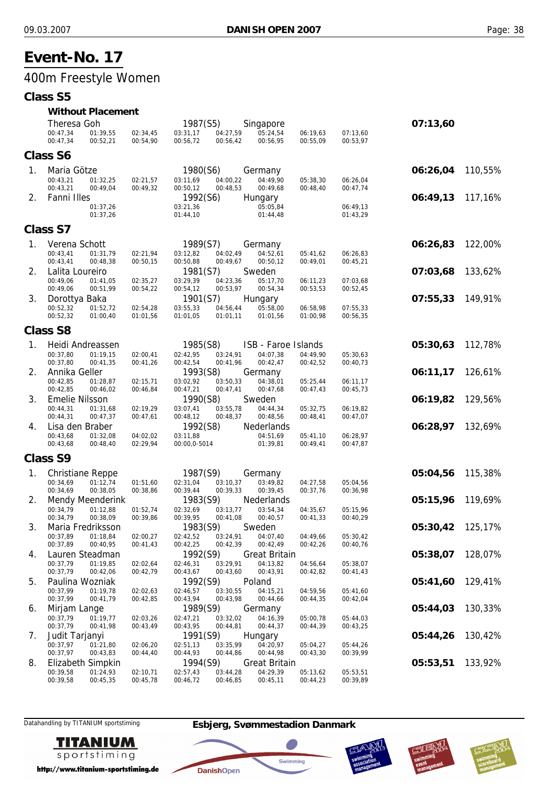## 400m Freestyle Women

#### **Class S5**

#### *Without Placement*

|    | Theresa Goh<br>00:47,34<br>01:39,55                           | 02:34,45             | 1987(S5)<br>03:31,17<br>04:27,59                         | Singapore<br>05:24,54            | 06:19,63             | 07:13,60             | 07:13,60 |         |
|----|---------------------------------------------------------------|----------------------|----------------------------------------------------------|----------------------------------|----------------------|----------------------|----------|---------|
|    | 00:47,34<br>00:52,21                                          | 00:54,90             | 00:56,42<br>00:56,72                                     | 00:56,95                         | 00:55,09             | 00:53,97             |          |         |
|    | <b>Class S6</b>                                               |                      |                                                          |                                  |                      |                      |          |         |
| 1. | Maria Götze<br>00:43,21<br>01:32,25<br>00:43,21<br>00:49,04   | 02:21,57<br>00:49,32 | 1980(S6)<br>04:00,22<br>03:11,69<br>00:48,53<br>00:50,12 | Germany<br>04:49.90<br>00:49,68  | 05:38,30<br>00:48,40 | 06:26,04<br>00:47,74 | 06:26,04 | 110,55% |
| 2. | Fanni Illes<br>01:37,26<br>01:37,26                           |                      | 1992(S6)<br>03:21,36<br>01:44,10                         | Hungary<br>05:05,84<br>01:44,48  |                      | 06:49,13<br>01:43,29 | 06:49,13 | 117,16% |
|    | <b>Class S7</b>                                               |                      |                                                          |                                  |                      |                      |          |         |
|    |                                                               |                      |                                                          |                                  |                      |                      |          |         |
| 1. | Verena Schott<br>00:43,41<br>01:31,79<br>00:43,41<br>00:48,38 | 02:21,94<br>00:50,15 | 1989(S7)<br>03:12,82<br>04:02,49<br>00:50,88<br>00:49,67 | Germany<br>04:52,61<br>00:50,12  | 05:41,62<br>00:49,01 | 06:26,83<br>00:45,21 | 06:26,83 | 122,00% |
| 2. | Lalita Loureiro<br>00:49,06<br>01:41,05                       | 02:35,27             | 1981(S7)<br>03:29,39<br>04:23,36                         | Sweden<br>05:17,70               | 06:11,23             | 07:03,68             | 07:03,68 | 133,62% |
| 3. | 00:49,06<br>00:51,99<br>Dorottya Baka                         | 00:54,22             | 00:53,97<br>00:54,12<br>1901(S7)                         | 00:54,34<br>Hungary              | 00:53,53             | 00:52,45             | 07:55,33 | 149,91% |
|    | 00:52,32<br>01:52,72<br>00:52,32<br>01:00,40                  | 02:54,28<br>01:01,56 | 03:55,33<br>04:56,44<br>01:01,11<br>01:01,05             | 05:58,00<br>01:01,56             | 06:58,98<br>01:00,98 | 07:55,33<br>00:56,35 |          |         |
|    | <b>Class S8</b>                                               |                      |                                                          |                                  |                      |                      |          |         |
| 1. | Heidi Andreassen                                              |                      | 1985(S8)                                                 | ISB - Faroe Islands              |                      |                      | 05:30,63 | 112,78% |
|    | 00:37,80<br>01:19.15<br>00:37,80<br>00:41,35                  | 02:00,41<br>00:41,26 | 02:42,95<br>03:24,91<br>00:42,54<br>00:41,96             | 04:07,38<br>00:42,47             | 04:49,90<br>00:42,52 | 05:30,63<br>00:40,73 |          |         |
| 2. | Annika Geller                                                 |                      | 1993(S8)                                                 | Germany                          |                      |                      | 06:11,17 | 126,61% |
|    | 00:42,85<br>01:28,87<br>00:42,85<br>00:46,02                  | 02:15,71<br>00:46,84 | 03:02,92<br>03:50,33<br>00:47,41<br>00:47,21             | 04:38,01<br>00:47,68             | 05:25,44<br>00:47,43 | 06:11,17<br>00:45,73 |          |         |
| 3. | <b>Emelie Nilsson</b>                                         |                      | 1990(S8)                                                 | Sweden                           |                      |                      | 06:19,82 | 129,56% |
|    | 00:44,31<br>01:31,68<br>00:44,31<br>00:47,37                  | 02:19,29<br>00:47,61 | 03:07,41<br>03:55,78<br>00:48,37<br>00:48,12             | 04:44,34<br>00:48,56             | 05:32,75<br>00:48,41 | 06:19,82<br>00:47,07 |          |         |
| 4. | Lisa den Braber                                               |                      | 1992(S8)                                                 | Nederlands                       |                      |                      | 06:28,97 | 132,69% |
|    | 00:43,68<br>01:32,08<br>00:43,68<br>00:48,40                  | 04:02,02<br>02:29,94 | 03:11,88<br>00:00,0-5014                                 | 04:51,69<br>01:39,81             | 05:41,10<br>00:49,41 | 06:28,97<br>00:47,87 |          |         |
|    | <b>Class S9</b>                                               |                      |                                                          |                                  |                      |                      |          |         |
| 1. | <b>Christiane Reppe</b>                                       |                      | 1987(S9)                                                 | Germany                          |                      |                      | 05:04,56 | 115,38% |
|    | 00:34,69<br>01:12,74<br>00:38,05<br>00:34,69                  | 01:51,60<br>00:38,86 | 02:31,04<br>03:10,37<br>00:39,44<br>00:39,33             | 03:49,82<br>00:39,45             | 04:27,58<br>00:37,76 | 05:04,56<br>00:36,98 |          |         |
| 2. | Mendy Meenderink                                              |                      | 1983(S9)                                                 | Nederlands                       |                      |                      | 05:15,96 | 119,69% |
|    | 01:12,88<br>00:34,79<br>00:34,79<br>00:38,09                  | 01:52,74<br>00:39,86 | 02:32,69<br>03:13,77<br>00:39,95<br>00:41,08             | 03:54,34<br>00:40,57             | 04:35,67             | 05:15,96<br>00:40,29 |          |         |
| 3. | Maria Fredriksson                                             |                      | 1983(S9)                                                 | Sweden                           | 00:41,33             |                      | 05:30,42 | 125,17% |
|    | 00:37,89<br>01:18,84<br>00:37,89<br>00:40,95                  | 02:00,27             | 02:42,52<br>03:24,91<br>00:42,39                         | 04:07,40                         | 04:49,66             | 05:30,42             |          |         |
| 4. | Lauren Steadman                                               | 00:41,43             | 00:42,25<br>1992(S9)                                     | 00:42,49<br><b>Great Britain</b> | 00:42,26             | 00:40,76             | 05:38,07 | 128,07% |
|    | 00:37,79<br>01:19,85                                          | 02:02,64             | 03:29,91<br>02:46,31                                     | 04:13,82                         | 04:56,64             | 05:38,07             |          |         |
| 5. | 00:37,79<br>00:42,06<br>Paulina Wozniak                       | 00:42,79             | 00:43,67<br>00:43,60<br>1992(S9)                         | 00:43,91<br>Poland               | 00:42,82             | 00:41,43             | 05:41,60 | 129,41% |
|    | 00:37,99<br>01:19,78                                          | 02:02,63             | 03:30,55<br>02:46,57                                     | 04:15,21                         | 04:59,56             | 05:41,60             |          |         |
| 6. | 00:37,99<br>00:41,79<br>Mirjam Lange                          | 00:42,85             | 00:43,94<br>00:43,98<br>1989(S9)                         | 00:44,66<br>Germany              | 00:44,35             | 00:42,04             | 05:44,03 | 130,33% |
|    | 00:37,79<br>01:19,77                                          | 02:03,26             | 03:32,02<br>02:47,21                                     | 04:16,39                         | 05:00,78             | 05:44,03             |          |         |
| 7. | 00:37,79<br>00:41,98<br>Judit Tarjanyi                        | 00:43,49             | 00:43,95<br>00:44,81<br>1991(S9)                         | 00:44,37<br>Hungary              | 00:44,39             | 00:43,25             | 05:44,26 | 130,42% |
|    | 01:21,80<br>00:37,97                                          | 02:06,20             | 02:51,13<br>03:35,99                                     | 04:20,97                         | 05:04,27             | 05:44,26             |          |         |
| 8. | 00:37,97<br>00:43,83<br>Elizabeth Simpkin                     | 00:44,40             | 00:44,86<br>00:44,93<br>1994(S9)                         | 00:44,98<br><b>Great Britain</b> | 00:43,30             | 00:39,99             | 05:53,51 | 133,92% |
|    | 00:39,58<br>01:24,93                                          | 02:10,71             | 03:44,28<br>02:57,43                                     | 04:29,39                         | 05:13,62             | 05:53,51             |          |         |
|    | 00:39,58<br>00:45,35                                          | 00:45,78             | 00:46,72<br>00:46,85                                     | 00:45,11                         | 00:44,23             | 00:39,89             |          |         |

Datahandling by TITANIUM sportstiming **Esbjerg, Svømmestadion Danmark**



http://www.titanium-sportstiming.de



Swimming

**DanishOpen** 



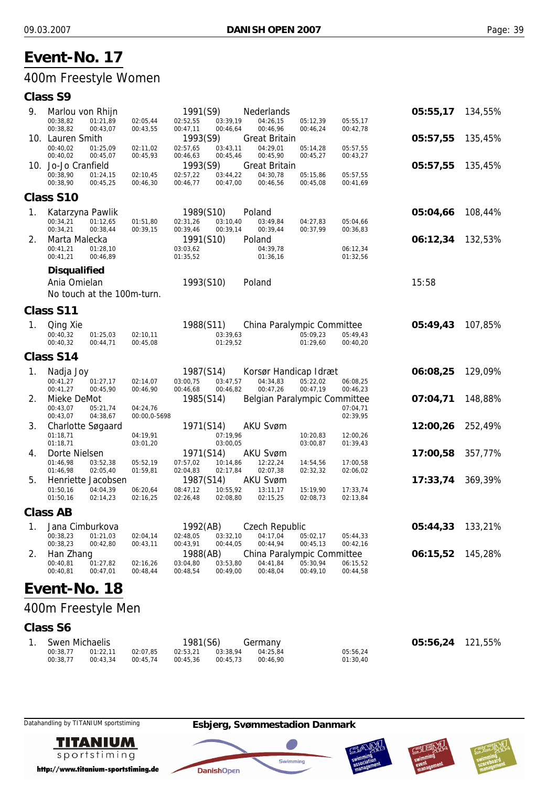## 400m Freestyle Women

#### **Class S9**

| 9.             | Marlou von Rhijn                             |                          | 1991(S9)                                     | <b>Nederlands</b>            |                      |                      | 05:55,17         | 134,55% |
|----------------|----------------------------------------------|--------------------------|----------------------------------------------|------------------------------|----------------------|----------------------|------------------|---------|
|                | 00:38,82<br>01:21,89                         | 02:05,44                 | 02:52,55<br>03:39,19                         | 04:26,15                     | 05:12,39             | 05:55,17             |                  |         |
|                | 00:38,82<br>00:43,07                         | 00:43,55                 | 00:47,11<br>00:46,64                         | 00:46,96                     | 00:46,24             | 00:42,78             |                  |         |
|                | 10. Lauren Smith                             |                          | 1993(S9)                                     | <b>Great Britain</b>         |                      |                      | 05:57,55         | 135,45% |
|                | 00:40.02<br>01:25,09<br>00:40,02<br>00:45,07 | 02:11,02<br>00:45,93     | 02:57,65<br>03:43,11<br>00:45,46<br>00:46,63 | 04:29,01<br>00:45,90         | 05:14,28<br>00:45,27 | 05:57,55<br>00:43,27 |                  |         |
|                | 10. Jo-Jo Cranfield                          |                          | 1993(S9)                                     | <b>Great Britain</b>         |                      |                      | 05:57,55         | 135,45% |
|                | 00:38,90<br>01:24,15                         | 02:10,45                 | 02:57,22<br>03:44,22                         | 04:30,78                     | 05:15,86             | 05:57,55             |                  |         |
|                | 00:38,90<br>00:45,25                         | 00:46,30                 | 00:46,77<br>00:47,00                         | 00:46,56                     | 00:45,08             | 00:41,69             |                  |         |
|                | Class S10                                    |                          |                                              |                              |                      |                      |                  |         |
| 1 <sub>1</sub> | Katarzyna Pawlik                             |                          | 1989(S10)                                    | Poland                       |                      |                      | 05:04,66         | 108,44% |
|                | 01:12,65<br>00:34,21                         | 01:51,80                 | 02:31,26<br>03:10,40                         | 03:49,84                     | 04:27,83             | 05:04,66             |                  |         |
|                | 00:34,21<br>00:38,44                         | 00:39,15                 | 00:39,46<br>00:39,14                         | 00:39,44                     | 00:37,99             | 00:36,83             |                  |         |
| 2.             | Marta Malecka                                |                          | 1991(S10)                                    | Poland                       |                      |                      | 06:12,34         | 132,53% |
|                | 00:41,21<br>01:28,10                         |                          | 03:03,62                                     | 04:39,78                     |                      | 06:12,34             |                  |         |
|                | 00:41,21<br>00:46,89                         |                          | 01:35,52                                     | 01:36,16                     |                      | 01:32,56             |                  |         |
|                | <b>Disqualified</b>                          |                          |                                              |                              |                      |                      |                  |         |
|                | Ania Omielan                                 |                          | 1993(S10)                                    | Poland                       |                      |                      | 15:58            |         |
|                | No touch at the 100m-turn.                   |                          |                                              |                              |                      |                      |                  |         |
|                | Class S11                                    |                          |                                              |                              |                      |                      |                  |         |
| 1.             | Qing Xie                                     |                          | 1988(S11)                                    | China Paralympic Committee   |                      |                      | 05:49,43         | 107,85% |
|                | 00:40,32<br>01:25.03                         | 02:10,11                 | 03:39,63                                     |                              | 05:09,23             | 05:49,43             |                  |         |
|                | 00:40,32<br>00:44,71                         | 00:45,08                 | 01:29,52                                     |                              | 01:29,60             | 00:40,20             |                  |         |
|                | Class S14                                    |                          |                                              |                              |                      |                      |                  |         |
| 1.             | Nadja Joy                                    |                          | 1987(S14)                                    | Korsør Handicap Idræt        |                      |                      | 06:08,25         | 129,09% |
|                | 00:41,27<br>01:27,17                         | 02:14,07                 | 03:00,75<br>03:47,57                         | 04:34,83                     | 05:22,02             | 06:08,25             |                  |         |
|                | 00:41,27<br>00:45,90                         | 00:46,90                 | 00:46,68<br>00:46,82                         | 00:47,26                     | 00:47,19             | 00:46,23             |                  |         |
| 2.             | Mieke DeMot                                  |                          | 1985(S14)                                    | Belgian Paralympic Committee |                      |                      | 07:04,71         | 148,88% |
|                | 00:43,07<br>05:21,74<br>00:43,07<br>04:38,67 | 04:24,76<br>00:00,0-5698 |                                              |                              |                      | 07:04,71<br>02:39,95 |                  |         |
| 3.             | Charlotte Søgaard                            |                          | 1971(S14)                                    | <b>AKU Svøm</b>              |                      |                      | 12:00,26         | 252,49% |
|                | 01:18,71                                     | 04:19,91                 | 07:19,96                                     |                              | 10:20,83             | 12:00,26             |                  |         |
|                | 01:18,71                                     | 03:01,20                 | 03:00,05                                     |                              | 03:00,87             | 01:39,43             |                  |         |
| 4.             | Dorte Nielsen                                |                          | 1971(S14)                                    | <b>AKU Svøm</b>              |                      |                      | 17:00,58         | 357,77% |
|                | 01:46,98<br>03:52,38                         | 05:52,19                 | 07:57,02<br>10:14,86                         | 12:22,24                     | 14:54,56             | 17:00,58             |                  |         |
|                | 01:46,98<br>02:05,40                         | 01:59,81                 | 02:04,83<br>02:17,84                         | 02:07,38                     | 02:32,32             | 02:06,02             |                  |         |
| 5.             | Henriette Jacobsen<br>01:50.16               |                          | 1987(S14)                                    | <b>AKU Svøm</b>              |                      |                      | 17:33,74         | 369,39% |
|                | 04:04,39<br>01:50,16<br>02:14,23             | 06:20,64<br>02:16,25     | 10:55,92<br>08:47,12<br>02:26,48<br>02:08,80 | 13:11,17<br>02:15,25         | 15:19,90<br>02:08,73 | 17:33,74<br>02:13,84 |                  |         |
|                | <b>Class AB</b>                              |                          |                                              |                              |                      |                      |                  |         |
| $1_{\cdot}$    | Jana Cimburkova                              |                          | 1992(AB)                                     | <b>Czech Republic</b>        |                      |                      | 05:44,33 133,21% |         |
|                | 00.2922010102                                |                          | 02:04.14 02:49.05 02:22.10 04:17.04 05:02.17 |                              |                      | 05.1122              |                  |         |

|              | <b>DUNING OFFICIAL STREET</b> |          | $1/2$ ( $\overline{D}$ ) |          | <b>OLOGII INGRUING</b>              |          |          | 00.177,00 100,2170 |  |
|--------------|-------------------------------|----------|--------------------------|----------|-------------------------------------|----------|----------|--------------------|--|
| 00:38.23     | 01:21.03                      | 02:04.14 | 02:48.05                 | 03:32.10 | 04:17.04                            | 05:02.17 | 05:44.33 |                    |  |
| 00:38.23     | 00:42.80                      | 00:43.11 | 00:43.91                 | 00:44.05 | 00:44.94                            | 00:45.13 | 00:42.16 |                    |  |
| 2. Han Zhang |                               |          |                          |          | 1988(AB) China Paralympic Committee |          |          | 06:15,52 145,28%   |  |
| 00:40,81     | 01:27.82                      | 02:16,26 | 03:04.80                 | 03:53.80 | 04:41.84                            | 05:30.94 | 06:15,52 |                    |  |
| 00:40.81     | 00:47.01                      | 00:48.44 | 00:48.54                 | 00:49.00 | 00:48.04                            | 00:49.10 | 00:44.58 |                    |  |
|              |                               |          |                          |          |                                     |          |          |                    |  |

# **Event-No. 18**

## 400m Freestyle Men

## **Class S6**

| Swen Michaelis |          |          | 1981(S6) |          | Germany  |          | 05:56,24 121,55% |  |
|----------------|----------|----------|----------|----------|----------|----------|------------------|--|
| 00:38.77       | 01:22.11 | 02:07.85 | 02:53.21 | 03:38.94 | 04:25.84 | 05:56.24 |                  |  |
| 00:38.77       | 00:43.34 | 00:45.74 | 00:45.36 | 00:45.73 | 00:46.90 | 01:30.40 |                  |  |



http://www.titanium-sportstiming.de



**DanishOpen** 





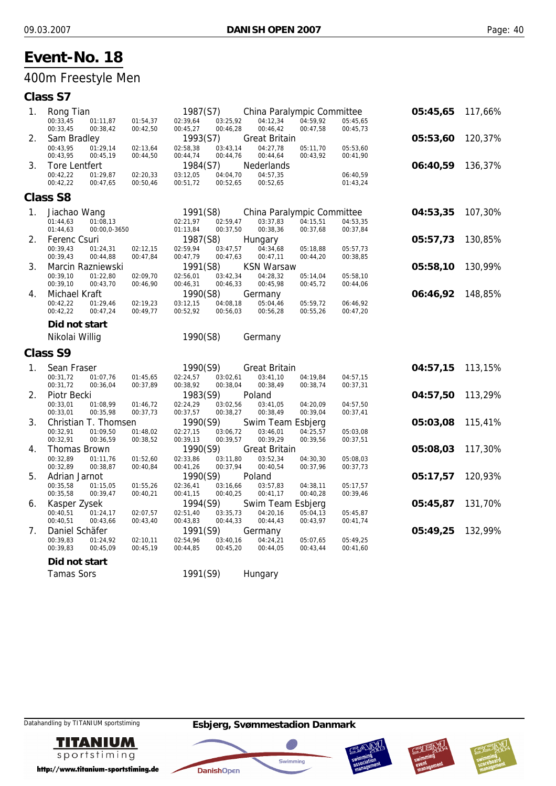## 400m Freestyle Men

| 05:45,65 | 117,66%                                                              |
|----------|----------------------------------------------------------------------|
|          |                                                                      |
|          | 120,37%                                                              |
|          |                                                                      |
|          |                                                                      |
|          | 136,37%                                                              |
|          |                                                                      |
|          |                                                                      |
|          | 107,30%                                                              |
|          |                                                                      |
|          |                                                                      |
|          | 130,85%                                                              |
|          |                                                                      |
| 05:58,10 | 130,99%                                                              |
|          |                                                                      |
|          | 148,85%                                                              |
|          |                                                                      |
|          |                                                                      |
|          |                                                                      |
|          |                                                                      |
|          |                                                                      |
|          | 113,15%                                                              |
|          |                                                                      |
|          |                                                                      |
|          |                                                                      |
| 04:57,50 | 113,29%                                                              |
|          |                                                                      |
| 05:03,08 | 115,41%                                                              |
|          |                                                                      |
|          |                                                                      |
| 05:08,03 | 117,30%                                                              |
|          |                                                                      |
| 05:17,57 | 120,93%                                                              |
|          |                                                                      |
|          |                                                                      |
| 05:45,87 | 131,70%                                                              |
|          |                                                                      |
| 05:49,25 | 132,99%                                                              |
|          |                                                                      |
|          |                                                                      |
|          | 05:53,60<br>06:40,59<br>04:53,35<br>05:57,73<br>06:46,92<br>04:57,15 |

**TITANIUM** sportstiming

http://www.titanium-sportstiming.de







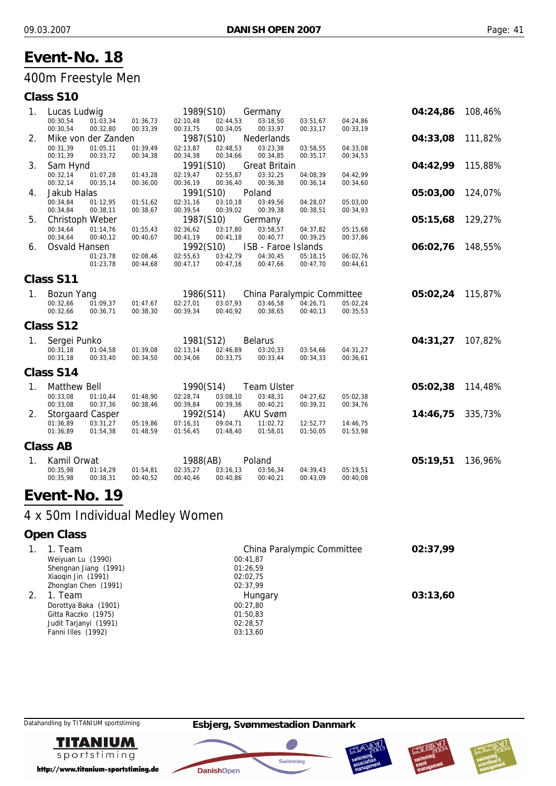## 400m Freestyle Men

| Class S10 |  |
|-----------|--|
|-----------|--|

| 1. | Lucas Ludwig            |                     |          | 1989(S10) |          | Germany                    |          |          | 04:24,86 | 108,46% |
|----|-------------------------|---------------------|----------|-----------|----------|----------------------------|----------|----------|----------|---------|
|    | 00:30,54                | 01:03,34            | 01:36,73 | 02:10,48  | 02:44,53 | 03:18,50                   | 03:51,67 | 04:24,86 |          |         |
|    | 00:30,54                | 00:32,80            | 00:33,39 | 00:33,75  | 00:34,05 | 00:33,97                   | 00:33,17 | 00:33,19 |          |         |
| 2. |                         | Mike von der Zanden |          | 1987(S10) |          | <b>Nederlands</b>          |          |          | 04:33,08 | 111,82% |
|    | 00:31,39                | 01:05,11            | 01:39,49 | 02:13,87  | 02:48,53 | 03:23,38                   | 03:58,55 | 04:33,08 |          |         |
|    | 00:31,39                | 00:33,72            | 00:34,38 | 00:34,38  | 00:34,66 | 00:34,85                   | 00:35,17 | 00:34,53 |          |         |
| 3. | Sam Hynd                |                     |          | 1991(S10) |          | <b>Great Britain</b>       |          |          | 04:42,99 | 115,88% |
|    | 00:32,14                | 01:07,28            | 01:43,28 | 02:19,47  | 02:55,87 | 03:32,25                   | 04:08,39 | 04:42,99 |          |         |
|    | 00:32,14                | 00:35,14            | 00:36,00 | 00:36,19  | 00:36,40 | 00:36,38                   | 00:36,14 | 00:34,60 |          |         |
| 4. | Jakub Halas             |                     |          | 1991(S10) |          | Poland                     |          |          | 05:03,00 | 124,07% |
|    | 00:34,84                | 01:12,95            | 01:51,62 | 02:31,16  | 03:10,18 | 03:49,56                   | 04:28,07 | 05:03,00 |          |         |
|    | 00:34,84                | 00:38,11            | 00:38,67 | 00:39,54  | 00:39,02 | 00:39,38                   | 00:38,51 | 00:34,93 |          |         |
| 5. | Christoph Weber         |                     |          | 1987(S10) |          | Germany                    |          |          | 05:15,68 | 129,27% |
|    | 00:34,64                | 01:14,76            | 01:55,43 | 02:36,62  | 03:17,80 | 03:58,57                   | 04:37,82 | 05:15,68 |          |         |
|    | 00:34,64                | 00:40,12            | 00:40,67 | 00:41,19  | 00:41,18 | 00:40,77                   | 00:39,25 | 00:37,86 |          |         |
| 6. | Osvald Hansen           |                     |          | 1992(S10) |          | ISB - Faroe Islands        |          |          | 06:02,76 | 148,55% |
|    |                         | 01:23,78            | 02:08,46 | 02:55,63  | 03:42,79 | 04:30,45                   | 05:18,15 | 06:02,76 |          |         |
|    |                         | 01:23,78            | 00:44,68 | 00:47,17  | 00:47,16 | 00:47,66                   | 00:47,70 | 00:44,61 |          |         |
|    | Class S11               |                     |          |           |          |                            |          |          |          |         |
| 1. | <b>Bozun Yang</b>       |                     |          | 1986(S11) |          | China Paralympic Committee |          |          | 05:02,24 | 115,87% |
|    | 00:32,66                | 01:09,37            | 01:47,67 | 02:27,01  | 03:07,93 | 03:46,58                   | 04:26,71 | 05:02,24 |          |         |
|    | 00:32,66                | 00:36,71            | 00:38,30 | 00:39,34  | 00:40,92 | 00:38,65                   | 00:40,13 | 00:35,53 |          |         |
|    | Class S12               |                     |          |           |          |                            |          |          |          |         |
| 1. | Sergei Punko            |                     |          | 1981(S12) |          | <b>Belarus</b>             |          |          | 04:31,27 | 107,82% |
|    | 00:31,18                | 01:04,58            | 01:39,08 | 02:13,14  | 02:46,89 | 03:20,33                   | 03:54,66 | 04:31,27 |          |         |
|    | 00:31,18                | 00:33,40            | 00:34,50 | 00:34,06  | 00:33,75 | 00:33,44                   | 00:34,33 | 00:36,61 |          |         |
|    |                         |                     |          |           |          |                            |          |          |          |         |
|    | Class S14               |                     |          |           |          |                            |          |          |          |         |
| 1. | <b>Matthew Bell</b>     |                     |          | 1990(S14) |          | <b>Team Ulster</b>         |          |          | 05:02,38 | 114,48% |
|    | 00:33,08                | 01:10,44            | 01:48,90 | 02:28,74  | 03:08,10 | 03:48,31                   | 04:27,62 | 05:02,38 |          |         |
|    | 00:33,08                | 00:37,36            | 00:38,46 | 00:39,84  | 00:39,36 | 00:40,21                   | 00:39,31 | 00:34,76 |          |         |
| 2. | <b>Storgaard Casper</b> |                     |          | 1992(S14) |          | <b>AKU Svøm</b>            |          |          | 14:46,75 | 335,73% |
|    | 01:36,89                | 03:31,27            | 05:19,86 | 07:16,31  | 09:04,71 | 11:02,72                   | 12:52,77 | 14:46,75 |          |         |
|    | 01:36,89                | 01:54,38            | 01:48,59 | 01:56,45  | 01:48,40 | 01:58,01                   | 01:50,05 | 01:53,98 |          |         |
|    | <b>Class AB</b>         |                     |          |           |          |                            |          |          |          |         |
| 1. | Kamil Orwat             |                     |          | 1988(AB)  |          | Poland                     |          |          | 05:19,51 | 136,96% |
|    | 00:35,98                | 01:14,29            | 01:54,81 | 02:35,27  | 03:16,13 | 03:56,34                   | 04:39,43 | 05:19,51 |          |         |
|    | 00:35,98                | 00:38,31            | 00:40,52 | 00:40,46  | 00:40,86 | 00:40,21                   | 00:43,09 | 00:40,08 |          |         |
|    |                         |                     |          |           |          |                            |          |          |          |         |

# **Event-No. 19**

## 4 x 50m Individual Medley Women

### **Open Class**

| 1. Team               | China Paralympic Committee | 02:37.99 |
|-----------------------|----------------------------|----------|
| Weiyuan Lu (1990)     | 00:41,87                   |          |
| Shengnan Jiang (1991) | 01:26,59                   |          |
| Xiaogin Jin (1991)    | 02:02.75                   |          |
| Zhonglan Chen (1991)  | 02:37,99                   |          |
| 1. Team               | Hungary                    | 03:13.60 |
| Dorottya Baka (1901)  | 00:27.80                   |          |
| Gitta Raczko (1975)   | 01:50,83                   |          |
| Judit Tarjanyi (1991) | 02:28,57                   |          |
| Fanni Illes (1992)    | 03:13,60                   |          |

**TITANIUM** sportstiming

http://www.titanium-sportstiming.de







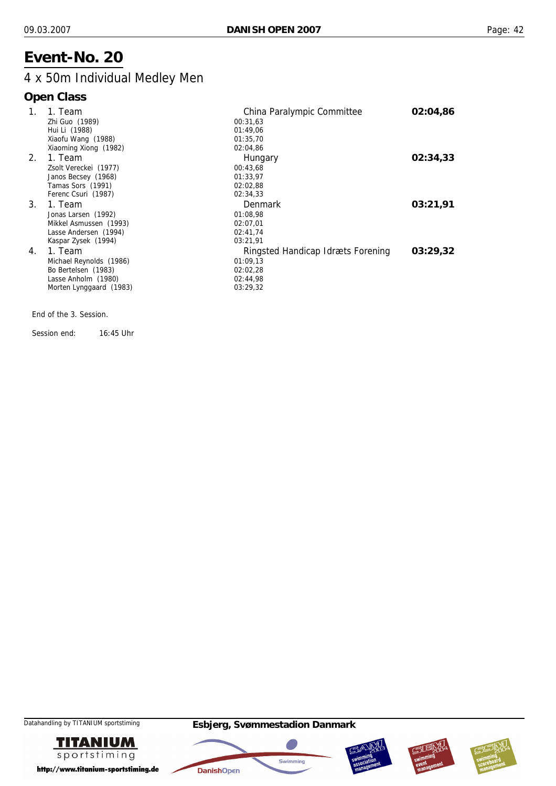## 4 x 50m Individual Medley Men

## **Open Class**

| 1. | 1. Team                 | China Paralympic Committee        | 02:04.86 |
|----|-------------------------|-----------------------------------|----------|
|    | Zhi Guo (1989)          | 00:31,63                          |          |
|    | Hui Li (1988)           | 01:49.06                          |          |
|    | Xiaofu Wang (1988)      | 01:35,70                          |          |
|    | Xiaoming Xiong (1982)   | 02:04,86                          |          |
| 2. | 1. Team                 | Hungary                           | 02:34.33 |
|    | Zsolt Vereckei (1977)   | 00:43,68                          |          |
|    | Janos Becsey (1968)     | 01:33.97                          |          |
|    | Tamas Sors (1991)       | 02:02,88                          |          |
|    | Ferenc Csuri (1987)     | 02:34,33                          |          |
| 3. | 1. Team                 | Denmark                           | 03:21,91 |
|    | Jonas Larsen (1992)     | 01:08,98                          |          |
|    | Mikkel Asmussen (1993)  | 02:07.01                          |          |
|    | Lasse Andersen (1994)   | 02:41,74                          |          |
|    | Kaspar Zysek (1994)     | 03:21,91                          |          |
| 4. | 1. Team                 | Ringsted Handicap Idræts Forening | 03:29.32 |
|    | Michael Reynolds (1986) | 01:09,13                          |          |
|    | Bo Bertelsen (1983)     | 02:02,28                          |          |
|    | Lasse Anholm (1980)     | 02:44,98                          |          |
|    | Morten Lynggaard (1983) | 03:29,32                          |          |
|    |                         |                                   |          |

End of the 3. Session.

Session end: 16:45 Uhr









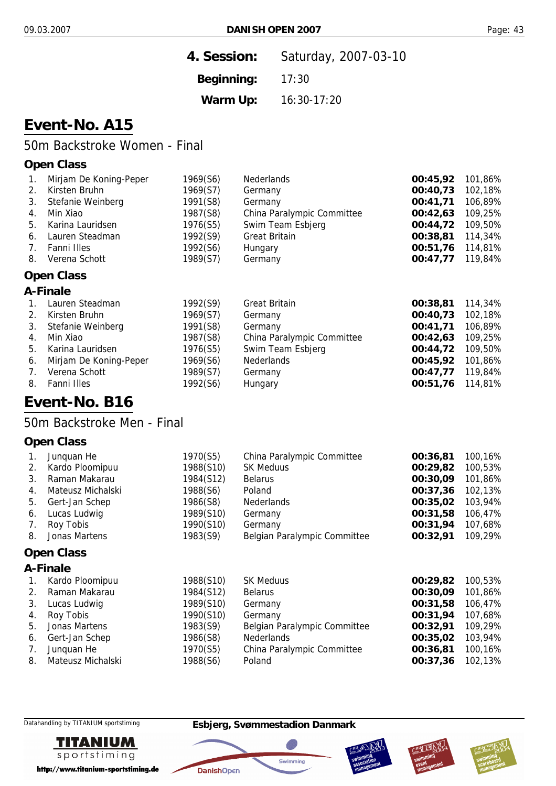| 4. Session: | Saturday, 2007-03-10 |
|-------------|----------------------|
| Beginning:  | 17:30                |
| Warm Up:    | 16:30-17:20          |

# **Event-No. A15**

## 50m Backstroke Women - Final

#### **Open Class**

| 1. | Mirjam De Koning-Peper | 1969(S6) | Nederlands                 | 00:45,92 | 101,86% |
|----|------------------------|----------|----------------------------|----------|---------|
| 2. | Kirsten Bruhn          | 1969(S7) | Germany                    | 00:40,73 | 102,18% |
| 3. | Stefanie Weinberg      | 1991(S8) | Germany                    | 00:41,71 | 106,89% |
| 4. | Min Xiao               | 1987(S8) | China Paralympic Committee | 00:42,63 | 109,25% |
| 5. | Karina Lauridsen       | 1976(S5) | Swim Team Esbjerg          | 00:44,72 | 109,50% |
| 6. | Lauren Steadman        | 1992(S9) | <b>Great Britain</b>       | 00:38,81 | 114,34% |
| 7. | Fanni Illes            | 1992(S6) | Hungary                    | 00:51,76 | 114,81% |
| 8. | Verena Schott          | 1989(S7) | Germany                    | 00:47,77 | 119,84% |
|    |                        |          |                            |          |         |

# **Open Class**

#### **A-Finale**

|    | Lauren Steadman           | 1992(S9) | <b>Great Britain</b>       | 00:38,81 114,34% |         |
|----|---------------------------|----------|----------------------------|------------------|---------|
| 2. | Kirsten Bruhn             | 1969(S7) | Germany                    | 00:40,73         | 102,18% |
| 3. | Stefanie Weinberg         | 1991(S8) | Germany                    | 00:41,71         | 106,89% |
| 4. | Min Xiao                  | 1987(S8) | China Paralympic Committee | 00:42.63         | 109,25% |
| 5. | Karina Lauridsen          | 1976(S5) | Swim Team Esbjerg          | 00:44,72         | 109,50% |
|    | 6. Mirjam De Koning-Peper | 1969(S6) | <b>Nederlands</b>          | 00:45.92         | 101,86% |
| 7. | Verena Schott             | 1989(S7) | Germany                    | 00:47,77 119,84% |         |
| 8. | Fanni Illes               | 1992(S6) | Hungary                    | 00:51,76 114,81% |         |
|    |                           |          |                            |                  |         |

## **Event-No. B16**

50m Backstroke Men - Final

#### **Open Class**

|    | Junquan He        | 1970(S5)  | China Paralympic Committee   | 00:36,81 | 100,16% |
|----|-------------------|-----------|------------------------------|----------|---------|
| 2. | Kardo Ploomipuu   | 1988(S10) | <b>SK Meduus</b>             | 00:29,82 | 100,53% |
| 3. | Raman Makarau     | 1984(S12) | <b>Belarus</b>               | 00:30.09 | 101,86% |
| 4. | Mateusz Michalski | 1988(S6)  | Poland                       | 00:37,36 | 102,13% |
| 5. | Gert-Jan Schep    | 1986(S8)  | Nederlands                   | 00:35,02 | 103,94% |
| 6. | Lucas Ludwig      | 1989(S10) | Germany                      | 00:31,58 | 106,47% |
| 7. | Roy Tobis         | 1990(S10) | Germany                      | 00:31,94 | 107,68% |
| 8. | Jonas Martens     | 1983(S9)  | Belgian Paralympic Committee | 00:32,91 | 109,29% |

#### **Open Class**

## **A-Finale**

| $1_{\cdot}$ | Kardo Ploomipuu      | 1988(S10) | <b>SK Meduus</b>             | 00:29,82 | 100,53% |
|-------------|----------------------|-----------|------------------------------|----------|---------|
|             | 2. Raman Makarau     | 1984(S12) | <b>Belarus</b>               | 00:30,09 | 101,86% |
|             | 3. Lucas Ludwig      | 1989(S10) | Germany                      | 00:31,58 | 106,47% |
|             | 4. Roy Tobis         | 1990(S10) | Germany                      | 00:31,94 | 107,68% |
|             | 5. Jonas Martens     | 1983(S9)  | Belgian Paralympic Committee | 00:32,91 | 109,29% |
|             | 6. Gert-Jan Schep    | 1986(S8)  | <b>Nederlands</b>            | 00:35,02 | 103,94% |
| 7.          | Junquan He           | 1970(S5)  | China Paralympic Committee   | 00:36,81 | 100,16% |
|             | 8. Mateusz Michalski | 1988(S6)  | Poland                       | 00:37,36 | 102,13% |



http://www.titanium-sportstiming.de

#### Datahandling by TITANIUM sportstiming **Esbjerg, Svømmestadion Danmark**

**DanishOpen** 





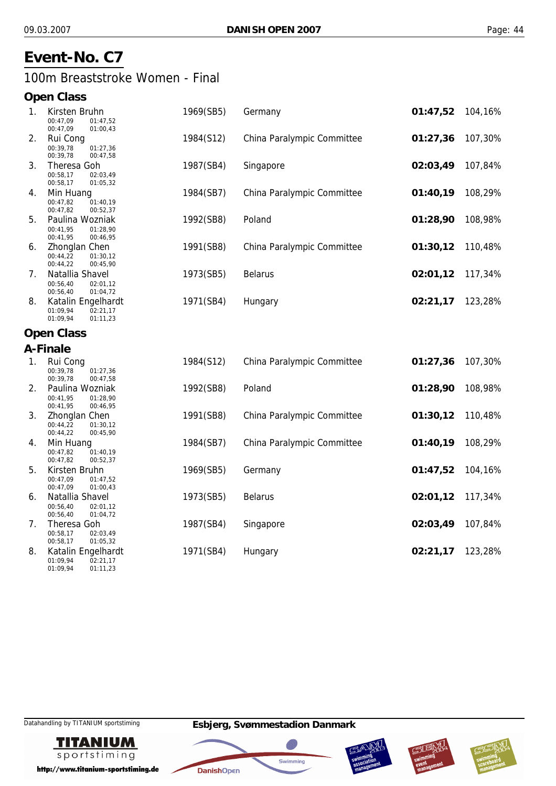## **Event-No. C7**

#### 100m Breaststroke Women - Final

#### **Open Class**

| 1. | Kirsten Bruhn<br>00:47,09<br>01:47,52<br>00:47,09<br>01:00,43        | 1969(SB5) | Germany                    | 01:47,52 | 104,16% |
|----|----------------------------------------------------------------------|-----------|----------------------------|----------|---------|
| 2. | Rui Cong<br>00:39,78<br>01:27,36<br>00:39,78<br>00:47,58             | 1984(S12) | China Paralympic Committee | 01:27,36 | 107,30% |
| 3. | Theresa Goh<br>02:03,49<br>00:58,17<br>00:58,17<br>01:05,32          | 1987(SB4) | Singapore                  | 02:03,49 | 107,84% |
| 4. | Min Huang<br>00:47,82<br>01:40,19<br>00:47,82<br>00:52,37            | 1984(SB7) | China Paralympic Committee | 01:40,19 | 108,29% |
| 5. | Paulina Wozniak<br>00:41,95<br>01:28,90<br>00:41,95<br>00:46,95      | 1992(SB8) | Poland                     | 01:28,90 | 108,98% |
| 6. | Zhonglan Chen<br>00:44,22<br>01:30,12<br>00:44,22<br>00:45,90        | 1991(SB8) | China Paralympic Committee | 01:30,12 | 110,48% |
| 7. | Natallia Shavel<br>00:56,40<br>02:01,12<br>00:56,40<br>01:04,72      | 1973(SB5) | <b>Belarus</b>             | 02:01,12 | 117,34% |
| 8. | Katalin Engelhardt<br>02:21,17<br>01:09,94<br>01:09,94<br>01:11,23   | 1971(SB4) | Hungary                    | 02:21,17 | 123,28% |
|    | <b>Open Class</b>                                                    |           |                            |          |         |
|    | A-Finale                                                             |           |                            |          |         |
| 1. | Rui Cong<br>00:39.78<br>01:27,36<br>00:39,78<br>00:47,58             | 1984(S12) | China Paralympic Committee | 01:27,36 | 107,30% |
| 2. | Paulina Wozniak<br>00:41.95<br>01:28.90<br>00:41,95<br>00:46,95      | 1992(SB8) | Poland                     | 01:28,90 | 108,98% |
| 3. | <b>Zhonglan Chen</b><br>00:44.22<br>01:30,12<br>00:45,90<br>00:44,22 | 1991(SB8) | China Paralympic Committee | 01:30,12 | 110,48% |
| 4. | Min Huang<br>00:47,82<br>01:40,19<br>00:47,82<br>00:52,37            | 1984(SB7) | China Paralympic Committee | 01:40,19 | 108,29% |
| 5. | Kirsten Bruhn<br>00:47.09<br>01:47,52<br>00:47,09<br>01:00,43        | 1969(SB5) | Germany                    | 01:47,52 | 104,16% |
| 6. | Natallia Shavel<br>00:56,40<br>02:01,12<br>00:56,40<br>01:04,72      | 1973(SB5) | <b>Belarus</b>             | 02:01,12 | 117,34% |
| 7. | Theresa Goh<br>00:58,17<br>02:03,49<br>00:58,17<br>01:05,32          | 1987(SB4) | Singapore                  | 02:03,49 | 107,84% |
| 8. | Katalin Engelhardt<br>02:21,17<br>01:09,94                           | 1971(SB4) | Hungary                    | 02:21,17 | 123,28% |

01:09,94



http://www.titanium-sportstiming.de

01:11,23







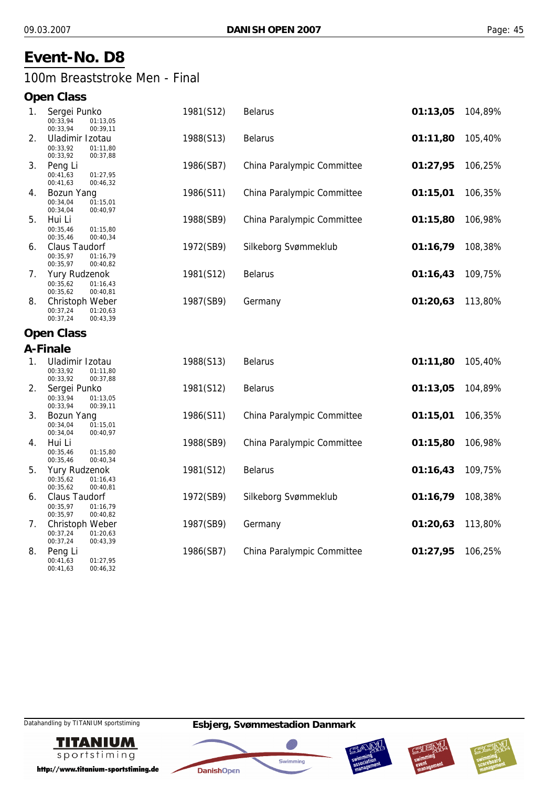## **Event-No. D8**

#### 100m Breaststroke Men - Final

#### **Open Class**

| 1. | Sergei Punko<br>00:33,94<br>01:13,05<br>00:33,94<br>00:39,11         | 1981(S12) | <b>Belarus</b>             | 01:13,05 | 104,89% |
|----|----------------------------------------------------------------------|-----------|----------------------------|----------|---------|
| 2. | Uladimir Izotau<br>00:33,92<br>01:11,80<br>00:33,92<br>00:37,88      | 1988(S13) | <b>Belarus</b>             | 01:11,80 | 105,40% |
| 3. | Peng Li<br>00:41,63<br>01:27,95<br>00:41,63<br>00:46,32              | 1986(SB7) | China Paralympic Committee | 01:27,95 | 106,25% |
| 4. | Bozun Yang<br>00:34,04<br>01:15,01<br>00:34,04<br>00:40,97           | 1986(S11) | China Paralympic Committee | 01:15,01 | 106,35% |
| 5. | Hui Li<br>00:35,46<br>01:15,80<br>00:35,46<br>00:40,34               | 1988(SB9) | China Paralympic Committee | 01:15,80 | 106,98% |
| 6. | <b>Claus Taudorf</b><br>00:35,97<br>01:16,79<br>00:35,97<br>00:40,82 | 1972(SB9) | Silkeborg Svømmeklub       | 01:16,79 | 108,38% |
| 7. | <b>Yury Rudzenok</b><br>00:35,62<br>01:16,43<br>00:35,62<br>00:40,81 | 1981(S12) | <b>Belarus</b>             | 01:16,43 | 109,75% |
| 8. | Christoph Weber<br>01:20,63<br>00:37,24<br>00:37,24<br>00:43,39      | 1987(SB9) | Germany                    | 01:20,63 | 113,80% |
|    | <b>Open Class</b>                                                    |           |                            |          |         |
|    | A-Finale                                                             |           |                            |          |         |
| 1. | Uladimir Izotau<br>00:33,92<br>01:11,80<br>00:33,92<br>00:37,88      | 1988(S13) | <b>Belarus</b>             | 01:11,80 | 105,40% |
| 2. | Sergei Punko<br>00:33,94<br>01:13,05<br>00:33,94<br>00:39,11         | 1981(S12) | <b>Belarus</b>             | 01:13,05 | 104,89% |
| 3. | Bozun Yang<br>00:34,04<br>01:15,01<br>00:34,04<br>00:40,97           | 1986(S11) | China Paralympic Committee | 01:15,01 | 106,35% |
| 4. | Hui Li<br>00:35,46<br>01:15,80<br>00:35,46<br>00:40,34               | 1988(SB9) | China Paralympic Committee | 01:15,80 | 106,98% |
| 5. | <b>Yury Rudzenok</b><br>00:35.62<br>01:16,43<br>00:35,62<br>00:40,81 | 1981(S12) | <b>Belarus</b>             | 01:16,43 | 109,75% |
| 6. | Claus Taudorf<br>00:35,97<br>01:16,79<br>00:35,97<br>00:40,82        | 1972(SB9) | Silkeborg Svømmeklub       | 01:16,79 | 108,38% |
| 7. | Christoph Weber<br>00:37,24<br>01:20,63<br>00:43,39<br>00:37,24      | 1987(SB9) | Germany                    | 01:20,63 | 113,80% |
| 8. | Peng Li<br>00:41,63<br>01:27,95                                      | 1986(SB7) | China Paralympic Committee | 01:27,95 | 106,25% |

00:41,63



http://www.titanium-sportstiming.de

00:46,32







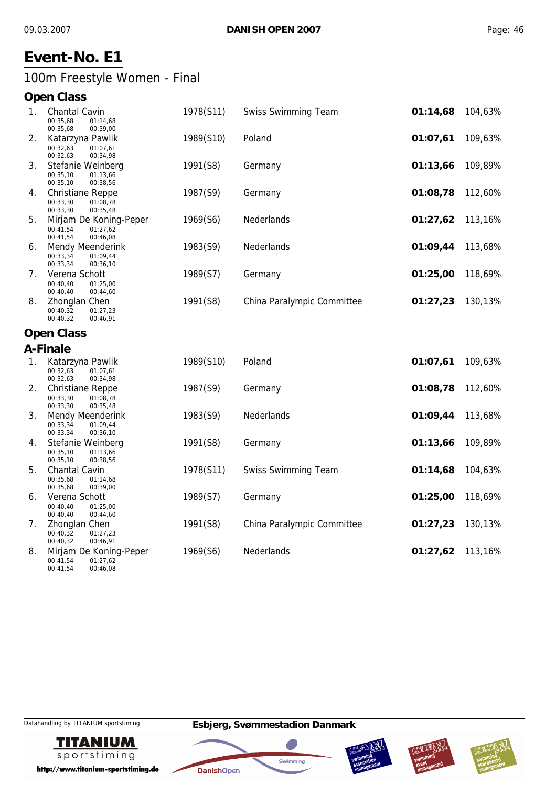## **Event-No. E1**

100m Freestyle Women - Final

#### **Open Class**

| 1. | <b>Chantal Cavin</b><br>00:35,68<br>01:14,68<br>00:35,68<br>00:39,00                       | 1978(S11) | <b>Swiss Swimming Team</b> | 01:14,68 | 104,63% |
|----|--------------------------------------------------------------------------------------------|-----------|----------------------------|----------|---------|
| 2. | Katarzyna Pawlik<br>00:32,63<br>01:07.61<br>00:32,63<br>00:34,98                           | 1989(S10) | Poland                     | 01:07,61 | 109,63% |
| 3. | Stefanie Weinberg<br>00:35,10<br>01:13,66<br>00:35,10<br>00:38,56                          | 1991(S8)  | Germany                    | 01:13,66 | 109,89% |
| 4. | <b>Christiane Reppe</b><br>00:33,30<br>01:08,78<br>00:33,30<br>00:35,48                    | 1987(S9)  | Germany                    | 01:08,78 | 112,60% |
| 5. | Mirjam De Koning-Peper<br>00:41,54<br>01:27,62<br>00:41,54<br>00:46,08                     | 1969(S6)  | <b>Nederlands</b>          | 01:27,62 | 113,16% |
| 6. | <b>Mendy Meenderink</b><br>00:33,34<br>01:09,44<br>00:33,34<br>00:36,10                    | 1983(S9)  | Nederlands                 | 01:09,44 | 113,68% |
| 7. | Verena Schott<br>00:40,40<br>01:25.00<br>00:40,40<br>00:44,60                              | 1989(S7)  | Germany                    | 01:25,00 | 118,69% |
| 8. | Zhonglan Chen<br>00:40,32<br>01:27,23<br>00:40,32<br>00:46,91<br>$\mathsf{A}$ $\mathsf{A}$ | 1991(S8)  | China Paralympic Committee | 01:27,23 | 130,13% |

#### **Open Class**

|    | A-Finale                                     |           |                            |          |         |
|----|----------------------------------------------|-----------|----------------------------|----------|---------|
| 1. | Katarzyna Pawlik                             | 1989(S10) | Poland                     | 01:07,61 | 109,63% |
|    | 00:32,63<br>01:07,61<br>00:32,63<br>00:34,98 |           |                            |          |         |
| 2. | Christiane Reppe                             | 1987(S9)  | Germany                    | 01:08,78 | 112,60% |
|    | 00:33,30<br>01:08,78<br>00:33,30<br>00:35,48 |           |                            |          |         |
| 3. | Mendy Meenderink                             | 1983(S9)  | <b>Nederlands</b>          | 01:09,44 | 113,68% |
|    | 00:33,34<br>01:09,44<br>00:33,34<br>00:36,10 |           |                            |          |         |
| 4. | Stefanie Weinberg                            | 1991(S8)  | Germany                    | 01:13,66 | 109,89% |
|    | 00:35,10<br>01:13,66<br>00:35,10<br>00:38,56 |           |                            |          |         |
| 5. | <b>Chantal Cavin</b>                         | 1978(S11) | <b>Swiss Swimming Team</b> | 01:14,68 | 104,63% |
|    | 00:35,68<br>01:14,68<br>00:35,68<br>00:39,00 |           |                            |          |         |
| 6. | Verena Schott                                | 1989(S7)  | Germany                    | 01:25,00 | 118,69% |
|    | 00:40,40<br>01:25,00<br>00:40,40<br>00:44,60 |           |                            |          |         |
| 7. | Zhonglan Chen                                | 1991(S8)  | China Paralympic Committee | 01:27,23 | 130,13% |
|    | 00:40,32<br>01:27,23<br>00:40,32<br>00:46,91 |           |                            |          |         |
| 8. | Mirjam De Koning-Peper                       | 1969(S6)  | <b>Nederlands</b>          | 01:27,62 | 113,16% |
|    | 01:27,62<br>00:41,54                         |           |                            |          |         |

00:41,54



http://www.titanium-sportstiming.de

00:46,08







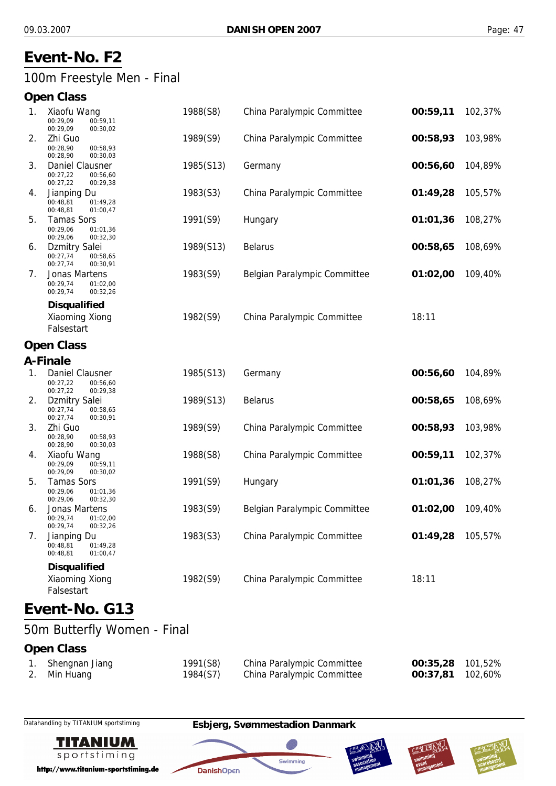## **Event-No. F2**

## 100m Freestyle Men - Final

### **Open Class**

| 1. | Xiaofu Wang<br>00:29,09<br>00:59,11<br>00:29,09<br>00:30,02          | 1988(S8)  | China Paralympic Committee   | 00:59,11 | 102,37% |
|----|----------------------------------------------------------------------|-----------|------------------------------|----------|---------|
| 2. | Zhi Guo<br>00:28,90<br>00:58,93<br>00:28,90<br>00:30,03              | 1989(S9)  | China Paralympic Committee   | 00:58,93 | 103,98% |
| 3. | Daniel Clausner<br>00:27,22<br>00:56,60<br>00:27,22<br>00:29,38      | 1985(S13) | Germany                      | 00:56,60 | 104,89% |
| 4. | Jianping Du<br>00:48,81<br>01:49,28<br>00:48,81<br>01:00,47          | 1983(S3)  | China Paralympic Committee   | 01:49,28 | 105,57% |
| 5. | <b>Tamas Sors</b><br>00:29,06<br>01:01,36<br>00:32,30<br>00:29,06    | 1991(S9)  | Hungary                      | 01:01,36 | 108,27% |
| 6. | <b>Dzmitry Salei</b><br>00:27,74<br>00:58,65<br>00:27,74<br>00:30,91 | 1989(S13) | <b>Belarus</b>               | 00:58,65 | 108,69% |
| 7. | Jonas Martens<br>00:29,74<br>01:02,00<br>00:29,74<br>00:32,26        | 1983(S9)  | Belgian Paralympic Committee | 01:02,00 | 109,40% |
|    | <b>Disqualified</b><br>Xiaoming Xiong<br>Falsestart                  | 1982(S9)  | China Paralympic Committee   | 18:11    |         |
|    | <b>Open Class</b>                                                    |           |                              |          |         |
|    | A-Finale                                                             |           |                              |          |         |
| 1. | Daniel Clausner<br>00:27,22<br>00:56,60<br>00:27,22<br>00:29,38      | 1985(S13) | Germany                      | 00:56,60 | 104,89% |
| 2. | <b>Dzmitry Salei</b><br>00:27,74<br>00:58,65<br>00:27,74<br>00:30,91 | 1989(S13) | <b>Belarus</b>               | 00:58,65 | 108,69% |
| 3. | Zhi Guo<br>00:28,90<br>00:58,93<br>00:28,90<br>00:30,03              | 1989(S9)  | China Paralympic Committee   | 00:58,93 | 103,98% |
| 4. | Xiaofu Wang<br>00:29,09<br>00:59,11<br>00:29,09<br>00:30,02          | 1988(S8)  | China Paralympic Committee   | 00:59,11 | 102,37% |
| 5. | <b>Tamas Sors</b><br>00:29,06<br>01:01,36<br>00:29,06<br>00:32,30    | 1991(S9)  | Hungary                      | 01:01,36 | 108,27% |
| 6. | Jonas Martens<br>00:29,74<br>01:02,00<br>00:29,74<br>00:32,26        | 1983(S9)  | Belgian Paralympic Committee | 01:02,00 | 109,40% |
| 7. | Jianping Du<br>00:48,81<br>01:49,28<br>00:48.81<br>01:00,47          | 1983(S3)  | China Paralympic Committee   | 01:49,28 | 105,57% |
|    | <b>Disqualified</b><br>Xiaoming Xiong<br>Falsestart                  | 1982(S9)  | China Paralympic Committee   | 18:11    |         |
|    | Event-No. G13                                                        |           |                              |          |         |
|    | 50m Butterfly Women - Final                                          |           |                              |          |         |
|    | <b>Open Class</b>                                                    |           |                              |          |         |
|    | 1. Shengnan Jiang                                                    | 1991(S8)  | China Paralympic Committee   | 00:35,28 | 101,52% |

2. Min Huang 1984(S7) China Paralympic Committee **00:37,81** 102,60%

Datahandling by TITANIUM sportstiming **Esbjerg, Svømmestadion Danmark**



http://www.titanium-sportstiming.de







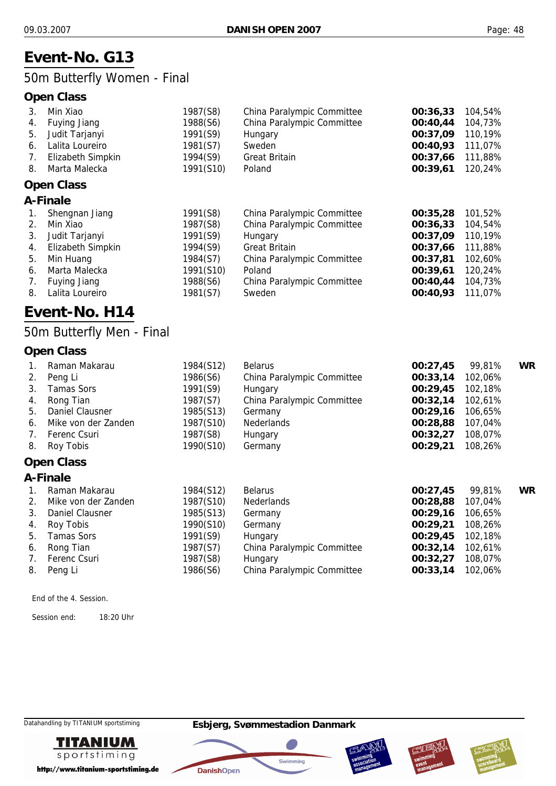# **Event-No. G13**

## 50m Butterfly Women - Final

#### **Open Class**

| Min Xiao            | 1987(S8)                      | China Paralympic Committee | 00:36,33 | 104,54% |
|---------------------|-------------------------------|----------------------------|----------|---------|
| Fuying Jiang        | 1988(S6)                      | China Paralympic Committee | 00:40,44 | 104,73% |
| Judit Tarjanyi      | 1991(S9)                      | Hungary                    | 00:37,09 | 110,19% |
| Lalita Loureiro     | 1981(S7)                      | Sweden                     | 00:40,93 | 111,07% |
| Elizabeth Simpkin   | 1994(S9)                      | <b>Great Britain</b>       | 00:37,66 | 111,88% |
| Marta Malecka       | 1991(S10)                     | Poland                     | 00:39,61 | 120,24% |
|                     |                               |                            |          |         |
|                     |                               |                            |          |         |
| Shengnan Jiang      | 1991(S8)                      | China Paralympic Committee | 00:35,28 | 101,52% |
| Min Xiao            | 1987(S8)                      | China Paralympic Committee | 00:36,33 | 104,54% |
| Judit Tarjanyi      | 1991(S9)                      | Hungary                    | 00:37,09 | 110,19% |
| Elizabeth Simpkin   | 1994(S9)                      | <b>Great Britain</b>       | 00:37,66 | 111,88% |
| Min Huang           | 1984(S7)                      | China Paralympic Committee | 00:37,81 | 102,60% |
| Marta Malecka       | 1991(S10)                     | Poland                     | 00:39,61 | 120,24% |
| <b>Fuying Jiang</b> | 1988(S6)                      | China Paralympic Committee | 00:40,44 | 104,73% |
|                     | <b>Open Class</b><br>A-Finale |                            |          |         |

8. Lalita Loureiro 1981(S7) Sweden **00:40,93** 111,07%

# **Event-No. H14**

## 50m Butterfly Men - Final

#### **Open Class**

|    | Raman Makarau       | 1984(S12) | <b>Belarus</b>             | 00:27,45 | 99,81%  | WR |
|----|---------------------|-----------|----------------------------|----------|---------|----|
| 2. | Peng Li             | 1986(S6)  | China Paralympic Committee | 00:33,14 | 102,06% |    |
| 3. | <b>Tamas Sors</b>   | 1991(S9)  | Hungary                    | 00:29,45 | 102,18% |    |
| 4. | Rong Tian           | 1987(S7)  | China Paralympic Committee | 00:32,14 | 102,61% |    |
| 5. | Daniel Clausner     | 1985(S13) | Germany                    | 00:29.16 | 106,65% |    |
| 6. | Mike von der Zanden | 1987(S10) | <b>Nederlands</b>          | 00:28,88 | 107,04% |    |
| 7. | Ferenc Csuri        | 1987(S8)  | Hungary                    | 00:32,27 | 108,07% |    |
| 8. | Roy Tobis           | 1990(S10) | Germany                    | 00:29,21 | 108,26% |    |

#### **Open Class**

#### **A-Finale**

|             | Raman Makarau       | 1984(S12) | <b>Belarus</b>             | 00:27,45 | 99.81%  | WR |
|-------------|---------------------|-----------|----------------------------|----------|---------|----|
| 2.          | Mike von der Zanden | 1987(S10) | Nederlands                 | 00:28,88 | 107,04% |    |
| 3.          | Daniel Clausner     | 1985(S13) | Germany                    | 00:29,16 | 106,65% |    |
|             | 4. Roy Tobis        | 1990(S10) | Germany                    | 00:29.21 | 108,26% |    |
| 5.          | <b>Tamas Sors</b>   | 1991(S9)  | Hungary                    | 00:29,45 | 102,18% |    |
| 6.          | Rong Tian           | 1987(S7)  | China Paralympic Committee | 00:32,14 | 102,61% |    |
| $7_{\odot}$ | Ferenc Csuri        | 1987(S8)  | Hungary                    | 00:32,27 | 108.07% |    |
| 8.          | Peng Li             | 1986(S6)  | China Paralympic Committee | 00:33,14 | 102,06% |    |

End of the 4. Session.

Session end: 18:20 Uhr

Datahandling by TITANIUM sportstiming **Esbjerg, Svømmestadion Danmark**



http://www.titanium-sportstiming.de







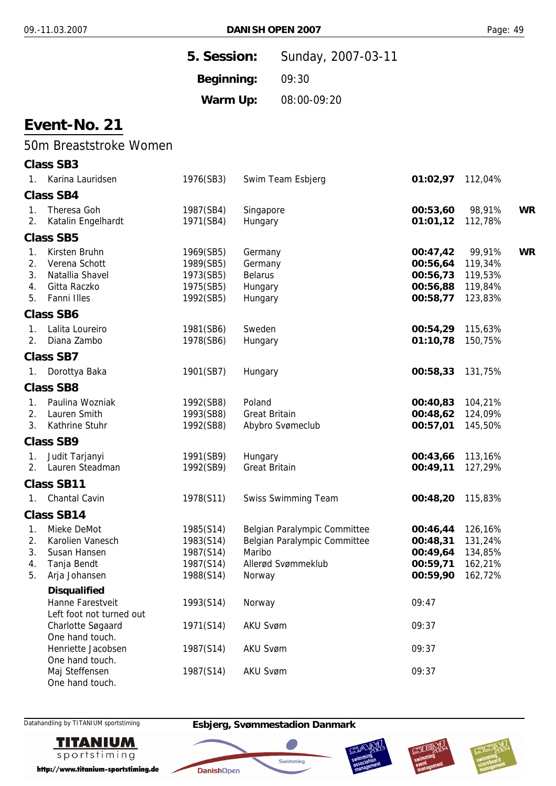| 5. Session: | Sunday, 2007-03-11 |
|-------------|--------------------|
| Beginning:  | 09:30              |
| Warm Up:    | 08:00-09:20        |

## 50m Breaststroke Women

|                            | <b>Class SB3</b>                                                                   |                                                               |                                                                                                        |                                                                                         |                                          |           |
|----------------------------|------------------------------------------------------------------------------------|---------------------------------------------------------------|--------------------------------------------------------------------------------------------------------|-----------------------------------------------------------------------------------------|------------------------------------------|-----------|
| $1_{\cdot}$                | Karina Lauridsen                                                                   | 1976(SB3)                                                     | Swim Team Esbjerg                                                                                      | 01:02,97                                                                                | 112,04%                                  |           |
|                            | <b>Class SB4</b>                                                                   |                                                               |                                                                                                        |                                                                                         |                                          |           |
| $1_{-}$<br>2.              | Theresa Goh<br>Katalin Engelhardt                                                  | 1987(SB4)<br>1971(SB4)                                        | Singapore<br>Hungary                                                                                   | 00:53,60<br>01:01,12                                                                    | 98,91%<br>112,78%                        | <b>WR</b> |
|                            | <b>Class SB5</b>                                                                   |                                                               |                                                                                                        |                                                                                         |                                          |           |
| 1.<br>2.<br>3.<br>4.<br>5. | Kirsten Bruhn<br>Verena Schott<br>Natallia Shavel<br>Gitta Raczko<br>Fanni Illes   | 1969(SB5)<br>1989(SB5)<br>1973(SB5)<br>1975(SB5)<br>1992(SB5) | Germany<br>Germany<br><b>Belarus</b><br>Hungary<br>Hungary                                             | 00:47,42 99,91%<br>00:56,64 119,34%<br>00:56,73 119,53%<br>00:56,88 119,84%<br>00:58,77 | 123,83%                                  | <b>WR</b> |
|                            | <b>Class SB6</b>                                                                   |                                                               |                                                                                                        |                                                                                         |                                          |           |
| $\mathbf{1}$ .<br>2.       | Lalita Loureiro<br>Diana Zambo                                                     | 1981(SB6)<br>1978(SB6)                                        | Sweden<br>Hungary                                                                                      | 00:54,29<br>01:10,78                                                                    | 115,63%<br>150,75%                       |           |
|                            | <b>Class SB7</b>                                                                   |                                                               |                                                                                                        |                                                                                         |                                          |           |
| $1_{\cdot}$                | Dorottya Baka                                                                      | 1901(SB7)                                                     | Hungary                                                                                                | 00:58,33                                                                                | 131,75%                                  |           |
|                            | <b>Class SB8</b>                                                                   |                                                               |                                                                                                        |                                                                                         |                                          |           |
| 1.<br>2.<br>3.             | Paulina Wozniak<br>Lauren Smith<br>Kathrine Stuhr                                  | 1992(SB8)<br>1993(SB8)<br>1992(SB8)                           | Poland<br><b>Great Britain</b><br>Abybro Svømeclub                                                     | 00:40,83 104,21%<br>00:48,62<br>00:57,01                                                | 124,09%<br>145,50%                       |           |
|                            | <b>Class SB9</b>                                                                   |                                                               |                                                                                                        |                                                                                         |                                          |           |
| 1.<br>2.                   | Judit Tarjanyi<br>Lauren Steadman                                                  | 1991(SB9)<br>1992(SB9)                                        | Hungary<br><b>Great Britain</b>                                                                        | 00:43,66<br>00:49,11                                                                    | 113,16%<br>127,29%                       |           |
|                            | <b>Class SB11</b>                                                                  |                                                               |                                                                                                        |                                                                                         |                                          |           |
| 1.                         | <b>Chantal Cavin</b>                                                               | 1978(S11)                                                     | <b>Swiss Swimming Team</b>                                                                             | 00:48,20                                                                                | 115,83%                                  |           |
|                            | <b>Class SB14</b>                                                                  |                                                               |                                                                                                        |                                                                                         |                                          |           |
| 1.<br>2.<br>3.<br>4.       | Mieke DeMot<br>Karolien Vanesch<br>Susan Hansen<br>Tanja Bendt<br>5. Arja Johansen | 1985(S14)<br>1983(S14)<br>1987(S14)<br>1987(S14)<br>1988(S14) | Belgian Paralympic Committee<br>Belgian Paralympic Committee<br>Maribo<br>Allerød Svømmeklub<br>Norway | 00:46,44<br>00:48,31<br>00:49,64<br>00:59,71<br>00:59,90 162,72%                        | 126,16%<br>131,24%<br>134,85%<br>162,21% |           |
|                            | <b>Disqualified</b>                                                                |                                                               |                                                                                                        |                                                                                         |                                          |           |
|                            | Hanne Farestveit<br>Left foot not turned out<br>Charlotte Søgaard                  | 1993(S14)<br>1971(S14)                                        | Norway<br><b>AKU Svøm</b>                                                                              | 09:47<br>09:37                                                                          |                                          |           |
|                            | One hand touch.<br>Henriette Jacobsen                                              | 1987(S14)                                                     | <b>AKU Svøm</b>                                                                                        | 09:37                                                                                   |                                          |           |
|                            | One hand touch.<br>Maj Steffensen<br>One hand touch.                               | 1987(S14)                                                     | <b>AKU Svøm</b>                                                                                        | 09:37                                                                                   |                                          |           |



Datahandling by TITANIUM sportstiming **Esbjerg, Svømmestadion Danmark**

**DanishOpen** 







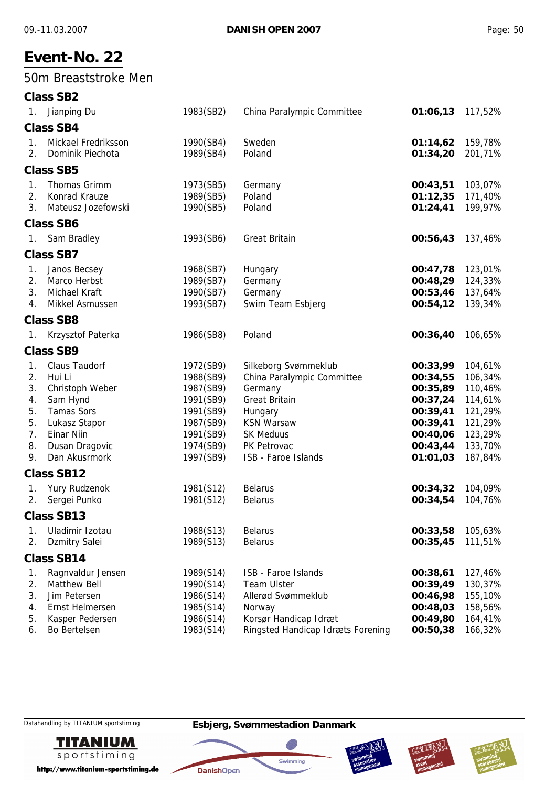#### 50m Breaststroke Men

|                                                    | Class SB2                                                                                                                                                   |                                                                                                                   |                                                                                                                                                                                 |                                                                                                          |                                                                                                 |
|----------------------------------------------------|-------------------------------------------------------------------------------------------------------------------------------------------------------------|-------------------------------------------------------------------------------------------------------------------|---------------------------------------------------------------------------------------------------------------------------------------------------------------------------------|----------------------------------------------------------------------------------------------------------|-------------------------------------------------------------------------------------------------|
| $1_{\cdot}$                                        | Jianping Du                                                                                                                                                 | 1983(SB2)                                                                                                         | China Paralympic Committee                                                                                                                                                      | 01:06,13                                                                                                 | 117,52%                                                                                         |
|                                                    | <b>Class SB4</b>                                                                                                                                            |                                                                                                                   |                                                                                                                                                                                 |                                                                                                          |                                                                                                 |
| 1.<br>2.                                           | Mickael Fredriksson<br>Dominik Piechota                                                                                                                     | 1990(SB4)<br>1989(SB4)                                                                                            | Sweden<br>Poland                                                                                                                                                                | 01:14,62<br>01:34,20                                                                                     | 159,78%<br>201,71%                                                                              |
|                                                    | <b>Class SB5</b>                                                                                                                                            |                                                                                                                   |                                                                                                                                                                                 |                                                                                                          |                                                                                                 |
| 1.<br>2.<br>3.                                     | <b>Thomas Grimm</b><br>Konrad Krauze<br>Mateusz Jozefowski                                                                                                  | 1973(SB5)<br>1989(SB5)<br>1990(SB5)                                                                               | Germany<br>Poland<br>Poland                                                                                                                                                     | 00:43,51<br>01:12,35<br>01:24,41                                                                         | 103,07%<br>171,40%<br>199,97%                                                                   |
|                                                    | <b>Class SB6</b>                                                                                                                                            |                                                                                                                   |                                                                                                                                                                                 |                                                                                                          |                                                                                                 |
| 1.                                                 | Sam Bradley                                                                                                                                                 | 1993(SB6)                                                                                                         | <b>Great Britain</b>                                                                                                                                                            | 00:56,43                                                                                                 | 137,46%                                                                                         |
|                                                    | <b>Class SB7</b>                                                                                                                                            |                                                                                                                   |                                                                                                                                                                                 |                                                                                                          |                                                                                                 |
| 1.<br>2.<br>3.<br>4.                               | Janos Becsey<br>Marco Herbst<br>Michael Kraft<br>Mikkel Asmussen                                                                                            | 1968(SB7)<br>1989(SB7)<br>1990(SB7)<br>1993(SB7)                                                                  | Hungary<br>Germany<br>Germany<br>Swim Team Esbjerg                                                                                                                              | 00:47,78<br>00:48,29<br>00:53,46<br>00:54,12                                                             | 123,01%<br>124,33%<br>137,64%<br>139,34%                                                        |
|                                                    | <b>Class SB8</b>                                                                                                                                            |                                                                                                                   |                                                                                                                                                                                 |                                                                                                          |                                                                                                 |
| 1.                                                 | Krzysztof Paterka                                                                                                                                           | 1986(SB8)                                                                                                         | Poland                                                                                                                                                                          | 00:36,40                                                                                                 | 106,65%                                                                                         |
|                                                    | <b>Class SB9</b>                                                                                                                                            |                                                                                                                   |                                                                                                                                                                                 |                                                                                                          |                                                                                                 |
| 1.<br>2.<br>3.<br>4.<br>5.<br>5.<br>7.<br>8.<br>9. | <b>Claus Taudorf</b><br>Hui Li<br>Christoph Weber<br>Sam Hynd<br><b>Tamas Sors</b><br>Lukasz Stapor<br><b>Einar Niin</b><br>Dusan Dragovic<br>Dan Akusrmork | 1972(SB9)<br>1988(SB9)<br>1987(SB9)<br>1991(SB9)<br>1991(SB9)<br>1987(SB9)<br>1991(SB9)<br>1974(SB9)<br>1997(SB9) | Silkeborg Svømmeklub<br>China Paralympic Committee<br>Germany<br><b>Great Britain</b><br>Hungary<br><b>KSN Warsaw</b><br><b>SK Meduus</b><br>PK Petrovac<br>ISB - Faroe Islands | 00:33,99<br>00:34,55<br>00:35,89<br>00:37,24<br>00:39,41<br>00:39,41<br>00:40,06<br>00:43,44<br>01:01,03 | 104,61%<br>106,34%<br>110,46%<br>114,61%<br>121,29%<br>121,29%<br>123,29%<br>133,70%<br>187,84% |
|                                                    | <b>Class SB12</b>                                                                                                                                           |                                                                                                                   |                                                                                                                                                                                 |                                                                                                          |                                                                                                 |
| 1.<br>2.                                           | <b>Yury Rudzenok</b><br>Sergei Punko                                                                                                                        | 1981(S12)<br>1981(S12)                                                                                            | <b>Belarus</b><br><b>Belarus</b>                                                                                                                                                | 00:34,32<br>00:34,54                                                                                     | 104,09%<br>104,76%                                                                              |
|                                                    | Class SB13                                                                                                                                                  |                                                                                                                   |                                                                                                                                                                                 |                                                                                                          |                                                                                                 |
| 1.<br>2.                                           | Uladimir Izotau<br>Dzmitry Salei                                                                                                                            | 1988(S13)<br>1989(S13)                                                                                            | <b>Belarus</b><br><b>Belarus</b>                                                                                                                                                | 00:33,58<br>00:35,45                                                                                     | 105,63%<br>111,51%                                                                              |
|                                                    | <b>Class SB14</b>                                                                                                                                           |                                                                                                                   |                                                                                                                                                                                 |                                                                                                          |                                                                                                 |
| 1.<br>2.<br>3.<br>4.<br>5.                         | Ragnvaldur Jensen<br><b>Matthew Bell</b><br>Jim Petersen<br>Ernst Helmersen<br>Kasper Pedersen                                                              | 1989(S14)<br>1990(S14)<br>1986(S14)<br>1985(S14)<br>1986(S14)                                                     | ISB - Faroe Islands<br><b>Team Ulster</b><br>Allerød Svømmeklub<br>Norway<br>Korsør Handicap Idræt                                                                              | 00:38,61<br>00:39,49<br>00:46,98<br>00:48,03<br>00:49,80                                                 | 127,46%<br>130,37%<br>155,10%<br>158,56%<br>164,41%                                             |
| 6.                                                 | Bo Bertelsen                                                                                                                                                | 1983(S14)                                                                                                         | Ringsted Handicap Idræts Forening                                                                                                                                               | 00:50,38                                                                                                 | 166,32%                                                                                         |



http://www.titanium-sportstiming.de







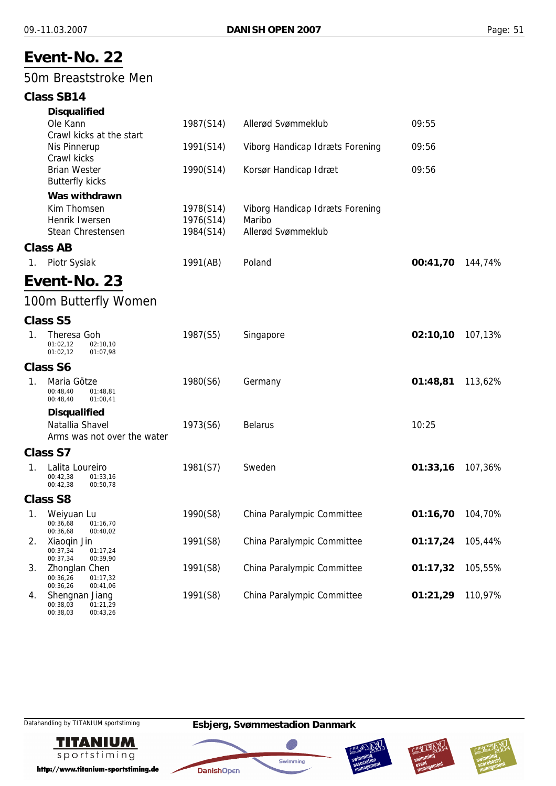## 50m Breaststroke Men

#### **Class SB14**

|                | <b>Disqualified</b><br>Ole Kann                                       | 1987(S14)                           | Allerød Svømmeklub                                              | 09:55    |         |
|----------------|-----------------------------------------------------------------------|-------------------------------------|-----------------------------------------------------------------|----------|---------|
|                | Crawl kicks at the start                                              |                                     |                                                                 |          |         |
|                | Nis Pinnerup                                                          | 1991(S14)                           | Viborg Handicap Idræts Forening                                 | 09:56    |         |
|                | Crawl kicks<br><b>Brian Wester</b><br><b>Butterfly kicks</b>          | 1990(S14)                           | Korsør Handicap Idræt                                           | 09:56    |         |
|                | Was withdrawn                                                         |                                     |                                                                 |          |         |
|                | Kim Thomsen<br>Henrik Iwersen<br>Stean Chrestensen                    | 1978(S14)<br>1976(S14)<br>1984(S14) | Viborg Handicap Idræts Forening<br>Maribo<br>Allerød Svømmeklub |          |         |
|                | <b>Class AB</b>                                                       |                                     |                                                                 |          |         |
| 1 <sub>1</sub> | Piotr Sysiak                                                          | 1991(AB)                            | Poland                                                          | 00:41,70 | 144,74% |
|                | Event-No. 23                                                          |                                     |                                                                 |          |         |
|                | 100m Butterfly Women                                                  |                                     |                                                                 |          |         |
|                | <b>Class S5</b>                                                       |                                     |                                                                 |          |         |
| 1.             | Theresa Goh<br>01:02,12<br>02:10,10<br>01:02.12<br>01:07,98           | 1987(S5)                            | Singapore                                                       | 02:10,10 | 107,13% |
|                | <b>Class S6</b>                                                       |                                     |                                                                 |          |         |
| 1.             | Maria Götze<br>00:48,40<br>01:48,81<br>00:48,40<br>01:00,41           | 1980(S6)                            | Germany                                                         | 01:48,81 | 113,62% |
|                | <b>Disqualified</b><br>Natallia Shavel<br>Arms was not over the water | 1973(S6)                            | <b>Belarus</b>                                                  | 10:25    |         |
|                | Class S7                                                              |                                     |                                                                 |          |         |
| 1.             | Lalita Loureiro<br>00:42,38<br>01:33,16<br>00:42,38<br>00:50,78       | 1981(S7)                            | Sweden                                                          | 01:33,16 | 107,36% |
|                | <b>Class S8</b>                                                       |                                     |                                                                 |          |         |
|                | 1. Weiyuan Lu<br>00:36,68<br>01:16,70<br>00:36,68<br>00:40,02         | 1990(S8)                            | China Paralympic Committee                                      | 01:16,70 | 104,70% |
| 2.             | Xiaoqin Jin<br>00:37,34<br>01:17,24<br>00:37,34<br>00:39,90           | 1991(S8)                            | China Paralympic Committee                                      | 01:17,24 | 105,44% |
| 3.             | Zhonglan Chen<br>00:36,26<br>01:17,32<br>00:36,26<br>00:41,06         | 1991(S8)                            | China Paralympic Committee                                      | 01:17,32 | 105,55% |
| 4.             | Shengnan Jiang<br>00:38,03<br>01:21,29<br>00:38,03<br>00:43,26        | 1991(S8)                            | China Paralympic Committee                                      | 01:21,29 | 110,97% |

**TITANIUM** sportstiming

http://www.titanium-sportstiming.de







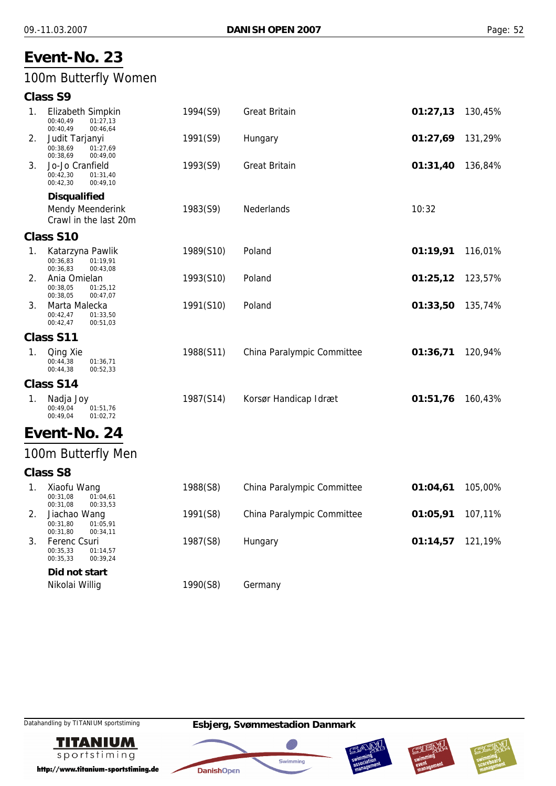## 100m Butterfly Women

#### **Class S9**

| 1.             | Elizabeth Simpkin<br>00:40,49<br>01:27,13<br>00:40,49<br>00:46,64       | 1994(S9)  | <b>Great Britain</b>         | 01:27,13  | 130,45%  |
|----------------|-------------------------------------------------------------------------|-----------|------------------------------|-----------|----------|
| 2.             | Judit Tarjanyi<br>00:38,69<br>01:27,69<br>00:38,69<br>00:49,00          | 1991(S9)  | Hungary                      | 01:27,69  | 131,29%  |
| 3.             | Jo-Jo Cranfield<br>00:42,30<br>01:31,40<br>00:42,30<br>00:49,10         | 1993(S9)  | <b>Great Britain</b>         | 01:31,40  | 136,84%  |
|                | <b>Disqualified</b><br><b>Mendy Meenderink</b><br>Crawl in the last 20m | 1983(S9)  | Nederlands                   | 10:32     |          |
|                | <b>Class S10</b>                                                        |           |                              |           |          |
| 1 <sub>1</sub> | Katarzyna Pawlik<br>00:36,83<br>01:19,91<br>00:36,83<br>00:43,08        | 1989(S10) | Poland                       | 01:19,91  | 116,01%  |
| 2.             | Ania Omielan<br>00:38,05<br>01:25,12<br>00:38,05<br>00:47,07            | 1993(S10) | Poland                       | 01:25,12  | 123,57%  |
| 3.             | Marta Malecka<br>00:42,47<br>01:33,50<br>00:42,47<br>00:51,03           | 1991(S10) | Poland                       | 01:33,50  | 135,74%  |
|                | Class S11                                                               |           |                              |           |          |
| 1.             | Qing Xie<br>00:44,38<br>01:36,71<br>00:44,38<br>00:52,33                | 1988(S11) | China Paralympic Committee   | 01:36,71  | 120,94%  |
|                | Class S14                                                               |           |                              |           |          |
| 1.             | Nadja Joy<br>00:49,04<br>01:51,76<br>00:49,04<br>01:02,72               | 1987(S14) | Korsør Handicap Idræt        | 01:51,76  | 160,43%  |
|                | Event-No. 24                                                            |           |                              |           |          |
|                | 100m Butterfly Men                                                      |           |                              |           |          |
|                | <b>Class S8</b>                                                         |           |                              |           |          |
| 1.             | Xiaofu Wang<br>00:31.08<br>01:04,61<br>00:31,08<br>00:33,53             | 1988(S8)  | China Paralympic Committee   | 01:04,61  | 105,00%  |
|                | $11 - 16 = 101$                                                         | 1001(0)   | China Denah menta Camputthea | 0.4.05.04 | 107.4101 |

00:31,80 01:05,91 00:31,80 00:34,11 00:35,33 00:35,33 01:14,57  $00:39,24$ 

*Did not start*

2. Jiachao Wang 1991(S8) China Paralympic Committee **01:05,91** 107,11% 3. Ferenc Csuri 1987(S8) Hungary **01:14,57** 121,19% Nikolai Willig **1990(S8)** Germany

**TITANIUM** sportstiming

http://www.titanium-sportstiming.de







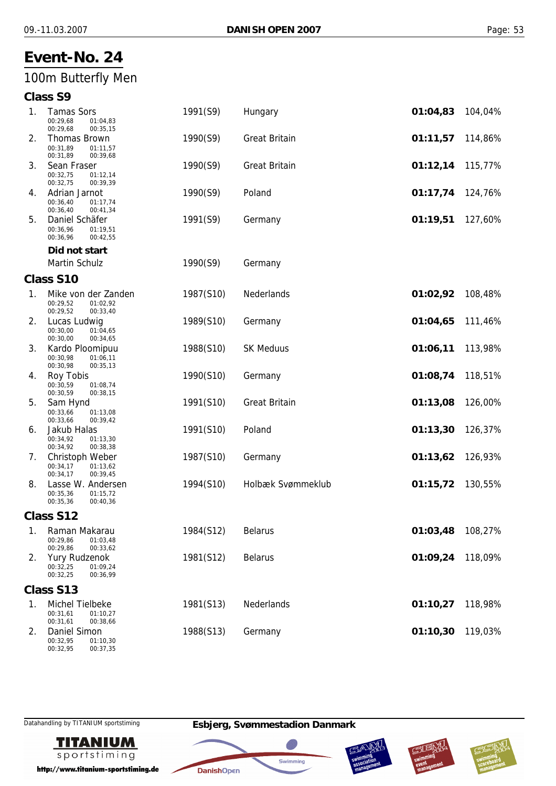## 100m Butterfly Men

## **Class S9**

| 1. | <b>Tamas Sors</b><br>00:29,68<br>01:04,83<br>00:29,68<br>00:35,15                            | 1991(S9)  | Hungary              | 01:04,83 | 104,04% |
|----|----------------------------------------------------------------------------------------------|-----------|----------------------|----------|---------|
| 2. | <b>Thomas Brown</b><br>00:31,89<br>01:11,57<br>00:31,89<br>00:39,68                          | 1990(S9)  | <b>Great Britain</b> | 01:11,57 | 114,86% |
| 3. | Sean Fraser<br>00:32,75<br>01:12,14<br>00:32,75<br>00:39,39                                  | 1990(S9)  | <b>Great Britain</b> | 01:12,14 | 115,77% |
| 4. | Adrian Jarnot<br>00:36,40<br>01:17,74<br>00:36,40<br>00:41,34                                | 1990(S9)  | Poland               | 01:17,74 | 124,76% |
| 5. | Daniel Schäfer<br>00:36,96<br>01:19,51<br>00:36,96<br>00:42,55                               | 1991(S9)  | Germany              | 01:19,51 | 127,60% |
|    | Did not start                                                                                |           |                      |          |         |
|    | <b>Martin Schulz</b>                                                                         | 1990(S9)  | Germany              |          |         |
|    | Class S10                                                                                    |           |                      |          |         |
| 1. | Mike von der Zanden<br>00:29,52<br>01:02,92<br>00:29,52<br>00:33,40                          | 1987(S10) | Nederlands           | 01:02,92 | 108,48% |
| 2. | Lucas Ludwig<br>00:30,00<br>01:04,65<br>00:30,00<br>00:34,65                                 | 1989(S10) | Germany              | 01:04,65 | 111,46% |
| 3. | Kardo Ploomipuu<br>00:30,98<br>01:06,11<br>00:30,98<br>00:35,13                              | 1988(S10) | <b>SK Meduus</b>     | 01:06,11 | 113,98% |
| 4. | Roy Tobis<br>00:30,59<br>01:08,74<br>00:30,59<br>00:38,15                                    | 1990(S10) | Germany              | 01:08,74 | 118,51% |
| 5. | Sam Hynd<br>00:33,66<br>01:13,08<br>00:33,66<br>00:39,42                                     | 1991(S10) | <b>Great Britain</b> | 01:13,08 | 126,00% |
| 6. | Jakub Halas<br>00:34,92<br>01:13,30<br>00:34,92<br>00:38,38                                  | 1991(S10) | Poland               | 01:13,30 | 126,37% |
| 7. | Christoph Weber<br>00:34,17<br>01:13,62<br>00:34,17<br>00:39,45                              | 1987(S10) | Germany              | 01:13,62 | 126,93% |
| 8. | Lasse W. Andersen<br>00:35,36<br>01:15,72<br>00:35,36<br>00:40,36                            | 1994(S10) | Holbæk Svømmeklub    | 01:15,72 | 130,55% |
|    | Class S12                                                                                    |           |                      |          |         |
| 1. | Raman Makarau<br>00:29,86<br>01:03,48                                                        | 1984(S12) | <b>Belarus</b>       | 01:03,48 | 108,27% |
| 2. | 00:29,86<br>00:33,62<br><b>Yury Rudzenok</b><br>00:32,25<br>01:09,24<br>00:32,25<br>00:36,99 | 1981(S12) | <b>Belarus</b>       | 01:09,24 | 118,09% |
|    | Class S13                                                                                    |           |                      |          |         |
| 1. | Michel Tielbeke<br>00:31,61<br>01:10,27<br>00:31,61<br>00:38,66                              | 1981(S13) | Nederlands           | 01:10,27 | 118,98% |
| 2. | Daniel Simon<br>00:32,95<br>01:10,30                                                         | 1988(S13) | Germany              | 01:10,30 | 119,03% |

00:32,95



http://www.titanium-sportstiming.de

00:37,35







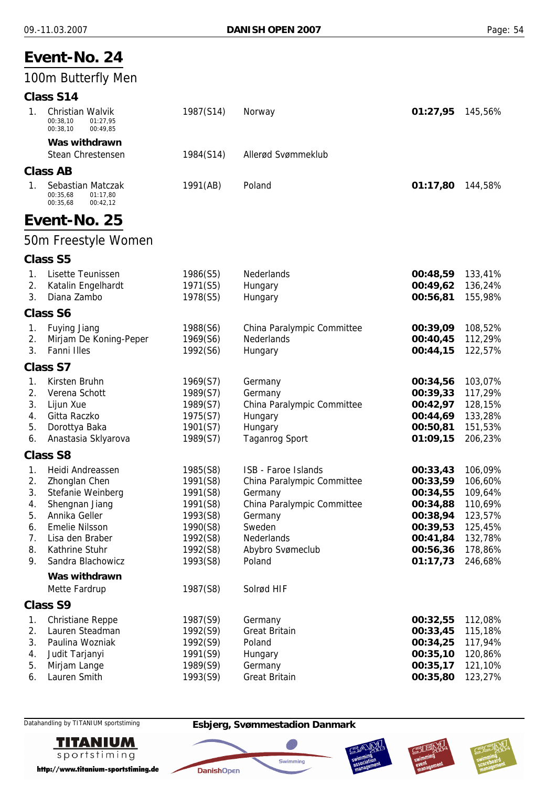#### **Event-No. 24** 100m Butterfly Men **Class S14** 1. Christian Walvik 1987(S14) Norway **01:27,95** 145,56% 00:38,10 00:38,10  $01:27,95$ 00:49,85 *Was withdrawn* Stean Chrestensen 1984(S14) Allerød Svømmeklub **Class AB** 1. Sebastian Matczak 1991(AB) Poland **01:17,80** 144,58% 00:35,68 00:35,68  $01.17,80$  $00.42,12$ **Event-No. 25** 50m Freestyle Women **Class S5** 1. Lisette Teunissen 1986(S5) Nederlands **00:48,59** 133,41% 2. Katalin Engelhardt 1971(S5) Hungary **00:49,62** 136,24% 3. Diana Zambo 1978(S5) Hungary **00:56,81** 155,98% **Class S6** 1. Fuying Jiang 1988(S6) China Paralympic Committee **00:39,09** 108,52% 2. Mirjam De Koning-Peper 1969(S6) Nederlands **00:40,45** 112,29% 3. Fanni Illes 1992(S6) Hungary **00:44,15** 122,57% **Class S7** 1. Kirsten Bruhn 1969(S7) Germany **00:34,56** 103,07% 2. Verena Schott 1989(S7) Germany **00:39,33** 117,29% 3. Lijun Xue 1989(S7) China Paralympic Committee **00:42,97** 128,15% 4. Gitta Raczko 1975(S7) Hungary **00:44,69** 133,28% 5. Dorottya Baka 1901(S7) Hungary **00:50,81** 151,53% 6. Anastasia Sklyarova 1989(S7) Taganrog Sport **01:09,15** 206,23% **Class S8** 1. Heidi Andreassen 1985(S8) ISB - Faroe Islands **00:33,43** 106,09% 2. Zhonglan Chen 1991(S8) China Paralympic Committee **00:33,59** 106,60% 3. Stefanie Weinberg 1991(S8) Germany **00:34,55** 109,64% 4. Shengnan Jiang 1991(S8) China Paralympic Committee **00:34,88** 110,69% 5. Annika Geller 1993(S8) Germany **00:38,94** 123,57% 6. Emelie Nilsson 1990(S8) Sweden **00:39,53** 125,45% 7. Lisa den Braber 1992(S8) Nederlands **00:41,84** 132,78% 8. Kathrine Stuhr 1992(S8) Abybro Svømeclub **00:56,36** 178,86% 9. Sandra Blachowicz 1993(S8) Poland **01:17,73** 246,68% *Was withdrawn* Mette Fardrup 1987(S8) Solrød HIF **Class S9** 1. Christiane Reppe 1987(S9) Germany **00:32,55** 112,08% 2. Lauren Steadman 1992(S9) Great Britain **00:33,45** 115,18% 3. Paulina Wozniak 1992(S9) Poland **00:34,25** 117,94% 4. Judit Tarjanyi 1991(S9) Hungary **00:35,10** 120,86% 5. Mirjam Lange 1989(S9) Germany **00:35,17** 121,10% 6. Lauren Smith 1993(S9) Great Britain **00:35,80** 123,27%



http://www.titanium-sportstiming.de

Datahandling by TITANIUM sportstiming **Esbjerg, Svømmestadion Danmark**

**DanishOpen** 

Swimming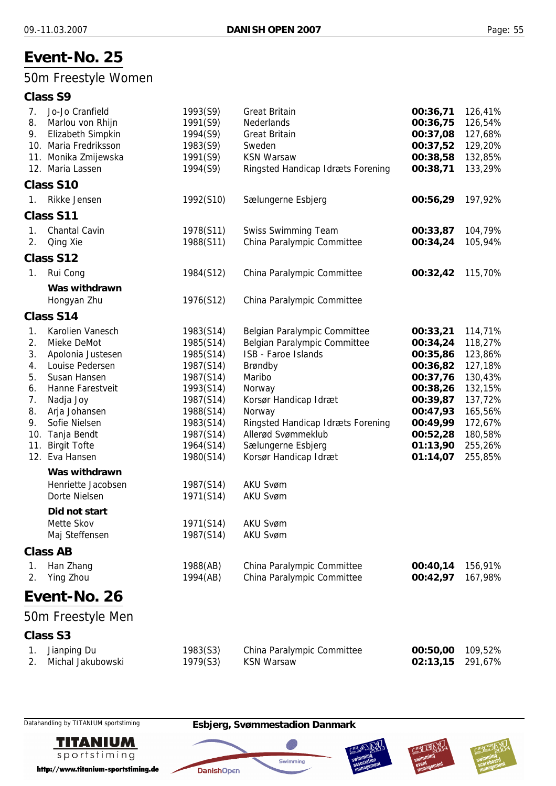## 50m Freestyle Women

#### **Class S9**

| 7.<br>8. | Jo-Jo Cranfield<br>Marlou von Rhijn        | 1993(S9)<br>1991(S9)   | <b>Great Britain</b><br>Nederlands                           | 00:36,71<br>00:36,75 | 126,41%<br>126,54% |
|----------|--------------------------------------------|------------------------|--------------------------------------------------------------|----------------------|--------------------|
| 9.       | Elizabeth Simpkin<br>10. Maria Fredriksson | 1994(S9)               | <b>Great Britain</b><br>Sweden                               | 00:37,08<br>00:37,52 | 127,68%            |
|          | 11. Monika Zmijewska                       | 1983(S9)<br>1991(S9)   | <b>KSN Warsaw</b>                                            | 00:38,58             | 129,20%<br>132,85% |
|          | 12. Maria Lassen                           | 1994(S9)               | Ringsted Handicap Idræts Forening                            | 00:38,71             | 133,29%            |
|          | Class S10                                  |                        |                                                              |                      |                    |
| 1.       | Rikke Jensen                               | 1992(S10)              | Sælungerne Esbjerg                                           | 00:56,29             | 197,92%            |
|          | Class S11                                  |                        |                                                              |                      |                    |
| 1.       | Chantal Cavin                              | 1978(S11)              | <b>Swiss Swimming Team</b>                                   | 00:33,87             | 104,79%            |
| 2.       | Qing Xie                                   | 1988(S11)              | China Paralympic Committee                                   | 00:34,24             | 105,94%            |
|          | Class S12                                  |                        |                                                              |                      |                    |
| 1.       | Rui Cong                                   | 1984(S12)              | China Paralympic Committee                                   | 00:32,42             | 115,70%            |
|          | Was withdrawn                              |                        |                                                              |                      |                    |
|          | Hongyan Zhu                                | 1976(S12)              | China Paralympic Committee                                   |                      |                    |
|          | Class S14                                  |                        |                                                              |                      |                    |
| 1.<br>2. | Karolien Vanesch<br>Mieke DeMot            | 1983(S14)              | Belgian Paralympic Committee<br>Belgian Paralympic Committee | 00:33,21<br>00:34,24 | 114,71%            |
| 3.       | Apolonia Justesen                          | 1985(S14)<br>1985(S14) | <b>ISB - Faroe Islands</b>                                   | 00:35,86             | 118,27%<br>123,86% |
| 4.       | Louise Pedersen                            | 1987(S14)              | Brøndby                                                      | 00:36,82             | 127,18%            |
| 5.       | Susan Hansen                               | 1987(S14)              | Maribo                                                       | 00:37,76             | 130,43%            |
| 6.       | Hanne Farestveit                           | 1993(S14)              | Norway                                                       | 00:38,26             | 132,15%            |
| 7.       | Nadja Joy                                  | 1987(S14)              | Korsør Handicap Idræt                                        | 00:39,87             | 137,72%            |
| 8.       | Arja Johansen                              | 1988(S14)              | Norway                                                       | 00:47,93             | 165,56%            |
| 9.       | Sofie Nielsen                              | 1983(S14)              | Ringsted Handicap Idræts Forening                            | 00:49,99             | 172,67%            |
|          | 10. Tanja Bendt                            | 1987(S14)              | Allerød Svømmeklub                                           | 00:52,28             | 180,58%            |
| 11.      | <b>Birgit Tofte</b>                        | 1964(S14)              | Sælungerne Esbjerg                                           | 01:13,90             | 255,26%            |
|          | 12. Eva Hansen                             | 1980(S14)              | Korsør Handicap Idræt                                        | 01:14,07             | 255,85%            |
|          | Was withdrawn                              |                        |                                                              |                      |                    |
|          | Henriette Jacobsen                         | 1987(S14)              | <b>AKU Svøm</b>                                              |                      |                    |
|          | Dorte Nielsen                              | 1971(S14)              | <b>AKU Svøm</b>                                              |                      |                    |
|          | Did not start<br>Mette Skov                |                        |                                                              |                      |                    |
|          | Maj Steffensen                             | 1971(S14)<br>1987(S14) | <b>AKU Svøm</b><br><b>AKU Svøm</b>                           |                      |                    |
|          | <b>Class AB</b>                            |                        |                                                              |                      |                    |
| 1.       | Han Zhang                                  | 1988(AB)               | China Paralympic Committee                                   | 00:40,14             | 156,91%            |
| 2.       | Ying Zhou                                  | 1994(AB)               | China Paralympic Committee                                   | 00:42,97             | 167,98%            |
|          | Event-No. 26                               |                        |                                                              |                      |                    |
|          |                                            |                        |                                                              |                      |                    |
|          | 50m Freestyle Men                          |                        |                                                              |                      |                    |
|          | <b>Class S3</b>                            |                        |                                                              |                      |                    |
| 1.       | Jianping Du                                | 1983(S3)               | China Paralympic Committee<br><b>KSN Warsaw</b>              | 00:50,00             | 109,52%            |
| 2.       | Michal Jakubowski                          | 1979(S3)               |                                                              | 02:13,15             | 291,67%            |



http://www.titanium-sportstiming.de





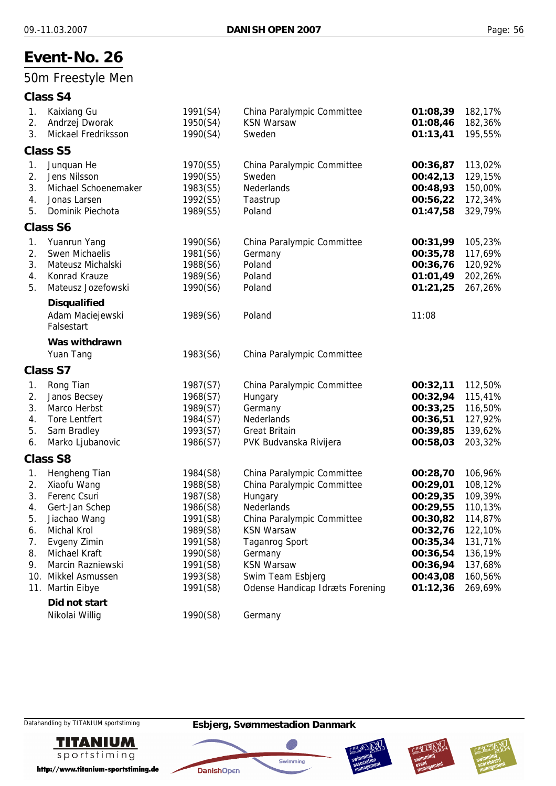## 50m Freestyle Men

## **Class S4**

| 1. | Kaixiang Gu          | 1991(S4) | China Paralympic Committee      | 01:08,39 | 182,17% |
|----|----------------------|----------|---------------------------------|----------|---------|
| 2. | Andrzej Dworak       | 1950(S4) | <b>KSN Warsaw</b>               | 01:08,46 | 182,36% |
| 3. | Mickael Fredriksson  | 1990(S4) | Sweden                          | 01:13,41 | 195,55% |
|    | <b>Class S5</b>      |          |                                 |          |         |
| 1. | Junquan He           | 1970(S5) | China Paralympic Committee      | 00:36,87 | 113,02% |
| 2. | Jens Nilsson         | 1990(S5) | Sweden                          | 00:42,13 | 129,15% |
| 3. | Michael Schoenemaker | 1983(S5) | Nederlands                      | 00:48,93 | 150,00% |
| 4. | Jonas Larsen         | 1992(S5) | Taastrup                        | 00:56,22 | 172,34% |
| 5. | Dominik Piechota     | 1989(S5) | Poland                          | 01:47,58 | 329,79% |
|    | <b>Class S6</b>      |          |                                 |          |         |
| 1. | Yuanrun Yang         | 1990(S6) | China Paralympic Committee      | 00:31,99 | 105,23% |
| 2. | Swen Michaelis       | 1981(S6) | Germany                         | 00:35,78 | 117,69% |
| 3. | Mateusz Michalski    | 1988(S6) | Poland                          | 00:36,76 | 120,92% |
| 4. | Konrad Krauze        | 1989(S6) | Poland                          | 01:01,49 | 202,26% |
| 5. | Mateusz Jozefowski   | 1990(S6) | Poland                          | 01:21,25 | 267,26% |
|    | <b>Disqualified</b>  |          |                                 |          |         |
|    | Adam Maciejewski     | 1989(S6) | Poland                          | 11:08    |         |
|    | Falsestart           |          |                                 |          |         |
|    | Was withdrawn        |          |                                 |          |         |
|    | Yuan Tang            | 1983(S6) | China Paralympic Committee      |          |         |
|    | <b>Class S7</b>      |          |                                 |          |         |
| 1. | Rong Tian            | 1987(S7) | China Paralympic Committee      | 00:32,11 | 112,50% |
| 2. | Janos Becsey         | 1968(S7) | Hungary                         | 00:32,94 | 115,41% |
| 3. | Marco Herbst         | 1989(S7) | Germany                         | 00:33,25 | 116,50% |
| 4. | <b>Tore Lentfert</b> | 1984(S7) | Nederlands                      | 00:36,51 | 127,92% |
| 5. | Sam Bradley          | 1993(S7) | <b>Great Britain</b>            | 00:39,85 | 139,62% |
| 6. | Marko Ljubanovic     | 1986(S7) | PVK Budvanska Rivijera          | 00:58,03 | 203,32% |
|    | <b>Class S8</b>      |          |                                 |          |         |
| 1. | Hengheng Tian        | 1984(S8) | China Paralympic Committee      | 00:28,70 | 106,96% |
| 2. | Xiaofu Wang          | 1988(S8) | China Paralympic Committee      | 00:29,01 | 108,12% |
| 3. | Ferenc Csuri         | 1987(S8) | Hungary                         | 00:29,35 | 109,39% |
| 4. | Gert-Jan Schep       | 1986(S8) | Nederlands                      | 00:29,55 | 110,13% |
| 5. | Jiachao Wang         | 1991(S8) | China Paralympic Committee      | 00:30,82 | 114,87% |
| 6. | Michal Krol          | 1989(S8) | <b>KSN Warsaw</b>               | 00:32,76 | 122,10% |
| 7. | Evgeny Zimin         | 1991(S8) | <b>Taganrog Sport</b>           | 00:35,34 | 131,71% |
| 8. | Michael Kraft        | 1990(S8) | Germany                         | 00:36,54 | 136,19% |
| 9. | Marcin Razniewski    | 1991(S8) | <b>KSN Warsaw</b>               | 00:36,94 | 137,68% |
|    | 10. Mikkel Asmussen  | 1993(S8) | Swim Team Esbjerg               | 00:43,08 | 160,56% |
|    | 11. Martin Eibye     | 1991(S8) | Odense Handicap Idræts Forening | 01:12,36 | 269,69% |
|    | Did not start        |          |                                 |          |         |
|    | Nikolai Willig       | 1990(S8) | Germany                         |          |         |

**TITANIUM** sportstiming

http://www.titanium-sportstiming.de







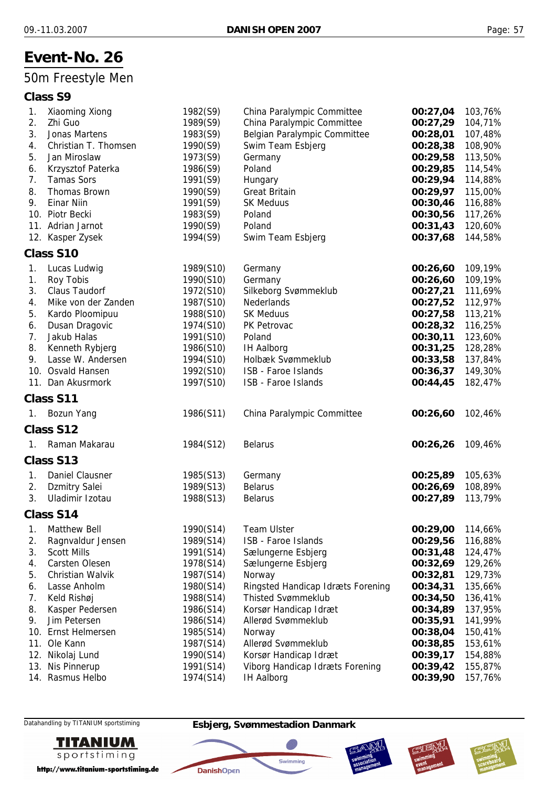## 50m Freestyle Men

# **Class S9**

| 1.             | Xiaoming Xiong       | 1982(S9)  | China Paralympic Committee        | 00:27,04 | 103,76% |
|----------------|----------------------|-----------|-----------------------------------|----------|---------|
| 2.             | Zhi Guo              | 1989(S9)  | China Paralympic Committee        | 00:27,29 | 104,71% |
| 3.             | Jonas Martens        | 1983(S9)  | Belgian Paralympic Committee      | 00:28,01 | 107,48% |
| 4.             | Christian T. Thomsen | 1990(S9)  | Swim Team Esbjerg                 | 00:28,38 | 108,90% |
| 5.             | Jan Miroslaw         | 1973(S9)  | Germany                           | 00:29,58 | 113,50% |
| 6.             | Krzysztof Paterka    | 1986(S9)  | Poland                            | 00:29,85 | 114,54% |
| 7.             | <b>Tamas Sors</b>    | 1991(S9)  | Hungary                           | 00:29,94 | 114,88% |
| 8.             | <b>Thomas Brown</b>  | 1990(S9)  | <b>Great Britain</b>              | 00:29,97 | 115,00% |
| 9.             | <b>Einar Niin</b>    | 1991(S9)  | <b>SK Meduus</b>                  | 00:30,46 | 116,88% |
|                | 10. Piotr Becki      | 1983(S9)  | Poland                            | 00:30,56 | 117,26% |
|                | 11. Adrian Jarnot    | 1990(S9)  | Poland                            | 00:31,43 | 120,60% |
|                | 12. Kasper Zysek     | 1994(S9)  | Swim Team Esbjerg                 | 00:37,68 | 144,58% |
|                | Class S10            |           |                                   |          |         |
| 1.             | Lucas Ludwig         | 1989(S10) | Germany                           | 00:26,60 | 109,19% |
| 1.             | Roy Tobis            | 1990(S10) | Germany                           | 00:26,60 | 109,19% |
| 3.             | <b>Claus Taudorf</b> | 1972(S10) | Silkeborg Svømmeklub              | 00:27,21 | 111,69% |
| 4.             | Mike von der Zanden  | 1987(S10) | Nederlands                        | 00:27,52 | 112,97% |
| 5.             | Kardo Ploomipuu      | 1988(S10) | <b>SK Meduus</b>                  | 00:27,58 | 113,21% |
| 6.             | Dusan Dragovic       | 1974(S10) | PK Petrovac                       | 00:28,32 | 116,25% |
| 7.             | Jakub Halas          | 1991(S10) | Poland                            | 00:30,11 | 123,60% |
| 8.             | Kenneth Rybjerg      | 1986(S10) | <b>IH Aalborg</b>                 | 00:31,25 | 128,28% |
| 9.             | Lasse W. Andersen    | 1994(S10) | Holbæk Svømmeklub                 | 00:33,58 | 137,84% |
|                | 10. Osvald Hansen    | 1992(S10) | ISB - Faroe Islands               | 00:36,37 | 149,30% |
|                | 11. Dan Akusrmork    | 1997(S10) | ISB - Faroe Islands               | 00:44,45 | 182,47% |
|                | Class S11            |           |                                   |          |         |
| 1.             | Bozun Yang           | 1986(S11) | China Paralympic Committee        | 00:26,60 | 102,46% |
|                | Class S12            |           |                                   |          |         |
| $\mathbf{1}$ . | Raman Makarau        | 1984(S12) | <b>Belarus</b>                    | 00:26,26 | 109,46% |
|                | Class S13            |           |                                   |          |         |
| 1.             | Daniel Clausner      | 1985(S13) | Germany                           | 00:25,89 | 105,63% |
| 2.             | <b>Dzmitry Salei</b> | 1989(S13) | <b>Belarus</b>                    | 00:26,69 | 108,89% |
| 3.             | Uladimir Izotau      | 1988(S13) | <b>Belarus</b>                    | 00:27,89 | 113,79% |
|                | Class S14            |           |                                   |          |         |
| 1.             | Matthew Bell         | 1990(S14) | <b>Team Ulster</b>                | 00:29,00 | 114,66% |
| 2.             | Ragnvaldur Jensen    | 1989(S14) | ISB - Faroe Islands               | 00:29,56 | 116,88% |
| 3.             | <b>Scott Mills</b>   | 1991(S14) | Sælungerne Esbjerg                | 00:31,48 | 124,47% |
| 4.             | Carsten Olesen       | 1978(S14) | Sælungerne Esbjerg                | 00:32,69 | 129,26% |
| 5.             | Christian Walvik     | 1987(S14) | Norway                            | 00:32,81 | 129,73% |
| 6.             | Lasse Anholm         | 1980(S14) | Ringsted Handicap Idræts Forening | 00:34,31 | 135,66% |
| 7.             | Keld Rishøj          | 1988(S14) | <b>Thisted Svømmeklub</b>         | 00:34,50 | 136,41% |
| 8.             | Kasper Pedersen      | 1986(S14) | Korsør Handicap Idræt             | 00:34,89 | 137,95% |
| 9.             | Jim Petersen         | 1986(S14) | Allerød Svømmeklub                | 00:35,91 | 141,99% |
| 10.            | Ernst Helmersen      | 1985(S14) | Norway                            | 00:38,04 | 150,41% |
| 11.            | Ole Kann             | 1987(S14) | Allerød Svømmeklub                | 00:38,85 | 153,61% |
| 12.            | Nikolaj Lund         | 1990(S14) | Korsør Handicap Idræt             | 00:39,17 | 154,88% |
| 13.            | Nis Pinnerup         | 1991(S14) | Viborg Handicap Idræts Forening   | 00:39,42 | 155,87% |
|                | 14. Rasmus Helbo     | 1974(S14) | <b>IH Aalborg</b>                 | 00:39,90 | 157,76% |
|                |                      |           |                                   |          |         |



http://www.titanium-sportstiming.de

#### Datahandling by TITANIUM sportstiming **Esbjerg, Svømmestadion Danmark**

**DanishOpen** 

Swimming



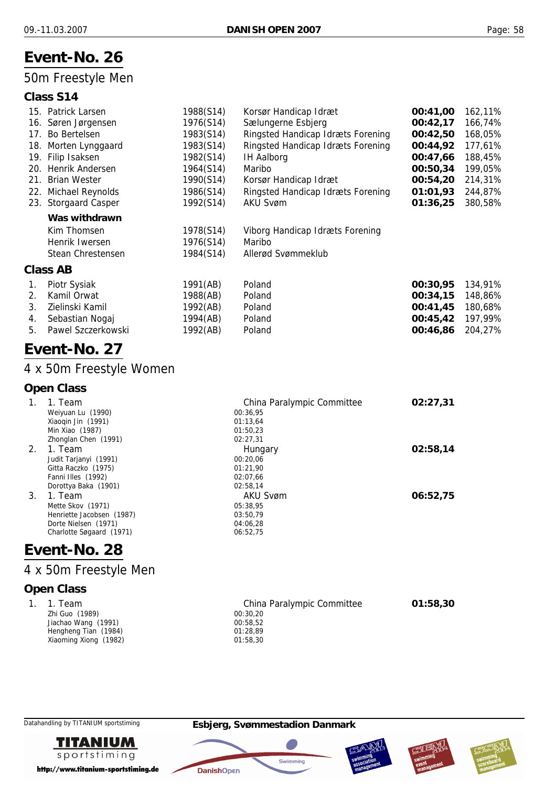## 50m Freestyle Men

#### **Class S14**

|     | 15. Patrick Larsen   | 1988(S14) | Korsør Handicap Idræt             | 00:41,00 | 162,11% |
|-----|----------------------|-----------|-----------------------------------|----------|---------|
|     | 16. Søren Jørgensen  | 1976(S14) | Sælungerne Esbjerg                | 00:42,17 | 166,74% |
|     | 17. Bo Bertelsen     | 1983(S14) | Ringsted Handicap Idræts Forening | 00:42,50 | 168,05% |
|     | 18. Morten Lynggaard | 1983(S14) | Ringsted Handicap Idræts Forening | 00:44,92 | 177,61% |
|     | 19. Filip Isaksen    | 1982(S14) | <b>IH Aalborg</b>                 | 00:47,66 | 188,45% |
|     | 20. Henrik Andersen  | 1964(S14) | Maribo                            | 00:50,34 | 199,05% |
| 21. | <b>Brian Wester</b>  | 1990(S14) | Korsør Handicap Idræt             | 00:54,20 | 214,31% |
|     | 22. Michael Reynolds | 1986(S14) | Ringsted Handicap Idræts Forening | 01:01,93 | 244,87% |
|     | 23. Storgaard Casper | 1992(S14) | <b>AKU Svøm</b>                   | 01:36,25 | 380,58% |
|     | Was withdrawn        |           |                                   |          |         |
|     | Kim Thomsen          | 1978(S14) | Viborg Handicap Idræts Forening   |          |         |
|     | Henrik Iwersen       | 1976(S14) | Maribo                            |          |         |
|     | Stean Chrestensen    | 1984(S14) | Allerød Svømmeklub                |          |         |
|     | Class AB             |           |                                   |          |         |
| 1.  | Piotr Sysiak         | 1991(AB)  | Poland                            | 00:30,95 | 134,91% |
| 2.  | Kamil Orwat          | 1988(AB)  | Poland                            | 00:34,15 | 148,86% |
| 3.  | Zielinski Kamil      | 1992(AB)  | Poland                            | 00:41,45 | 180,68% |

4. Sebastian Nogaj 1994(AB) Poland **00:45,42** 197,99% 5. Pawel Szczerkowski 1992(AB) Poland **00:46,86** 204,27%

# **Event-No. 27**

## 4 x 50m Freestyle Women

#### **Open Class**

|    | 1. Team                   | China Paralympic Committee | 02:27,31 |
|----|---------------------------|----------------------------|----------|
|    | Weiyuan Lu (1990)         | 00:36.95                   |          |
|    | Xiaogin Jin (1991)        | 01:13.64                   |          |
|    | Min Xiao (1987)           | 01:50.23                   |          |
|    | Zhonglan Chen (1991)      | 02:27,31                   |          |
| 2. | 1. Team                   | Hungary                    | 02:58,14 |
|    | Judit Tarjanyi (1991)     | 00:20.06                   |          |
|    | Gitta Raczko (1975)       | 01:21.90                   |          |
|    | Fanni Illes (1992)        | 02:07.66                   |          |
|    | Dorottya Baka (1901)      | 02:58,14                   |          |
| 3. | 1. Team                   | <b>AKU Svøm</b>            | 06:52,75 |
|    | Mette Skov (1971)         | 05:38.95                   |          |
|    | Henriette Jacobsen (1987) | 03:50,79                   |          |
|    | Dorte Nielsen (1971)      | 04:06.28                   |          |
|    | Charlotte Søgaard (1971)  | 06:52,75                   |          |
|    |                           |                            |          |

## **Event-No. 28**

## 4 x 50m Freestyle Men

#### **Open Class**

| 1. 1. Team            | China Paralympic Committee | 01:58.30 |
|-----------------------|----------------------------|----------|
| Zhi Guo (1989)        | 00:30,20                   |          |
| Jiachao Wang (1991)   | 00:58,52                   |          |
| Hengheng Tian (1984)  | 01:28.89                   |          |
| Xiaoming Xiong (1982) | 01:58.30                   |          |



http://www.titanium-sportstiming.de







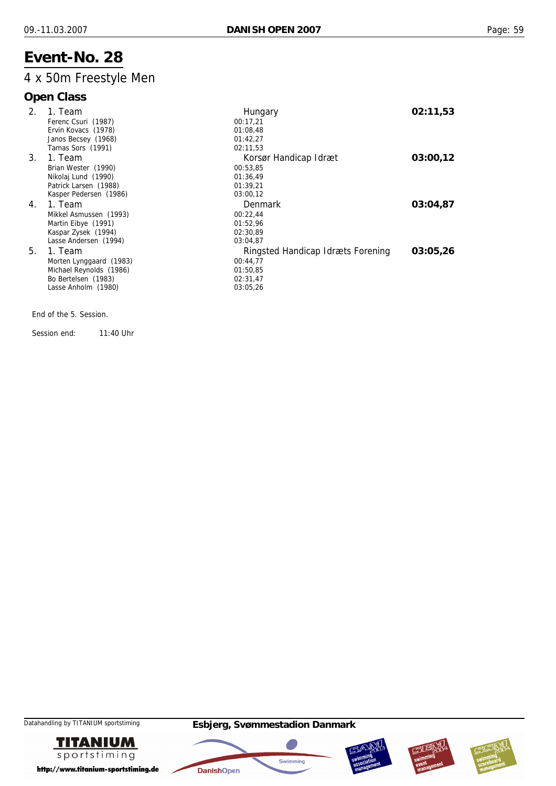## 4 x 50m Freestyle Men

## **Open Class**

| 2. | 1. Team                 | Hungary                           | 02:11,53 |
|----|-------------------------|-----------------------------------|----------|
|    | Ferenc Csuri (1987)     | 00:17,21                          |          |
|    | Ervin Kovacs (1978)     | 01:08,48                          |          |
|    | Janos Becsey (1968)     | 01:42,27                          |          |
|    | Tamas Sors (1991)       | 02:11,53                          |          |
| 3. | 1. Team                 | Korsør Handicap Idræt             | 03:00,12 |
|    | Brian Wester (1990)     | 00:53,85                          |          |
|    | Nikolaj Lund (1990)     | 01:36,49                          |          |
|    | Patrick Larsen (1988)   | 01:39,21                          |          |
|    | Kasper Pedersen (1986)  | 03:00,12                          |          |
| 4. | 1. Team                 | Denmark                           | 03:04,87 |
|    | Mikkel Asmussen (1993)  | 00:22,44                          |          |
|    | Martin Eibye (1991)     | 01:52,96                          |          |
|    | Kaspar Zysek (1994)     | 02:30,89                          |          |
|    | Lasse Andersen (1994)   | 03:04,87                          |          |
| 5. | 1. Team                 | Ringsted Handicap Idræts Forening | 03:05,26 |
|    | Morten Lynggaard (1983) | 00:44,77                          |          |
|    | Michael Reynolds (1986) | 01:50.85                          |          |
|    | Bo Bertelsen (1983)     | 02:31,47                          |          |
|    | Lasse Anholm (1980)     | 03:05,26                          |          |
|    |                         |                                   |          |

End of the 5. Session.

Session end: 11:40 Uhr









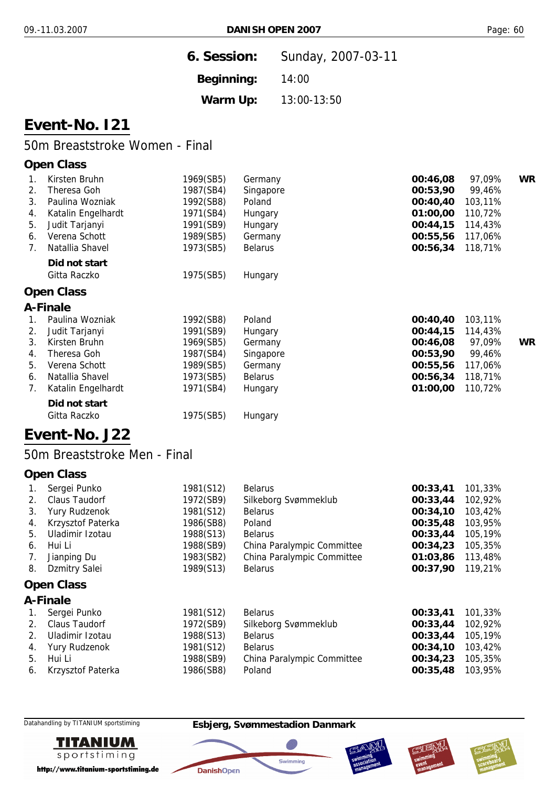| 6. Session: | Sunday, 2007-03-11 |
|-------------|--------------------|
| Beginning:  | 14:00              |
| Warm Up:    | 13:00-13:50        |

## **Event-No. I21**

## 50m Breaststroke Women - Final

#### **Open Class**

|    | Kirsten Bruhn      | 1969(SB5) | Germany        | 00:46,08 | 97,09%  | <b>WR</b> |
|----|--------------------|-----------|----------------|----------|---------|-----------|
| 2. | Theresa Goh        | 1987(SB4) | Singapore      | 00:53,90 | 99,46%  |           |
| 3. | Paulina Wozniak    | 1992(SB8) | Poland         | 00:40,40 | 103,11% |           |
| 4. | Katalin Engelhardt | 1971(SB4) | Hungary        | 01:00,00 | 110,72% |           |
| 5. | Judit Tarjanyi     | 1991(SB9) | Hungary        | 00:44,15 | 114,43% |           |
| 6. | Verena Schott      | 1989(SB5) | Germany        | 00:55,56 | 117,06% |           |
| 7. | Natallia Shavel    | 1973(SB5) | <b>Belarus</b> | 00:56,34 | 118,71% |           |
|    | Did not start      |           |                |          |         |           |
|    | Gitta Raczko       | 1975(SB5) | Hungary        |          |         |           |
|    | <b>Open Class</b>  |           |                |          |         |           |
|    | A-Finale           |           |                |          |         |           |
|    | Paulina Wozniak    | 1992(SB8) | Poland         | 00:40,40 | 103,11% |           |
| 2. | Judit Tarjanyi     | 1991(SB9) | Hungary        | 00:44,15 | 114,43% |           |
| 3. | Kirsten Bruhn      | 1969(SB5) | Germany        | 00:46,08 | 97,09%  | <b>WR</b> |
| 4. | Theresa Goh        | 1987(SB4) | Singapore      | 00:53,90 | 99,46%  |           |
| 5. | Verena Schott      | 1989(SB5) | Germany        | 00:55,56 | 117,06% |           |
| 6. | Natallia Shavel    | 1973(SB5) | <b>Belarus</b> | 00:56,34 | 118,71% |           |
| 7. | Katalin Engelhardt | 1971(SB4) | Hungary        | 01:00,00 | 110,72% |           |
|    |                    |           |                |          |         |           |

## **Event-No. J22**

*Did not start*

#### 50m Breaststroke Men - Final

Gitta Raczko **1975(SB5)** Hungary

#### **Open Class**

| 1. | Sergei Punko      | 1981(S12) | <b>Belarus</b>             | 00:33,41 | 101,33% |  |  |
|----|-------------------|-----------|----------------------------|----------|---------|--|--|
| 2. | Claus Taudorf     | 1972(SB9) | Silkeborg Svømmeklub       | 00:33,44 | 102,92% |  |  |
| 3. | Yury Rudzenok     | 1981(S12) | <b>Belarus</b>             | 00:34,10 | 103,42% |  |  |
| 4. | Krzysztof Paterka | 1986(SB8) | Poland                     | 00:35,48 | 103,95% |  |  |
| 5. | Uladimir Izotau   | 1988(S13) | <b>Belarus</b>             | 00:33,44 | 105,19% |  |  |
| 6. | Hui Li            | 1988(SB9) | China Paralympic Committee | 00:34,23 | 105,35% |  |  |
| 7. | Jianping Du       | 1983(SB2) | China Paralympic Committee | 01:03,86 | 113,48% |  |  |
| 8. | Dzmitry Salei     | 1989(S13) | <b>Belarus</b>             | 00:37,90 | 119,21% |  |  |
|    | <b>Open Class</b> |           |                            |          |         |  |  |

## **A-Finale**

| 1. Sergei Punko      | 1981(S12) | <b>Belarus</b>             | 00:33,41 | 101,33% |
|----------------------|-----------|----------------------------|----------|---------|
| 2. Claus Taudorf     | 1972(SB9) | Silkeborg Svømmeklub       | 00:33,44 | 102,92% |
| 2. Uladimir Izotau   | 1988(S13) | <b>Belarus</b>             | 00:33,44 | 105,19% |
| 4. Yury Rudzenok     | 1981(S12) | <b>Belarus</b>             | 00:34,10 | 103,42% |
| 5. Hui Li            | 1988(SB9) | China Paralympic Committee | 00:34,23 | 105,35% |
| 6. Krzysztof Paterka | 1986(SB8) | Poland                     | 00:35,48 | 103,95% |
|                      |           |                            |          |         |



http://www.titanium-sportstiming.de

#### Datahandling by TITANIUM sportstiming **Esbjerg, Svømmestadion Danmark**

**DanishOpen** 





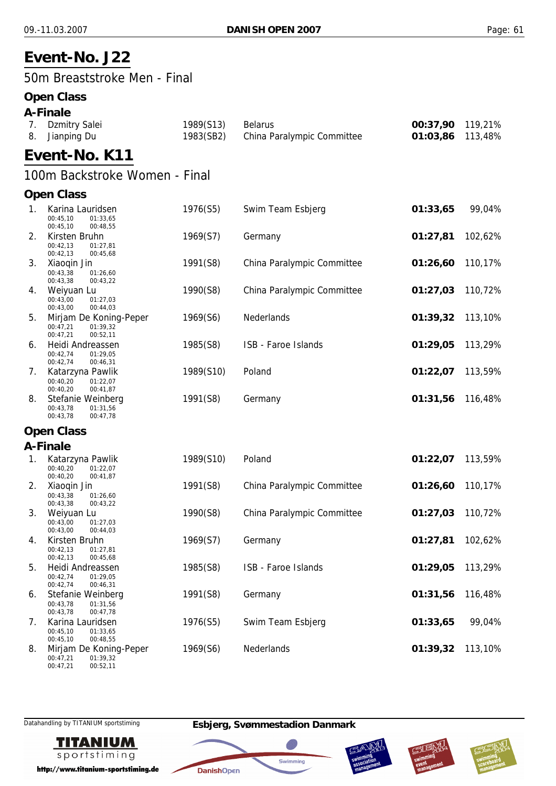# **Event-No. J22**

50m Breaststroke Men - Final

## **Open Class**

| A-Finale         |           |                            |                  |  |  |  |
|------------------|-----------|----------------------------|------------------|--|--|--|
| 7. Dzmitry Salei | 1989(S13) | <b>Belarus</b>             | 00:37,90 119,21% |  |  |  |
| 8. Jianping Du   | 1983(SB2) | China Paralympic Committee | 01:03,86 113,48% |  |  |  |
| Event-No. K11    |           |                            |                  |  |  |  |

## 100m Backstroke Women - Final

## **Open Class**

| 1. | Karina Lauridsen<br>00:45,10<br>01:33,65<br>00:45,10<br>00:48,55       | 1976(S5)  | Swim Team Esbjerg          | 01:33,65 | 99,04%  |
|----|------------------------------------------------------------------------|-----------|----------------------------|----------|---------|
| 2. | Kirsten Bruhn<br>00:42.13<br>01:27,81<br>00:42,13<br>00:45,68          | 1969(S7)  | Germany                    | 01:27,81 | 102,62% |
| 3. | Xiaoqin Jin<br>00:43,38<br>01:26,60<br>00:43,38<br>00:43,22            | 1991(S8)  | China Paralympic Committee | 01:26,60 | 110,17% |
| 4. | Weiyuan Lu<br>00:43,00<br>01:27,03<br>00:43,00<br>00:44,03             | 1990(S8)  | China Paralympic Committee | 01:27,03 | 110,72% |
| 5. | Mirjam De Koning-Peper<br>00:47.21<br>01:39,32<br>00:47,21<br>00:52,11 | 1969(S6)  | Nederlands                 | 01:39,32 | 113,10% |
| 6. | Heidi Andreassen<br>00:42,74<br>01:29,05<br>00:42,74<br>00:46,31       | 1985(S8)  | ISB - Faroe Islands        | 01:29,05 | 113,29% |
| 7. | Katarzyna Pawlik<br>00:40,20<br>01:22,07<br>00:40,20<br>00:41,87       | 1989(S10) | Poland                     | 01:22,07 | 113,59% |
| 8. | Stefanie Weinberg<br>00:43,78<br>01:31,56<br>00:43,78<br>00:47,78      | 1991(S8)  | Germany                    | 01:31,56 | 116,48% |
|    | <b>Open Class</b>                                                      |           |                            |          |         |
|    | A-Finale                                                               |           |                            |          |         |
| 1. | Katarzyna Pawlik<br>00:40,20<br>01:22,07<br>00:40,20<br>00:41,87       | 1989(S10) | Poland                     | 01:22,07 | 113,59% |
| 2. | Xiaogin Jin<br>00:43,38<br>01:26,60<br>00:43,38<br>00:43,22            | 1991(S8)  | China Paralympic Committee | 01:26,60 | 110,17% |
| 3. | Weiyuan Lu<br>00:43.00<br>01:27,03<br>00:43,00<br>00:44,03             | 1990(S8)  | China Paralympic Committee | 01:27,03 | 110,72% |
| 4. | Kirsten Bruhn<br>00:42.13<br>01:27,81<br>00:42,13<br>00:45,68          | 1969(S7)  | Germany                    | 01:27,81 | 102,62% |
| 5. | Heidi Andreassen<br>00:42,74<br>01:29,05<br>00:42,74<br>00:46,31       | 1985(S8)  | ISB - Faroe Islands        | 01:29,05 | 113,29% |
| 6. | Stefanie Weinberg<br>00:43,78<br>01:31,56<br>00:43,78<br>00:47,78      | 1991(S8)  | Germany                    | 01:31,56 | 116,48% |
| 7. | Karina Lauridsen<br>00:45,10<br>01:33,65<br>00:45,10<br>00:48,55       | 1976(S5)  | Swim Team Esbjerg          | 01:33,65 | 99,04%  |
| 8. | Mirjam De Koning-Peper<br>00:47,21<br>01:39,32                         | 1969(S6)  | Nederlands                 | 01:39,32 | 113,10% |

00:47,21

Datahandling by TITANIUM sportstiming **Esbjerg, Svømmestadion Danmark**

**DanishOpen** 



http://www.titanium-sportstiming.de

00:52,11







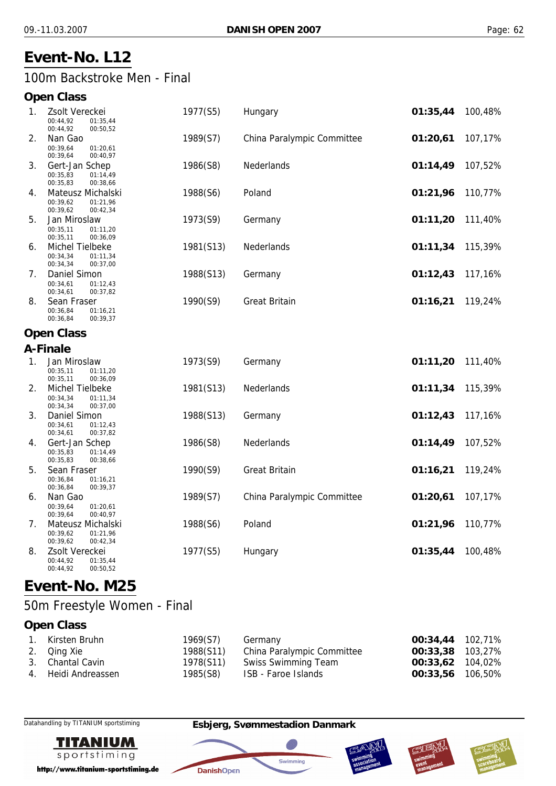# **Event-No. L12**

## 100m Backstroke Men - Final

## **Open Class**

| 1. | Zsolt Vereckei<br>00:44,92<br>01:35,44<br>00:44,92<br>00:50,52    | 1977(S5)  | Hungary                    | 01:35,44 | 100,48% |
|----|-------------------------------------------------------------------|-----------|----------------------------|----------|---------|
| 2. | Nan Gao<br>00:39,64<br>01:20,61<br>00:39,64<br>00:40,97           | 1989(S7)  | China Paralympic Committee | 01:20,61 | 107,17% |
| 3. | Gert-Jan Schep<br>00:35,83<br>01:14,49<br>00:35,83<br>00:38,66    | 1986(S8)  | Nederlands                 | 01:14,49 | 107,52% |
| 4. | Mateusz Michalski<br>00:39.62<br>01:21,96<br>00:39,62<br>00:42,34 | 1988(S6)  | Poland                     | 01:21,96 | 110,77% |
| 5. | Jan Miroslaw<br>00:35.11<br>01:11,20<br>00:35,11<br>00:36,09      | 1973(S9)  | Germany                    | 01:11,20 | 111,40% |
| 6. | Michel Tielbeke<br>00:34,34<br>01:11,34<br>00:34,34<br>00:37,00   | 1981(S13) | Nederlands                 | 01:11,34 | 115,39% |
| 7. | Daniel Simon<br>00:34.61<br>01:12,43<br>00:34,61<br>00:37,82      | 1988(S13) | Germany                    | 01:12,43 | 117,16% |
| 8. | Sean Fraser<br>00:36,84<br>01:16,21<br>00:36,84<br>00:39,37       | 1990(S9)  | <b>Great Britain</b>       | 01:16,21 | 119,24% |
|    | <b>Open Class</b>                                                 |           |                            |          |         |
|    | A-Finale                                                          |           |                            |          |         |
| 1. | Jan Miroslaw<br>00:35.11<br>01:11.20<br>00:35,11<br>00:36,09      | 1973(S9)  | Germany                    | 01:11,20 | 111,40% |
| 2. | Michel Tielbeke<br>00:34,34<br>01:11,34<br>00:34,34<br>00:37,00   | 1981(S13) | Nederlands                 | 01:11,34 | 115,39% |
| 3. | Daniel Simon<br>00:34,61<br>01:12,43<br>00:34,61<br>00:37,82      | 1988(S13) | Germany                    | 01:12,43 | 117,16% |
| 4. | Gert-Jan Schep<br>00:35,83<br>01:14,49<br>00:35,83<br>00:38,66    | 1986(S8)  | Nederlands                 | 01:14,49 | 107,52% |
| 5. | Sean Fraser<br>00:36,84<br>01:16,21<br>00:36,84<br>00:39,37       | 1990(S9)  | <b>Great Britain</b>       | 01:16,21 | 119,24% |
| 6. | Nan Gao<br>00:39.64<br>01:20,61<br>00:39,64<br>00:40,97           | 1989(S7)  | China Paralympic Committee | 01:20,61 | 107,17% |
| 7. | Mateusz Michalski<br>00:39,62<br>01:21,96<br>00:39,62<br>00:42,34 | 1988(S6)  | Poland                     | 01:21,96 | 110,77% |
| 8. | Zsolt Vereckei<br>00:44,92<br>01:35,44<br>00:50,52<br>00:44,92    | 1977(S5)  | Hungary                    | 01:35,44 | 100,48% |

# **Event-No. M25**

## 50m Freestyle Women - Final

## **Open Class**

| 1. Kirsten Bruhn    | 1969(S7)  | Germany                    | 00:34,44 102,71% |  |
|---------------------|-----------|----------------------------|------------------|--|
| 2. Qing Xie         | 1988(S11) | China Paralympic Committee | 00:33,38 103,27% |  |
| 3. Chantal Cavin    | 1978(S11) | Swiss Swimming Team        | 00:33,62 104,02% |  |
| 4. Heidi Andreassen | 1985(S8)  | ISB - Faroe Islands        | 00:33,56 106,50% |  |



http://www.titanium-sportstiming.de

### Datahandling by TITANIUM sportstiming **Esbjerg, Svømmestadion Danmark**

**DanishOpen** 





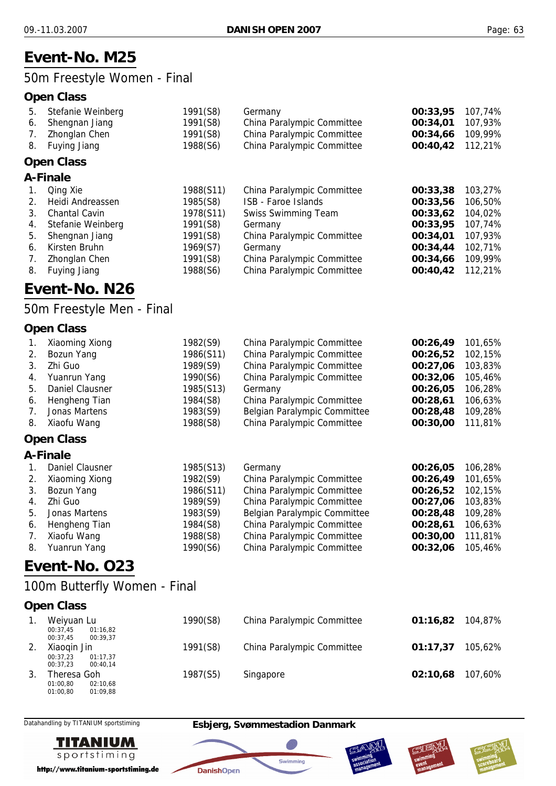## **Event-No. M25**

## 50m Freestyle Women - Final

### **Open Class**

| 5.      | Stefanie Weinberg    | 1991(S8)  | Germany                    | 00:33,95 | 107,74% |
|---------|----------------------|-----------|----------------------------|----------|---------|
| 6.      | Shengnan Jiang       | 1991(S8)  | China Paralympic Committee | 00:34,01 | 107,93% |
| 7.      | Zhonglan Chen        | 1991(S8)  | China Paralympic Committee | 00:34,66 | 109,99% |
| 8.      | Fuying Jiang         | 1988(S6)  | China Paralympic Committee | 00:40,42 | 112,21% |
|         | <b>Open Class</b>    |           |                            |          |         |
|         | A-Finale             |           |                            |          |         |
| 1.      | Qing Xie             | 1988(S11) | China Paralympic Committee | 00:33,38 | 103,27% |
| $2_{-}$ | Heidi Andreassen     | 1985(S8)  | ISB - Faroe Islands        | 00:33,56 | 106,50% |
| 3.      | <b>Chantal Cavin</b> | 1978(S11) | <b>Swiss Swimming Team</b> | 00:33,62 | 104,02% |
| 4.      | Stefanie Weinberg    | 1991(S8)  | Germany                    | 00:33,95 | 107,74% |
| 5.      | Shengnan Jiang       | 1991(S8)  | China Paralympic Committee | 00:34,01 | 107,93% |
| 6.      | Kirsten Bruhn        | 1969(S7)  | Germany                    | 00:34,44 | 102,71% |
| 7.      | Zhonglan Chen        | 1991(S8)  | China Paralympic Committee | 00:34,66 | 109,99% |
| 8.      | Fuying Jiang         | 1988(S6)  | China Paralympic Committee | 00:40,42 | 112,21% |

# **Event-No. N26**

## 50m Freestyle Men - Final

### **Open Class**

|    | Xiaoming Xiong  | 1982(S9)  | China Paralympic Committee   | 00:26,49 | 101,65% |
|----|-----------------|-----------|------------------------------|----------|---------|
| 2. | Bozun Yang      | 1986(S11) | China Paralympic Committee   | 00:26,52 | 102,15% |
|    | Zhi Guo         | 1989(S9)  | China Paralympic Committee   | 00:27,06 | 103,83% |
|    | 4. Yuanrun Yang | 1990(S6)  | China Paralympic Committee   | 00:32,06 | 105,46% |
| 5. | Daniel Clausner | 1985(S13) | Germany                      | 00:26.05 | 106,28% |
| 6. | Hengheng Tian   | 1984(S8)  | China Paralympic Committee   | 00:28.61 | 106,63% |
|    | Jonas Martens   | 1983(S9)  | Belgian Paralympic Committee | 00:28,48 | 109,28% |
| 8. | Xiaofu Wang     | 1988(S8)  | China Paralympic Committee   | 00:30.00 | 111,81% |

#### **Open Class**

#### **A-Finale**

|    | Daniel Clausner | 1985(S13) | Germany                      | 00:26.05 | 106,28% |
|----|-----------------|-----------|------------------------------|----------|---------|
| 2. | Xiaoming Xiong  | 1982(S9)  | China Paralympic Committee   | 00:26,49 | 101,65% |
| 3. | Bozun Yang      | 1986(S11) | China Paralympic Committee   | 00:26,52 | 102,15% |
|    | Zhi Guo         | 1989(S9)  | China Paralympic Committee   | 00:27.06 | 103,83% |
| 5. | Jonas Martens   | 1983(S9)  | Belgian Paralympic Committee | 00:28,48 | 109,28% |
| 6. | Hengheng Tian   | 1984(S8)  | China Paralympic Committee   | 00:28,61 | 106,63% |
| 7. | Xiaofu Wang     | 1988(S8)  | China Paralympic Committee   | 00:30,00 | 111,81% |
| 8. | Yuanrun Yang    | 1990(S6)  | China Paralympic Committee   | 00:32,06 | 105,46% |

## **Event-No. O23**

## 100m Butterfly Women - Final

#### **Open Class**

| Weiyuan Lu<br>01:16.82<br>00:37.45                          | 1990(S8) | China Paralympic Committee | 01:16.82 | 104.87% |
|-------------------------------------------------------------|----------|----------------------------|----------|---------|
| 00:37.45<br>00:39.37<br>Xiaogin Jin                         | 1991(S8) | China Paralympic Committee | 01:17.37 | 105.62% |
| 01:17.37<br>00:37.23<br>00:37.23<br>00:40.14<br>Theresa Goh | 1987(S5) | Singapore                  | 02:10.68 | 107.60% |
| 01:00.80<br>02:10.68<br>01:00.80<br>01:09.88                |          |                            |          |         |



Datahandling by TITANIUM sportstiming **Esbjerg, Svømmestadion Danmark**

**DanishOpen** 





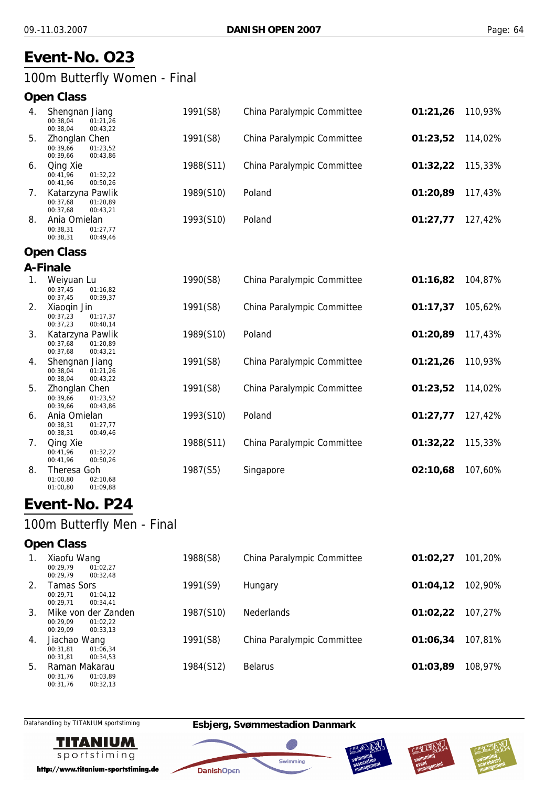# **Event-No. O23**

100m Butterfly Women - Final

00:49,46

#### **Open Class**

| 4. | Shengnan Jiang<br>01:21.26<br>00:38.04<br>00:38.04<br>00:43.22   | 1991(S8)  | China Paralympic Committee | 01:21,26 | 110,93% |
|----|------------------------------------------------------------------|-----------|----------------------------|----------|---------|
| 5. | Zhonglan Chen<br>01:23.52<br>00:39.66<br>00:39.66<br>00:43.86    | 1991(S8)  | China Paralympic Committee | 01:23,52 | 114,02% |
| 6. | Qing Xie<br>00:41.96<br>01:32.22<br>00:41.96<br>00:50.26         | 1988(S11) | China Paralympic Committee | 01:32,22 | 115,33% |
| 7. | Katarzyna Pawlik<br>00:37.68<br>01:20.89<br>00:37.68<br>00:43.21 | 1989(S10) | Poland                     | 01:20,89 | 117,43% |
| 8. | Ania Omielan<br>00:38.31<br>01:27.77                             | 1993(S10) | Poland                     | 01:27,77 | 127,42% |

#### **Open Class**

00:38,31

#### **A-Finale**

| 1. | Weiyuan Lu                                   | 1990(S8)  | China Paralympic Committee | 01:16,82 | 104,87% |
|----|----------------------------------------------|-----------|----------------------------|----------|---------|
|    | 00:37,45<br>01:16,82                         |           |                            |          |         |
|    | 00:37,45<br>00:39,37                         |           |                            |          |         |
| 2. | Xiaogin Jin                                  | 1991(S8)  | China Paralympic Committee | 01:17,37 | 105,62% |
|    | 00:37,23<br>01:17,37                         |           |                            |          |         |
|    | 00:37,23<br>00:40,14                         |           |                            |          |         |
| 3. | Katarzyna Pawlik                             | 1989(S10) | Poland                     | 01:20,89 | 117,43% |
|    | 00:37,68<br>01:20,89                         |           |                            |          |         |
|    | 00:37,68<br>00:43,21                         |           |                            |          |         |
| 4. | Shengnan Jiang                               | 1991(S8)  | China Paralympic Committee | 01:21,26 | 110,93% |
|    | 00:38,04<br>01:21,26                         |           |                            |          |         |
|    | 00:38,04<br>00:43,22                         |           |                            |          |         |
| 5. | Zhonglan Chen                                | 1991(S8)  | China Paralympic Committee | 01:23,52 | 114,02% |
|    | 00:39,66<br>01:23,52                         |           |                            |          |         |
|    | 00:39,66<br>00:43,86                         |           |                            |          |         |
| 6. | Ania Omielan                                 | 1993(S10) | Poland                     | 01:27,77 | 127,42% |
|    | 00:38,31<br>01:27,77<br>00:38,31<br>00:49,46 |           |                            |          |         |
|    |                                              |           |                            |          |         |
| 7. | Qing Xie                                     | 1988(S11) | China Paralympic Committee | 01:32,22 | 115,33% |
|    | 00:41,96<br>01:32,22<br>00:41,96<br>00:50,26 |           |                            |          |         |
| 8. | Theresa Goh                                  | 1987(S5)  |                            | 02:10,68 | 107,60% |
|    |                                              |           | Singapore                  |          |         |
|    | 01:00,80<br>02:10,68<br>01:00,80<br>01:09,88 |           |                            |          |         |
|    |                                              |           |                            |          |         |

# **Event-No. P24**

## 100m Butterfly Men - Final

#### **Open Class**

| 1. | Xiaofu Wang<br>00:29.79<br>01:02.27<br>00:29.79<br>00:32.48         | 1988(S8)  | China Paralympic Committee | 01:02.27 | 101,20% |
|----|---------------------------------------------------------------------|-----------|----------------------------|----------|---------|
| 2. | Tamas Sors<br>00:29.71<br>01:04.12<br>00:29.71<br>00:34.41          | 1991(S9)  | Hungary                    | 01:04.12 | 102,90% |
| 3. | Mike von der Zanden<br>00:29.09<br>01:02.22<br>00:29.09<br>00:33.13 | 1987(S10) | <b>Nederlands</b>          | 01:02,22 | 107.27% |
| 4. | Jiachao Wang<br>00:31.81<br>01:06.34<br>00:31.81<br>00:34.53        | 1991(S8)  | China Paralympic Committee | 01:06.34 | 107,81% |
| 5. | Raman Makarau<br>00:31.76<br>01:03.89<br>00:31,76<br>00:32,13       | 1984(S12) | <b>Belarus</b>             | 01:03,89 | 108,97% |



Datahandling by TITANIUM sportstiming **Esbjerg, Svømmestadion Danmark**

**DanishOpen** 

Swimming